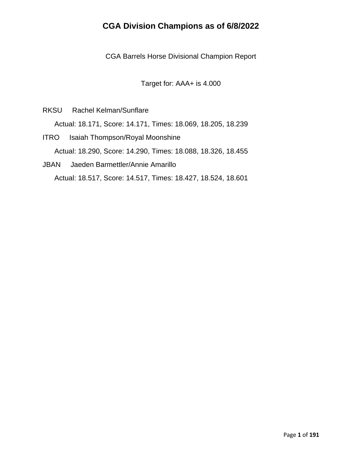CGA Barrels Horse Divisional Champion Report

Target for: AAA+ is 4.000

RKSU Rachel Kelman/Sunflare

Actual: 18.171, Score: 14.171, Times: 18.069, 18.205, 18.239

- ITRO Isaiah Thompson/Royal Moonshine Actual: 18.290, Score: 14.290, Times: 18.088, 18.326, 18.455
- JBAN Jaeden Barmettler/Annie Amarillo Actual: 18.517, Score: 14.517, Times: 18.427, 18.524, 18.601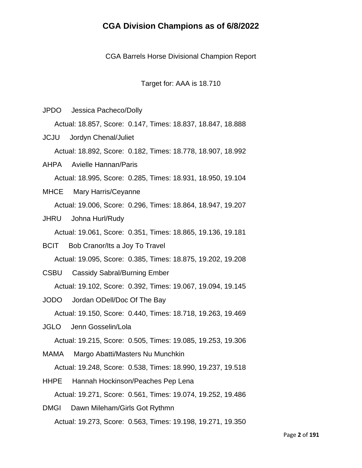CGA Barrels Horse Divisional Champion Report

Target for: AAA is 18.710

JPDO Jessica Pacheco/Dolly Actual: 18.857, Score: 0.147, Times: 18.837, 18.847, 18.888 JCJU Jordyn Chenal/Juliet Actual: 18.892, Score: 0.182, Times: 18.778, 18.907, 18.992 AHPA Avielle Hannan/Paris Actual: 18.995, Score: 0.285, Times: 18.931, 18.950, 19.104 MHCE Mary Harris/Ceyanne Actual: 19.006, Score: 0.296, Times: 18.864, 18.947, 19.207 JHRU Johna Hurl/Rudy Actual: 19.061, Score: 0.351, Times: 18.865, 19.136, 19.181 BCIT Bob Cranor/Its a Joy To Travel Actual: 19.095, Score: 0.385, Times: 18.875, 19.202, 19.208 CSBU Cassidy Sabral/Burning Ember Actual: 19.102, Score: 0.392, Times: 19.067, 19.094, 19.145 JODO Jordan ODell/Doc Of The Bay Actual: 19.150, Score: 0.440, Times: 18.718, 19.263, 19.469 JGLO Jenn Gosselin/Lola Actual: 19.215, Score: 0.505, Times: 19.085, 19.253, 19.306 MAMA Margo Abatti/Masters Nu Munchkin Actual: 19.248, Score: 0.538, Times: 18.990, 19.237, 19.518 HHPE Hannah Hockinson/Peaches Pep Lena Actual: 19.271, Score: 0.561, Times: 19.074, 19.252, 19.486 DMGI Dawn Mileham/Girls Got Rythmn

Actual: 19.273, Score: 0.563, Times: 19.198, 19.271, 19.350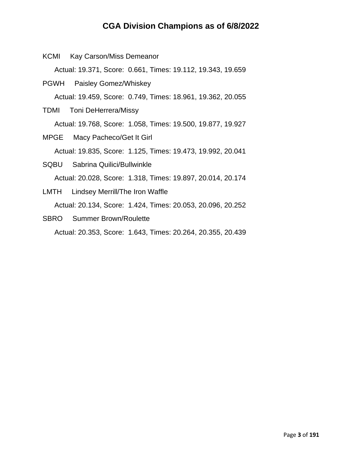KCMI Kay Carson/Miss Demeanor

Actual: 19.371, Score: 0.661, Times: 19.112, 19.343, 19.659

- PGWH Paisley Gomez/Whiskey Actual: 19.459, Score: 0.749, Times: 18.961, 19.362, 20.055
- TDMI Toni DeHerrera/Missy Actual: 19.768, Score: 1.058, Times: 19.500, 19.877, 19.927
- MPGE Macy Pacheco/Get It Girl Actual: 19.835, Score: 1.125, Times: 19.473, 19.992, 20.041
- SQBU Sabrina Quilici/Bullwinkle Actual: 20.028, Score: 1.318, Times: 19.897, 20.014, 20.174
- LMTH Lindsey Merrill/The Iron Waffle Actual: 20.134, Score: 1.424, Times: 20.053, 20.096, 20.252
- SBRO Summer Brown/Roulette Actual: 20.353, Score: 1.643, Times: 20.264, 20.355, 20.439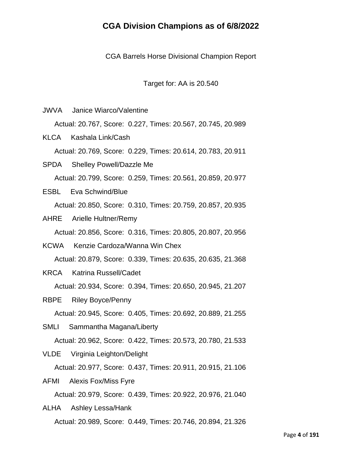CGA Barrels Horse Divisional Champion Report

Target for: AA is 20.540

JWVA Janice Wiarco/Valentine

Actual: 20.767, Score: 0.227, Times: 20.567, 20.745, 20.989

KLCA Kashala Link/Cash

Actual: 20.769, Score: 0.229, Times: 20.614, 20.783, 20.911

- SPDA Shelley Powell/Dazzle Me Actual: 20.799, Score: 0.259, Times: 20.561, 20.859, 20.977
- ESBL Eva Schwind/Blue Actual: 20.850, Score: 0.310, Times: 20.759, 20.857, 20.935
- AHRE Arielle Hultner/Remy

Actual: 20.856, Score: 0.316, Times: 20.805, 20.807, 20.956

KCWA Kenzie Cardoza/Wanna Win Chex

Actual: 20.879, Score: 0.339, Times: 20.635, 20.635, 21.368

KRCA Katrina Russell/Cadet

Actual: 20.934, Score: 0.394, Times: 20.650, 20.945, 21.207

RBPE Riley Boyce/Penny

Actual: 20.945, Score: 0.405, Times: 20.692, 20.889, 21.255

SMLI Sammantha Magana/Liberty

Actual: 20.962, Score: 0.422, Times: 20.573, 20.780, 21.533

VLDE Virginia Leighton/Delight

Actual: 20.977, Score: 0.437, Times: 20.911, 20.915, 21.106

AFMI Alexis Fox/Miss Fyre

Actual: 20.979, Score: 0.439, Times: 20.922, 20.976, 21.040

ALHA Ashley Lessa/Hank Actual: 20.989, Score: 0.449, Times: 20.746, 20.894, 21.326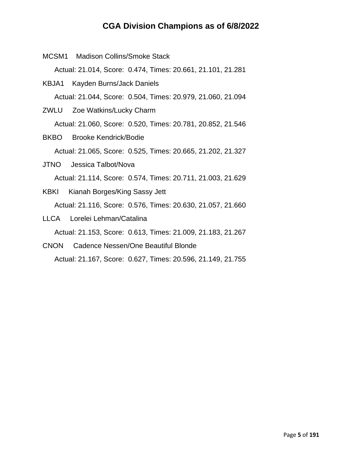MCSM1 Madison Collins/Smoke Stack Actual: 21.014, Score: 0.474, Times: 20.661, 21.101, 21.281 KBJA1 Kayden Burns/Jack Daniels

Actual: 21.044, Score: 0.504, Times: 20.979, 21.060, 21.094

- ZWLU Zoe Watkins/Lucky Charm Actual: 21.060, Score: 0.520, Times: 20.781, 20.852, 21.546
- BKBO Brooke Kendrick/Bodie Actual: 21.065, Score: 0.525, Times: 20.665, 21.202, 21.327
- JTNO Jessica Talbot/Nova Actual: 21.114, Score: 0.574, Times: 20.711, 21.003, 21.629
- KBKI Kianah Borges/King Sassy Jett Actual: 21.116, Score: 0.576, Times: 20.630, 21.057, 21.660
- LLCA Lorelei Lehman/Catalina Actual: 21.153, Score: 0.613, Times: 21.009, 21.183, 21.267
- CNON Cadence Nessen/One Beautiful Blonde Actual: 21.167, Score: 0.627, Times: 20.596, 21.149, 21.755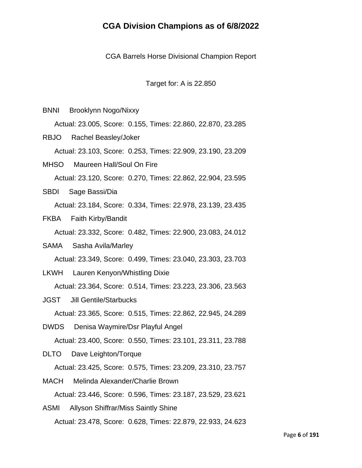CGA Barrels Horse Divisional Champion Report

Target for: A is 22.850

BNNI Brooklynn Nogo/Nixxy

Actual: 23.005, Score: 0.155, Times: 22.860, 22.870, 23.285

- RBJO Rachel Beasley/Joker Actual: 23.103, Score: 0.253, Times: 22.909, 23.190, 23.209
- MHSO Maureen Hall/Soul On Fire

Actual: 23.120, Score: 0.270, Times: 22.862, 22.904, 23.595

SBDI Sage Bassi/Dia

Actual: 23.184, Score: 0.334, Times: 22.978, 23.139, 23.435

FKBA Faith Kirby/Bandit

Actual: 23.332, Score: 0.482, Times: 22.900, 23.083, 24.012

SAMA Sasha Avila/Marley

Actual: 23.349, Score: 0.499, Times: 23.040, 23.303, 23.703

LKWH Lauren Kenyon/Whistling Dixie

Actual: 23.364, Score: 0.514, Times: 23.223, 23.306, 23.563

JGST Jill Gentile/Starbucks

Actual: 23.365, Score: 0.515, Times: 22.862, 22.945, 24.289

DWDS Denisa Waymire/Dsr Playful Angel

Actual: 23.400, Score: 0.550, Times: 23.101, 23.311, 23.788

- DLTO Dave Leighton/Torque Actual: 23.425, Score: 0.575, Times: 23.209, 23.310, 23.757
- MACH Melinda Alexander/Charlie Brown Actual: 23.446, Score: 0.596, Times: 23.187, 23.529, 23.621
- ASMI Allyson Shiffrar/Miss Saintly Shine Actual: 23.478, Score: 0.628, Times: 22.879, 22.933, 24.623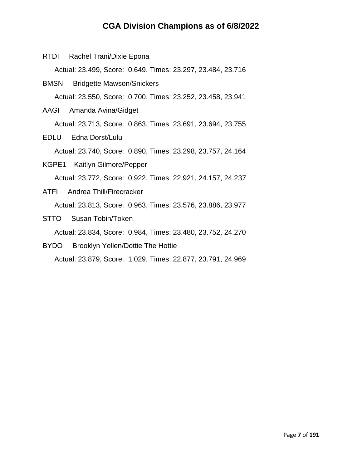RTDI Rachel Trani/Dixie Epona

Actual: 23.499, Score: 0.649, Times: 23.297, 23.484, 23.716

- BMSN Bridgette Mawson/Snickers Actual: 23.550, Score: 0.700, Times: 23.252, 23.458, 23.941
- AAGI Amanda Avina/Gidget Actual: 23.713, Score: 0.863, Times: 23.691, 23.694, 23.755
- EDLU Edna Dorst/Lulu

Actual: 23.740, Score: 0.890, Times: 23.298, 23.757, 24.164

- KGPE1 Kaitlyn Gilmore/Pepper Actual: 23.772, Score: 0.922, Times: 22.921, 24.157, 24.237
- ATFI Andrea Thill/Firecracker Actual: 23.813, Score: 0.963, Times: 23.576, 23.886, 23.977
- STTO Susan Tobin/Token

Actual: 23.834, Score: 0.984, Times: 23.480, 23.752, 24.270

BYDO Brooklyn Yellen/Dottie The Hottie

Actual: 23.879, Score: 1.029, Times: 22.877, 23.791, 24.969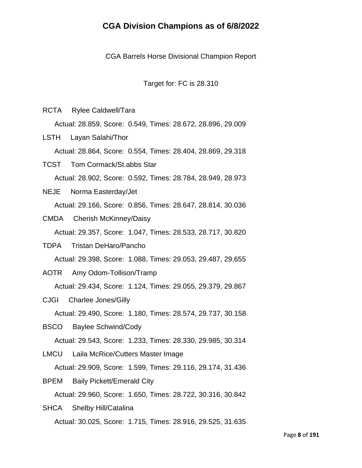CGA Barrels Horse Divisional Champion Report

Target for: FC is 28.310

RCTA Rylee Caldwell/Tara

Actual: 28.859, Score: 0.549, Times: 28.672, 28.896, 29.009

LSTH Layan Salahi/Thor

Actual: 28.864, Score: 0.554, Times: 28.404, 28.869, 29.318

- TCST Tom Cormack/St.abbs Star Actual: 28.902, Score: 0.592, Times: 28.784, 28.949, 28.973
- NEJE Norma Easterday/Jet Actual: 29.166, Score: 0.856, Times: 28.647, 28.814, 30.036
- CMDA Cherish McKinney/Daisy Actual: 29.357, Score: 1.047, Times: 28.533, 28.717, 30.820
- TDPA Tristan DeHaro/Pancho Actual: 29.398, Score: 1.088, Times: 29.053, 29.487, 29.655
- AOTR Amy Odom-Tollison/Tramp

Actual: 29.434, Score: 1.124, Times: 29.055, 29.379, 29.867

CJGI Charlee Jones/Gilly

Actual: 29.490, Score: 1.180, Times: 28.574, 29.737, 30.158

BSCO Baylee Schwind/Cody

Actual: 29.543, Score: 1.233, Times: 28.330, 29.985, 30.314

LMCU Laila McRice/Cutters Master Image Actual: 29.909, Score: 1.599, Times: 29.116, 29.174, 31.436

BPEM Baily Pickett/Emerald City Actual: 29.960, Score: 1.650, Times: 28.722, 30.316, 30.842

SHCA Shelby Hill/Catalina Actual: 30.025, Score: 1.715, Times: 28.916, 29.525, 31.635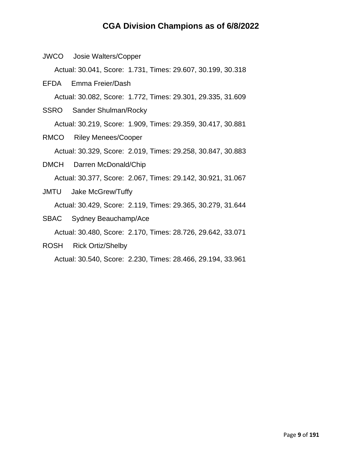JWCO Josie Walters/Copper

Actual: 30.041, Score: 1.731, Times: 29.607, 30.199, 30.318

EFDA Emma Freier/Dash

Actual: 30.082, Score: 1.772, Times: 29.301, 29.335, 31.609

- SSRO Sander Shulman/Rocky Actual: 30.219, Score: 1.909, Times: 29.359, 30.417, 30.881
- RMCO Riley Menees/Cooper Actual: 30.329, Score: 2.019, Times: 29.258, 30.847, 30.883
- DMCH Darren McDonald/Chip Actual: 30.377, Score: 2.067, Times: 29.142, 30.921, 31.067
- JMTU Jake McGrew/Tuffy Actual: 30.429, Score: 2.119, Times: 29.365, 30.279, 31.644
- SBAC Sydney Beauchamp/Ace Actual: 30.480, Score: 2.170, Times: 28.726, 29.642, 33.071
- ROSH Rick Ortiz/Shelby

Actual: 30.540, Score: 2.230, Times: 28.466, 29.194, 33.961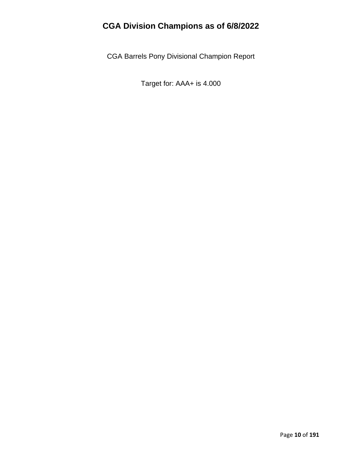CGA Barrels Pony Divisional Champion Report

Target for: AAA+ is 4.000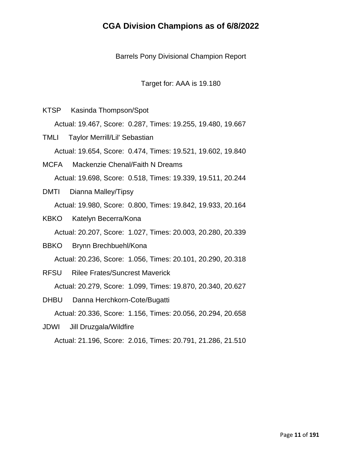Barrels Pony Divisional Champion Report

Target for: AAA is 19.180

KTSP Kasinda Thompson/Spot

Actual: 19.467, Score: 0.287, Times: 19.255, 19.480, 19.667

- TMLI Taylor Merrill/Lil' Sebastian Actual: 19.654, Score: 0.474, Times: 19.521, 19.602, 19.840
- MCFA Mackenzie Chenal/Faith N Dreams Actual: 19.698, Score: 0.518, Times: 19.339, 19.511, 20.244
- DMTI Dianna Malley/Tipsy Actual: 19.980, Score: 0.800, Times: 19.842, 19.933, 20.164
- KBKO Katelyn Becerra/Kona

Actual: 20.207, Score: 1.027, Times: 20.003, 20.280, 20.339

- BBKO Brynn Brechbuehl/Kona Actual: 20.236, Score: 1.056, Times: 20.101, 20.290, 20.318
- RFSU Rilee Frates/Suncrest Maverick Actual: 20.279, Score: 1.099, Times: 19.870, 20.340, 20.627
- DHBU Danna Herchkorn-Cote/Bugatti Actual: 20.336, Score: 1.156, Times: 20.056, 20.294, 20.658
- JDWI Jill Druzgala/Wildfire Actual: 21.196, Score: 2.016, Times: 20.791, 21.286, 21.510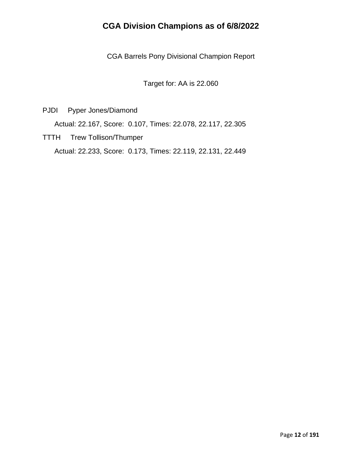CGA Barrels Pony Divisional Champion Report

Target for: AA is 22.060

PJDI Pyper Jones/Diamond

Actual: 22.167, Score: 0.107, Times: 22.078, 22.117, 22.305

TTTH Trew Tollison/Thumper Actual: 22.233, Score: 0.173, Times: 22.119, 22.131, 22.449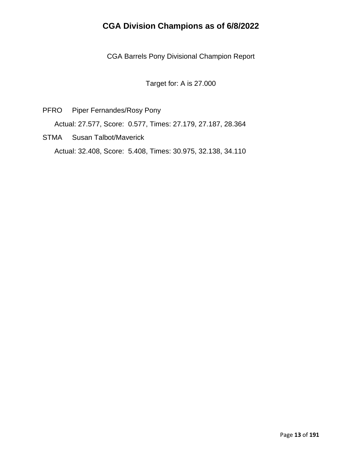CGA Barrels Pony Divisional Champion Report

Target for: A is 27.000

- PFRO Piper Fernandes/Rosy Pony Actual: 27.577, Score: 0.577, Times: 27.179, 27.187, 28.364
- STMA Susan Talbot/Maverick Actual: 32.408, Score: 5.408, Times: 30.975, 32.138, 34.110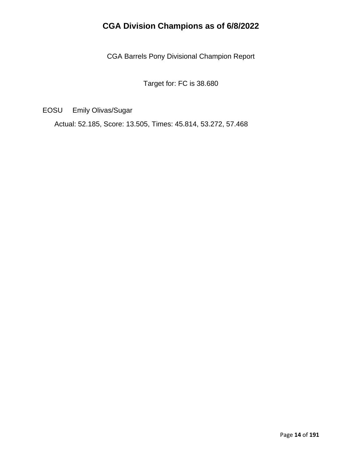CGA Barrels Pony Divisional Champion Report

Target for: FC is 38.680

EOSU Emily Olivas/Sugar

Actual: 52.185, Score: 13.505, Times: 45.814, 53.272, 57.468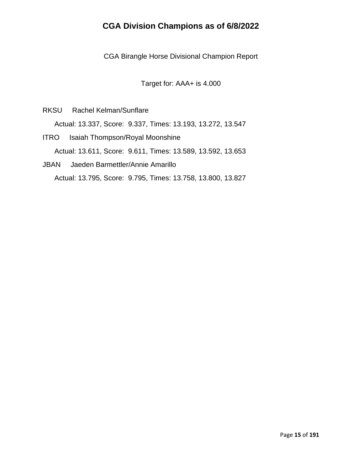CGA Birangle Horse Divisional Champion Report

Target for: AAA+ is 4.000

RKSU Rachel Kelman/Sunflare

Actual: 13.337, Score: 9.337, Times: 13.193, 13.272, 13.547

- ITRO Isaiah Thompson/Royal Moonshine Actual: 13.611, Score: 9.611, Times: 13.589, 13.592, 13.653
- JBAN Jaeden Barmettler/Annie Amarillo Actual: 13.795, Score: 9.795, Times: 13.758, 13.800, 13.827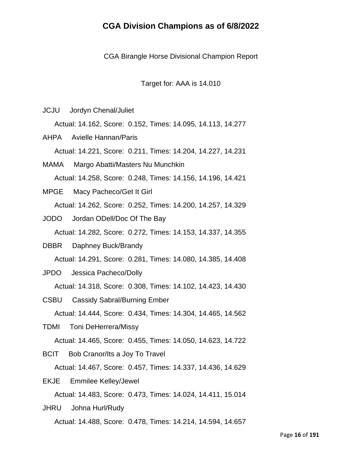CGA Birangle Horse Divisional Champion Report

Target for: AAA is 14.010

JCJU Jordyn Chenal/Juliet

Actual: 14.162, Score: 0.152, Times: 14.095, 14.113, 14.277

AHPA Avielle Hannan/Paris Actual: 14.221, Score: 0.211, Times: 14.204, 14.227, 14.231

- MAMA Margo Abatti/Masters Nu Munchkin Actual: 14.258, Score: 0.248, Times: 14.156, 14.196, 14.421
- MPGE Macy Pacheco/Get It Girl Actual: 14.262, Score: 0.252, Times: 14.200, 14.257, 14.329
- JODO Jordan ODell/Doc Of The Bay Actual: 14.282, Score: 0.272, Times: 14.153, 14.337, 14.355
- DBBR Daphney Buck/Brandy Actual: 14.291, Score: 0.281, Times: 14.080, 14.385, 14.408
- JPDO Jessica Pacheco/Dolly

Actual: 14.318, Score: 0.308, Times: 14.102, 14.423, 14.430

- CSBU Cassidy Sabral/Burning Ember Actual: 14.444, Score: 0.434, Times: 14.304, 14.465, 14.562
- TDMI Toni DeHerrera/Missy

Actual: 14.465, Score: 0.455, Times: 14.050, 14.623, 14.722

BCIT Bob Cranor/Its a Joy To Travel

Actual: 14.467, Score: 0.457, Times: 14.337, 14.436, 14.629

EKJE Emmilee Kelley/Jewel

Actual: 14.483, Score: 0.473, Times: 14.024, 14.411, 15.014

JHRU Johna Hurl/Rudy Actual: 14.488, Score: 0.478, Times: 14.214, 14.594, 14.657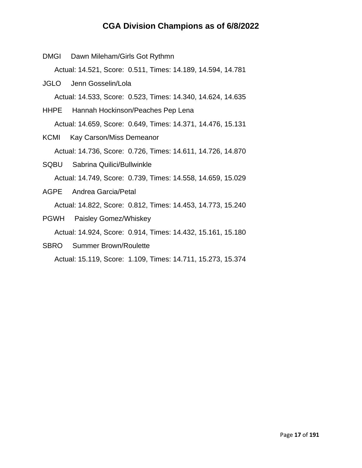DMGI Dawn Mileham/Girls Got Rythmn Actual: 14.521, Score: 0.511, Times: 14.189, 14.594, 14.781 JGLO Jenn Gosselin/Lola Actual: 14.533, Score: 0.523, Times: 14.340, 14.624, 14.635 HHPE Hannah Hockinson/Peaches Pep Lena Actual: 14.659, Score: 0.649, Times: 14.371, 14.476, 15.131 KCMI Kay Carson/Miss Demeanor Actual: 14.736, Score: 0.726, Times: 14.611, 14.726, 14.870 SQBU Sabrina Quilici/Bullwinkle Actual: 14.749, Score: 0.739, Times: 14.558, 14.659, 15.029 AGPE Andrea Garcia/Petal Actual: 14.822, Score: 0.812, Times: 14.453, 14.773, 15.240 PGWH Paisley Gomez/Whiskey Actual: 14.924, Score: 0.914, Times: 14.432, 15.161, 15.180 SBRO Summer Brown/Roulette

Actual: 15.119, Score: 1.109, Times: 14.711, 15.273, 15.374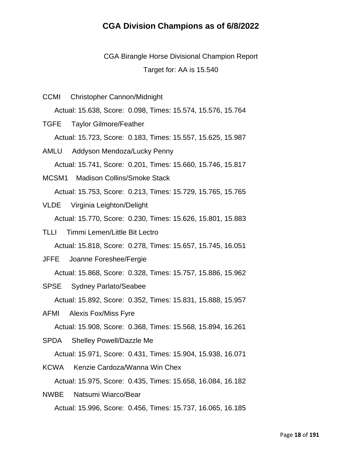CGA Birangle Horse Divisional Champion Report Target for: AA is 15.540

CCMI Christopher Cannon/Midnight

Actual: 15.638, Score: 0.098, Times: 15.574, 15.576, 15.764

TGFE Taylor Gilmore/Feather

Actual: 15.723, Score: 0.183, Times: 15.557, 15.625, 15.987

AMLU Addyson Mendoza/Lucky Penny

Actual: 15.741, Score: 0.201, Times: 15.660, 15.746, 15.817

MCSM1 Madison Collins/Smoke Stack

Actual: 15.753, Score: 0.213, Times: 15.729, 15.765, 15.765

- VLDE Virginia Leighton/Delight Actual: 15.770, Score: 0.230, Times: 15.626, 15.801, 15.883
- TLLI Timmi Lemen/Little Bit Lectro Actual: 15.818, Score: 0.278, Times: 15.657, 15.745, 16.051
- JFFE Joanne Foreshee/Fergie

Actual: 15.868, Score: 0.328, Times: 15.757, 15.886, 15.962

SPSE Sydney Parlato/Seabee

Actual: 15.892, Score: 0.352, Times: 15.831, 15.888, 15.957

AFMI Alexis Fox/Miss Fyre

Actual: 15.908, Score: 0.368, Times: 15.568, 15.894, 16.261

SPDA Shelley Powell/Dazzle Me

Actual: 15.971, Score: 0.431, Times: 15.904, 15.938, 16.071

KCWA Kenzie Cardoza/Wanna Win Chex

Actual: 15.975, Score: 0.435, Times: 15.658, 16.084, 16.182

NWBE Natsumi Wiarco/Bear

Actual: 15.996, Score: 0.456, Times: 15.737, 16.065, 16.185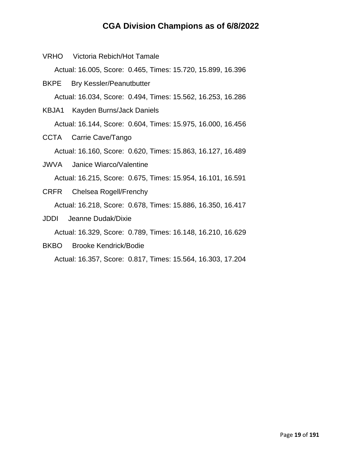- Actual: 16.005, Score: 0.465, Times: 15.720, 15.899, 16.396 BKPE Bry Kessler/Peanutbutter Actual: 16.034, Score: 0.494, Times: 15.562, 16.253, 16.286 KBJA1 Kayden Burns/Jack Daniels Actual: 16.144, Score: 0.604, Times: 15.975, 16.000, 16.456 CCTA Carrie Cave/Tango Actual: 16.160, Score: 0.620, Times: 15.863, 16.127, 16.489 JWVA Janice Wiarco/Valentine Actual: 16.215, Score: 0.675, Times: 15.954, 16.101, 16.591 CRFR Chelsea Rogell/Frenchy Actual: 16.218, Score: 0.678, Times: 15.886, 16.350, 16.417
- JDDI Jeanne Dudak/Dixie

Actual: 16.329, Score: 0.789, Times: 16.148, 16.210, 16.629

BKBO Brooke Kendrick/Bodie

VRHO Victoria Rebich/Hot Tamale

Actual: 16.357, Score: 0.817, Times: 15.564, 16.303, 17.204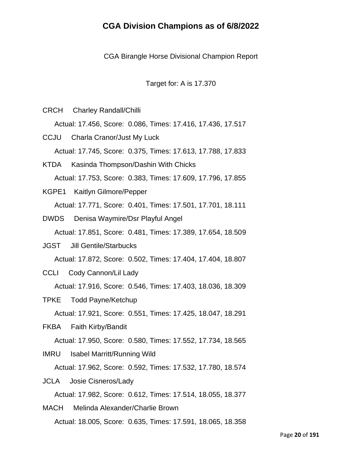CGA Birangle Horse Divisional Champion Report

Target for: A is 17.370

CRCH Charley Randall/Chilli

Actual: 17.456, Score: 0.086, Times: 17.416, 17.436, 17.517

- CCJU Charla Cranor/Just My Luck Actual: 17.745, Score: 0.375, Times: 17.613, 17.788, 17.833
- KTDA Kasinda Thompson/Dashin With Chicks Actual: 17.753, Score: 0.383, Times: 17.609, 17.796, 17.855
- KGPE1 Kaitlyn Gilmore/Pepper Actual: 17.771, Score: 0.401, Times: 17.501, 17.701, 18.111
- DWDS Denisa Waymire/Dsr Playful Angel Actual: 17.851, Score: 0.481, Times: 17.389, 17.654, 18.509
- JGST Jill Gentile/Starbucks Actual: 17.872, Score: 0.502, Times: 17.404, 17.404, 18.807
- CCLI Cody Cannon/Lil Lady

Actual: 17.916, Score: 0.546, Times: 17.403, 18.036, 18.309

- TPKE Todd Payne/Ketchup Actual: 17.921, Score: 0.551, Times: 17.425, 18.047, 18.291
- FKBA Faith Kirby/Bandit
	- Actual: 17.950, Score: 0.580, Times: 17.552, 17.734, 18.565
- IMRU Isabel Marritt/Running Wild Actual: 17.962, Score: 0.592, Times: 17.532, 17.780, 18.574
- JCLA Josie Cisneros/Lady Actual: 17.982, Score: 0.612, Times: 17.514, 18.055, 18.377
- MACH Melinda Alexander/Charlie Brown Actual: 18.005, Score: 0.635, Times: 17.591, 18.065, 18.358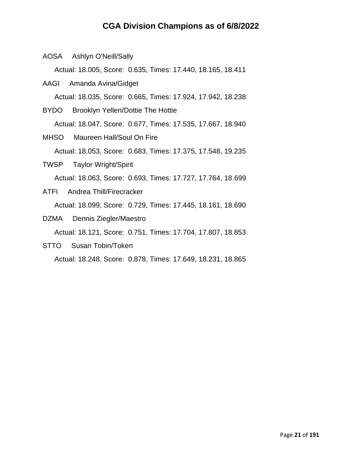AOSA Ashlyn O'Neill/Sally

Actual: 18.005, Score: 0.635, Times: 17.440, 18.165, 18.411

- AAGI Amanda Avina/Gidget Actual: 18.035, Score: 0.665, Times: 17.924, 17.942, 18.238
- BYDO Brooklyn Yellen/Dottie The Hottie Actual: 18.047, Score: 0.677, Times: 17.535, 17.667, 18.940
- MHSO Maureen Hall/Soul On Fire Actual: 18.053, Score: 0.683, Times: 17.375, 17.548, 19.235
- TWSP Taylor Wright/Spirit Actual: 18.063, Score: 0.693, Times: 17.727, 17.764, 18.699
- ATFI Andrea Thill/Firecracker Actual: 18.099, Score: 0.729, Times: 17.445, 18.161, 18.690
- DZMA Dennis Ziegler/Maestro

Actual: 18.121, Score: 0.751, Times: 17.704, 17.807, 18.853

STTO Susan Tobin/Token

Actual: 18.248, Score: 0.878, Times: 17.649, 18.231, 18.865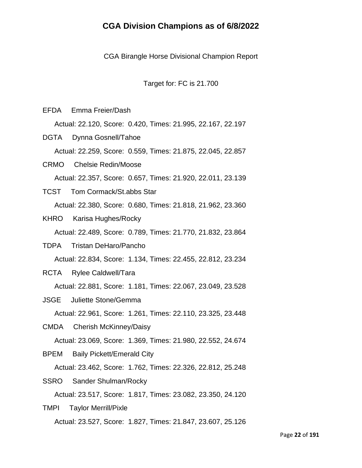CGA Birangle Horse Divisional Champion Report

Target for: FC is 21.700

EFDA Emma Freier/Dash

Actual: 22.120, Score: 0.420, Times: 21.995, 22.167, 22.197

DGTA Dynna Gosnell/Tahoe Actual: 22.259, Score: 0.559, Times: 21.875, 22.045, 22.857

CRMO Chelsie Redin/Moose Actual: 22.357, Score: 0.657, Times: 21.920, 22.011, 23.139

- TCST Tom Cormack/St.abbs Star Actual: 22.380, Score: 0.680, Times: 21.818, 21.962, 23.360
- KHRO Karisa Hughes/Rocky

Actual: 22.489, Score: 0.789, Times: 21.770, 21.832, 23.864

- TDPA Tristan DeHaro/Pancho Actual: 22.834, Score: 1.134, Times: 22.455, 22.812, 23.234
- RCTA Rylee Caldwell/Tara

Actual: 22.881, Score: 1.181, Times: 22.067, 23.049, 23.528

JSGE Juliette Stone/Gemma

Actual: 22.961, Score: 1.261, Times: 22.110, 23.325, 23.448

CMDA Cherish McKinney/Daisy

Actual: 23.069, Score: 1.369, Times: 21.980, 22.552, 24.674

BPEM Baily Pickett/Emerald City

Actual: 23.462, Score: 1.762, Times: 22.326, 22.812, 25.248

SSRO Sander Shulman/Rocky

Actual: 23.517, Score: 1.817, Times: 23.082, 23.350, 24.120

TMPI Taylor Merrill/Pixle Actual: 23.527, Score: 1.827, Times: 21.847, 23.607, 25.126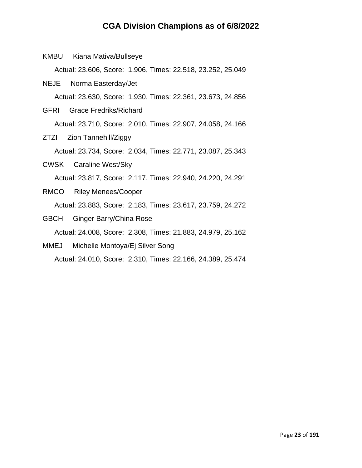KMBU Kiana Mativa/Bullseye

Actual: 23.606, Score: 1.906, Times: 22.518, 23.252, 25.049

- NEJE Norma Easterday/Jet Actual: 23.630, Score: 1.930, Times: 22.361, 23.673, 24.856
- GFRI Grace Fredriks/Richard

Actual: 23.710, Score: 2.010, Times: 22.907, 24.058, 24.166

ZTZI Zion Tannehill/Ziggy

Actual: 23.734, Score: 2.034, Times: 22.771, 23.087, 25.343

- CWSK Caraline West/Sky Actual: 23.817, Score: 2.117, Times: 22.940, 24.220, 24.291
- RMCO Riley Menees/Cooper Actual: 23.883, Score: 2.183, Times: 23.617, 23.759, 24.272
- GBCH Ginger Barry/China Rose Actual: 24.008, Score: 2.308, Times: 21.883, 24.979, 25.162
- MMEJ Michelle Montoya/Ej Silver Song Actual: 24.010, Score: 2.310, Times: 22.166, 24.389, 25.474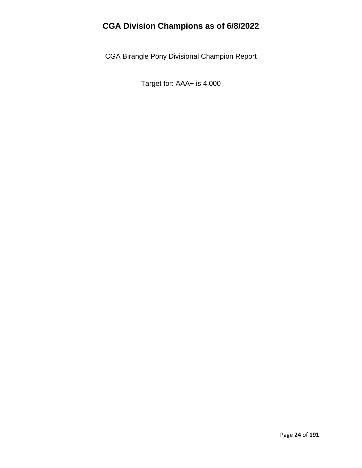CGA Birangle Pony Divisional Champion Report

Target for: AAA+ is 4.000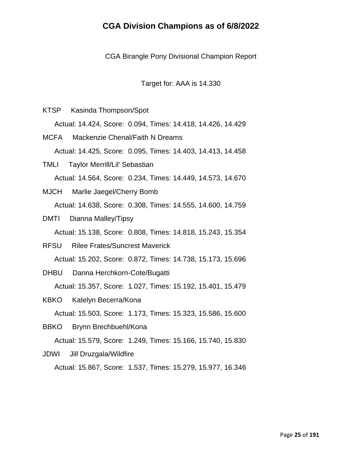CGA Birangle Pony Divisional Champion Report

Target for: AAA is 14.330

- KTSP Kasinda Thompson/Spot Actual: 14.424, Score: 0.094, Times: 14.418, 14.426, 14.429
- MCFA Mackenzie Chenal/Faith N Dreams Actual: 14.425, Score: 0.095, Times: 14.403, 14.413, 14.458
- TMLI Taylor Merrill/Lil' Sebastian Actual: 14.564, Score: 0.234, Times: 14.449, 14.573, 14.670
- MJCH Marlie Jaegel/Cherry Bomb Actual: 14.638, Score: 0.308, Times: 14.555, 14.600, 14.759
- DMTI Dianna Malley/Tipsy Actual: 15.138, Score: 0.808, Times: 14.818, 15.243, 15.354
- RFSU Rilee Frates/Suncrest Maverick Actual: 15.202, Score: 0.872, Times: 14.738, 15.173, 15.696
- DHBU Danna Herchkorn-Cote/Bugatti Actual: 15.357, Score: 1.027, Times: 15.192, 15.401, 15.479
- KBKO Katelyn Becerra/Kona
	- Actual: 15.503, Score: 1.173, Times: 15.323, 15.586, 15.600
- BBKO Brynn Brechbuehl/Kona

Actual: 15.579, Score: 1.249, Times: 15.166, 15.740, 15.830

JDWI Jill Druzgala/Wildfire

Actual: 15.867, Score: 1.537, Times: 15.279, 15.977, 16.346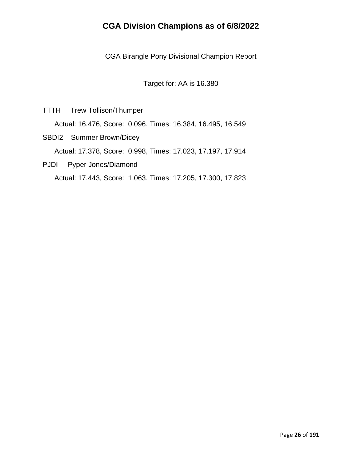CGA Birangle Pony Divisional Champion Report

Target for: AA is 16.380

TTTH Trew Tollison/Thumper

Actual: 16.476, Score: 0.096, Times: 16.384, 16.495, 16.549

SBDI2 Summer Brown/Dicey

Actual: 17.378, Score: 0.998, Times: 17.023, 17.197, 17.914

PJDI Pyper Jones/Diamond

Actual: 17.443, Score: 1.063, Times: 17.205, 17.300, 17.823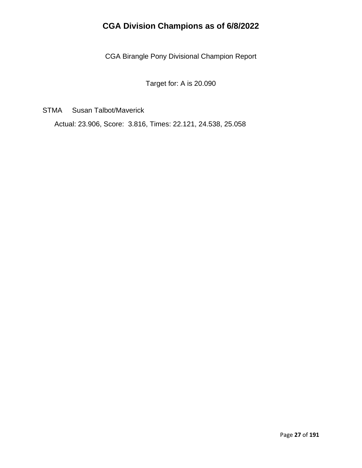CGA Birangle Pony Divisional Champion Report

Target for: A is 20.090

STMA Susan Talbot/Maverick

Actual: 23.906, Score: 3.816, Times: 22.121, 24.538, 25.058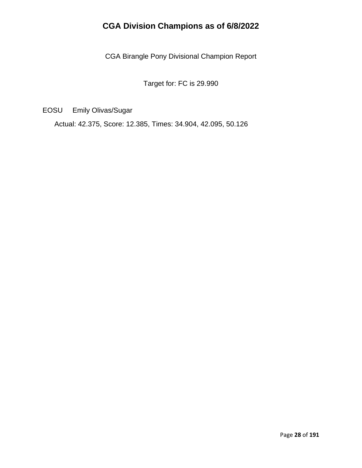CGA Birangle Pony Divisional Champion Report

Target for: FC is 29.990

EOSU Emily Olivas/Sugar

Actual: 42.375, Score: 12.385, Times: 34.904, 42.095, 50.126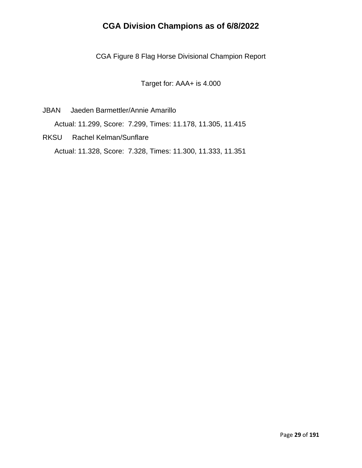CGA Figure 8 Flag Horse Divisional Champion Report

Target for: AAA+ is 4.000

- JBAN Jaeden Barmettler/Annie Amarillo Actual: 11.299, Score: 7.299, Times: 11.178, 11.305, 11.415
- RKSU Rachel Kelman/Sunflare Actual: 11.328, Score: 7.328, Times: 11.300, 11.333, 11.351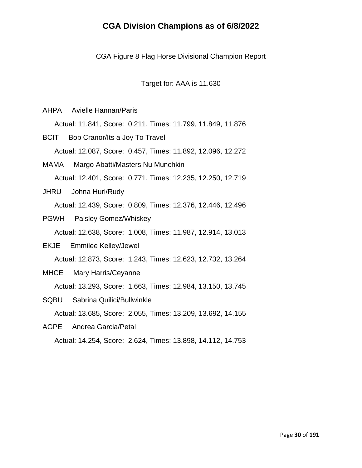CGA Figure 8 Flag Horse Divisional Champion Report

Target for: AAA is 11.630

AHPA Avielle Hannan/Paris

Actual: 11.841, Score: 0.211, Times: 11.799, 11.849, 11.876

BCIT Bob Cranor/Its a Joy To Travel Actual: 12.087, Score: 0.457, Times: 11.892, 12.096, 12.272

MAMA Margo Abatti/Masters Nu Munchkin Actual: 12.401, Score: 0.771, Times: 12.235, 12.250, 12.719

JHRU Johna Hurl/Rudy Actual: 12.439, Score: 0.809, Times: 12.376, 12.446, 12.496

- PGWH Paisley Gomez/Whiskey Actual: 12.638, Score: 1.008, Times: 11.987, 12.914, 13.013
- EKJE Emmilee Kelley/Jewel Actual: 12.873, Score: 1.243, Times: 12.623, 12.732, 13.264

MHCE Mary Harris/Ceyanne

Actual: 13.293, Score: 1.663, Times: 12.984, 13.150, 13.745

SQBU Sabrina Quilici/Bullwinkle Actual: 13.685, Score: 2.055, Times: 13.209, 13.692, 14.155

AGPE Andrea Garcia/Petal

Actual: 14.254, Score: 2.624, Times: 13.898, 14.112, 14.753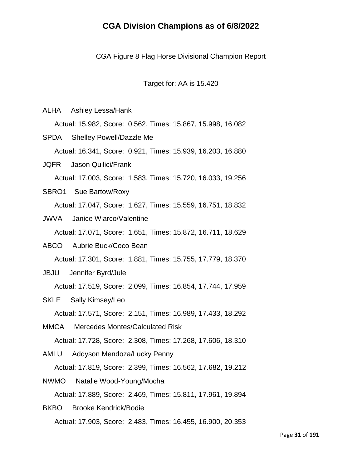CGA Figure 8 Flag Horse Divisional Champion Report

Target for: AA is 15.420

ALHA Ashley Lessa/Hank

Actual: 15.982, Score: 0.562, Times: 15.867, 15.998, 16.082

SPDA Shelley Powell/Dazzle Me Actual: 16.341, Score: 0.921, Times: 15.939, 16.203, 16.880 JQFR Jason Quilici/Frank

Actual: 17.003, Score: 1.583, Times: 15.720, 16.033, 19.256

SBRO1 Sue Bartow/Roxy

Actual: 17.047, Score: 1.627, Times: 15.559, 16.751, 18.832

JWVA Janice Wiarco/Valentine

Actual: 17.071, Score: 1.651, Times: 15.872, 16.711, 18.629

- ABCO Aubrie Buck/Coco Bean Actual: 17.301, Score: 1.881, Times: 15.755, 17.779, 18.370
- JBJU Jennifer Byrd/Jule

Actual: 17.519, Score: 2.099, Times: 16.854, 17.744, 17.959

SKLE Sally Kimsey/Leo

Actual: 17.571, Score: 2.151, Times: 16.989, 17.433, 18.292

MMCA Mercedes Montes/Calculated Risk

Actual: 17.728, Score: 2.308, Times: 17.268, 17.606, 18.310

AMLU Addyson Mendoza/Lucky Penny Actual: 17.819, Score: 2.399, Times: 16.562, 17.682, 19.212

NWMO Natalie Wood-Young/Mocha Actual: 17.889, Score: 2.469, Times: 15.811, 17.961, 19.894

BKBO Brooke Kendrick/Bodie Actual: 17.903, Score: 2.483, Times: 16.455, 16.900, 20.353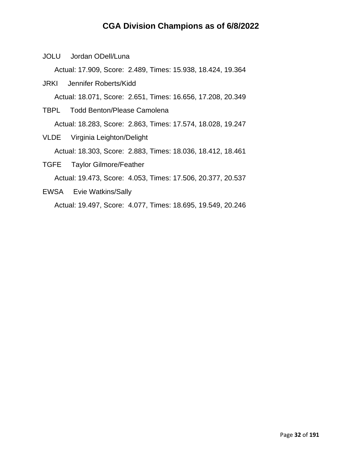JOLU Jordan ODell/Luna

Actual: 17.909, Score: 2.489, Times: 15.938, 18.424, 19.364

JRKI Jennifer Roberts/Kidd

Actual: 18.071, Score: 2.651, Times: 16.656, 17.208, 20.349

- TBPL Todd Benton/Please Camolena Actual: 18.283, Score: 2.863, Times: 17.574, 18.028, 19.247
- VLDE Virginia Leighton/Delight Actual: 18.303, Score: 2.883, Times: 18.036, 18.412, 18.461 TGFE Taylor Gilmore/Feather

Actual: 19.473, Score: 4.053, Times: 17.506, 20.377, 20.537

EWSA Evie Watkins/Sally Actual: 19.497, Score: 4.077, Times: 18.695, 19.549, 20.246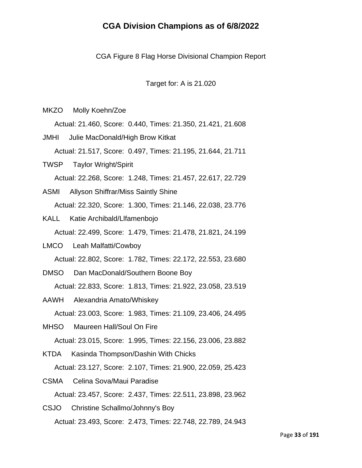CGA Figure 8 Flag Horse Divisional Champion Report

Target for: A is 21.020

MKZO Molly Koehn/Zoe

Actual: 21.460, Score: 0.440, Times: 21.350, 21.421, 21.608

- JMHI Julie MacDonald/High Brow Kitkat Actual: 21.517, Score: 0.497, Times: 21.195, 21.644, 21.711
- TWSP Taylor Wright/Spirit Actual: 22.268, Score: 1.248, Times: 21.457, 22.617, 22.729
- ASMI Allyson Shiffrar/Miss Saintly Shine Actual: 22.320, Score: 1.300, Times: 21.146, 22.038, 23.776
- KALL Katie Archibald/Llfamenbojo Actual: 22.499, Score: 1.479, Times: 21.478, 21.821, 24.199
- LMCO Leah Malfatti/Cowboy Actual: 22.802, Score: 1.782, Times: 22.172, 22.553, 23.680
- DMSO Dan MacDonald/Southern Boone Boy Actual: 22.833, Score: 1.813, Times: 21.922, 23.058, 23.519
- AAWH Alexandria Amato/Whiskey Actual: 23.003, Score: 1.983, Times: 21.109, 23.406, 24.495
- MHSO Maureen Hall/Soul On Fire

Actual: 23.015, Score: 1.995, Times: 22.156, 23.006, 23.882

- KTDA Kasinda Thompson/Dashin With Chicks Actual: 23.127, Score: 2.107, Times: 21.900, 22.059, 25.423
- CSMA Celina Sova/Maui Paradise Actual: 23.457, Score: 2.437, Times: 22.511, 23.898, 23.962
- CSJO Christine Schallmo/Johnny's Boy Actual: 23.493, Score: 2.473, Times: 22.748, 22.789, 24.943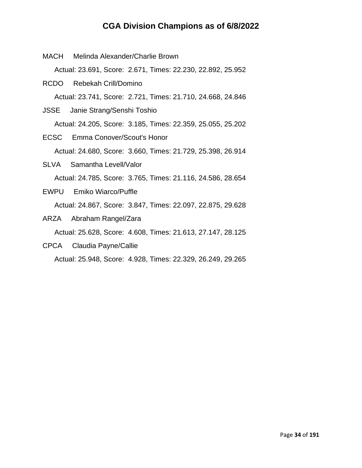- MACH Melinda Alexander/Charlie Brown Actual: 23.691, Score: 2.671, Times: 22.230, 22.892, 25.952 RCDO Rebekah Crill/Domino Actual: 23.741, Score: 2.721, Times: 21.710, 24.668, 24.846 JSSE Janie Strang/Senshi Toshio Actual: 24.205, Score: 3.185, Times: 22.359, 25.055, 25.202 ECSC Emma Conover/Scout's Honor Actual: 24.680, Score: 3.660, Times: 21.729, 25.398, 26.914
- SLVA Samantha Levell/Valor Actual: 24.785, Score: 3.765, Times: 21.116, 24.586, 28.654
- EWPU Emiko Wiarco/Puffle Actual: 24.867, Score: 3.847, Times: 22.097, 22.875, 29.628
- ARZA Abraham Rangel/Zara

Actual: 25.628, Score: 4.608, Times: 21.613, 27.147, 28.125

CPCA Claudia Payne/Callie

Actual: 25.948, Score: 4.928, Times: 22.329, 26.249, 29.265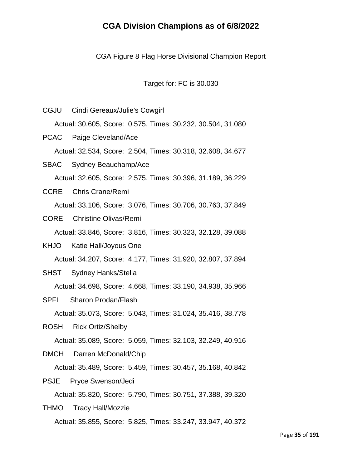CGA Figure 8 Flag Horse Divisional Champion Report

Target for: FC is 30.030

CGJU Cindi Gereaux/Julie's Cowgirl Actual: 30.605, Score: 0.575, Times: 30.232, 30.504, 31.080 PCAC Paige Cleveland/Ace Actual: 32.534, Score: 2.504, Times: 30.318, 32.608, 34.677 SBAC Sydney Beauchamp/Ace Actual: 32.605, Score: 2.575, Times: 30.396, 31.189, 36.229 CCRE Chris Crane/Remi Actual: 33.106, Score: 3.076, Times: 30.706, 30.763, 37.849 CORE Christine Olivas/Remi Actual: 33.846, Score: 3.816, Times: 30.323, 32.128, 39.088 KHJO Katie Hall/Joyous One Actual: 34.207, Score: 4.177, Times: 31.920, 32.807, 37.894 SHST Sydney Hanks/Stella Actual: 34.698, Score: 4.668, Times: 33.190, 34.938, 35.966 SPFL Sharon Prodan/Flash Actual: 35.073, Score: 5.043, Times: 31.024, 35.416, 38.778 ROSH Rick Ortiz/Shelby Actual: 35.089, Score: 5.059, Times: 32.103, 32.249, 40.916 DMCH Darren McDonald/Chip Actual: 35.489, Score: 5.459, Times: 30.457, 35.168, 40.842 PSJE Pryce Swenson/Jedi Actual: 35.820, Score: 5.790, Times: 30.751, 37.388, 39.320 THMO Tracy Hall/Mozzie

Actual: 35.855, Score: 5.825, Times: 33.247, 33.947, 40.372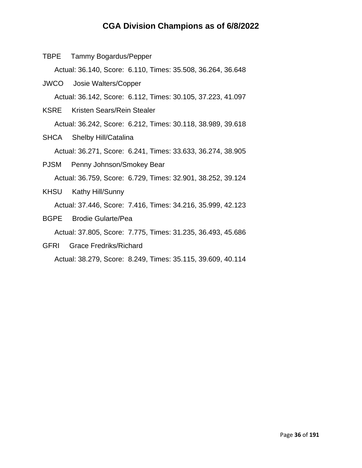TBPE Tammy Bogardus/Pepper

Actual: 36.140, Score: 6.110, Times: 35.508, 36.264, 36.648

JWCO Josie Walters/Copper

Actual: 36.142, Score: 6.112, Times: 30.105, 37.223, 41.097

- KSRE Kristen Sears/Rein Stealer Actual: 36.242, Score: 6.212, Times: 30.118, 38.989, 39.618
- SHCA Shelby Hill/Catalina Actual: 36.271, Score: 6.241, Times: 33.633, 36.274, 38.905
- PJSM Penny Johnson/Smokey Bear Actual: 36.759, Score: 6.729, Times: 32.901, 38.252, 39.124
- KHSU Kathy Hill/Sunny Actual: 37.446, Score: 7.416, Times: 34.216, 35.999, 42.123
- BGPE Brodie Gularte/Pea

Actual: 37.805, Score: 7.775, Times: 31.235, 36.493, 45.686

GFRI Grace Fredriks/Richard

Actual: 38.279, Score: 8.249, Times: 35.115, 39.609, 40.114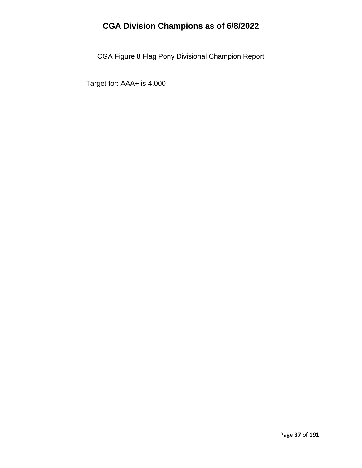CGA Figure 8 Flag Pony Divisional Champion Report

Target for: AAA+ is 4.000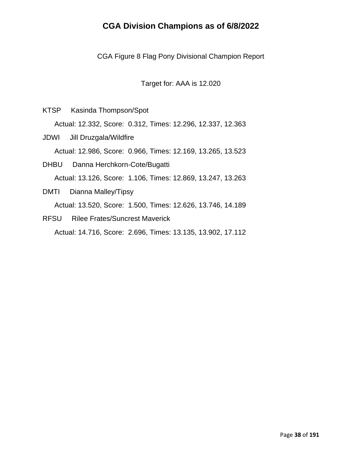CGA Figure 8 Flag Pony Divisional Champion Report

Target for: AAA is 12.020

KTSP Kasinda Thompson/Spot

Actual: 12.332, Score: 0.312, Times: 12.296, 12.337, 12.363

JDWI Jill Druzgala/Wildfire

Actual: 12.986, Score: 0.966, Times: 12.169, 13.265, 13.523

- DHBU Danna Herchkorn-Cote/Bugatti Actual: 13.126, Score: 1.106, Times: 12.869, 13.247, 13.263
- DMTI Dianna Malley/Tipsy Actual: 13.520, Score: 1.500, Times: 12.626, 13.746, 14.189
- RFSU Rilee Frates/Suncrest Maverick

Actual: 14.716, Score: 2.696, Times: 13.135, 13.902, 17.112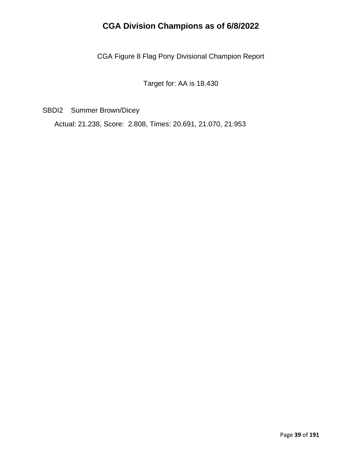CGA Figure 8 Flag Pony Divisional Champion Report

Target for: AA is 18.430

SBDI2 Summer Brown/Dicey

Actual: 21.238, Score: 2.808, Times: 20.691, 21.070, 21.953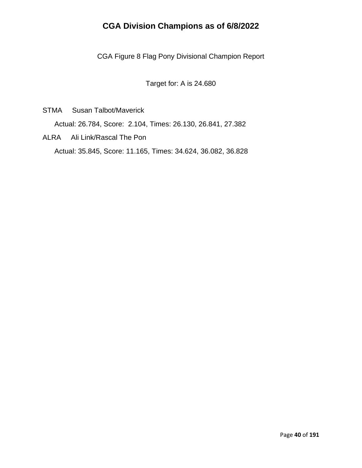CGA Figure 8 Flag Pony Divisional Champion Report

Target for: A is 24.680

STMA Susan Talbot/Maverick

Actual: 26.784, Score: 2.104, Times: 26.130, 26.841, 27.382

ALRA Ali Link/Rascal The Pon Actual: 35.845, Score: 11.165, Times: 34.624, 36.082, 36.828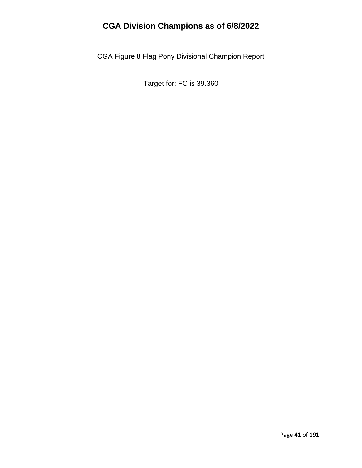CGA Figure 8 Flag Pony Divisional Champion Report

Target for: FC is 39.360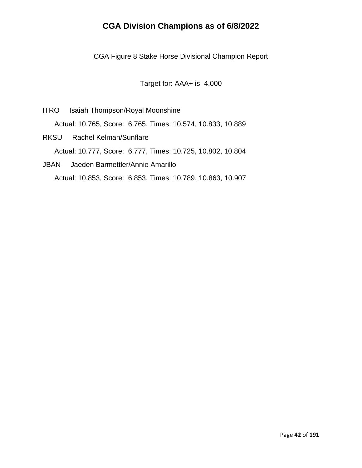CGA Figure 8 Stake Horse Divisional Champion Report

Target for: AAA+ is 4.000

- ITRO Isaiah Thompson/Royal Moonshine Actual: 10.765, Score: 6.765, Times: 10.574, 10.833, 10.889
- RKSU Rachel Kelman/Sunflare Actual: 10.777, Score: 6.777, Times: 10.725, 10.802, 10.804
- JBAN Jaeden Barmettler/Annie Amarillo Actual: 10.853, Score: 6.853, Times: 10.789, 10.863, 10.907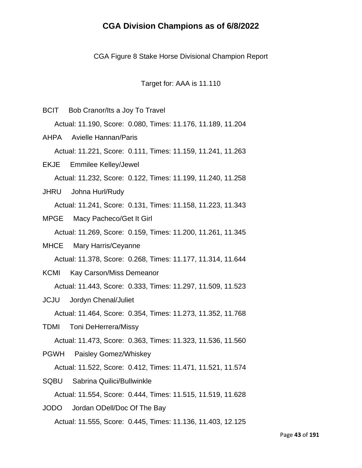CGA Figure 8 Stake Horse Divisional Champion Report

Target for: AAA is 11.110

- BCIT Bob Cranor/Its a Joy To Travel Actual: 11.190, Score: 0.080, Times: 11.176, 11.189, 11.204 AHPA Avielle Hannan/Paris Actual: 11.221, Score: 0.111, Times: 11.159, 11.241, 11.263 EKJE Emmilee Kelley/Jewel Actual: 11.232, Score: 0.122, Times: 11.199, 11.240, 11.258
- JHRU Johna Hurl/Rudy Actual: 11.241, Score: 0.131, Times: 11.158, 11.223, 11.343
- MPGE Macy Pacheco/Get It Girl Actual: 11.269, Score: 0.159, Times: 11.200, 11.261, 11.345
- MHCE Mary Harris/Ceyanne Actual: 11.378, Score: 0.268, Times: 11.177, 11.314, 11.644
- KCMI Kay Carson/Miss Demeanor

Actual: 11.443, Score: 0.333, Times: 11.297, 11.509, 11.523

JCJU Jordyn Chenal/Juliet

Actual: 11.464, Score: 0.354, Times: 11.273, 11.352, 11.768

TDMI Toni DeHerrera/Missy

Actual: 11.473, Score: 0.363, Times: 11.323, 11.536, 11.560

PGWH Paisley Gomez/Whiskey

Actual: 11.522, Score: 0.412, Times: 11.471, 11.521, 11.574

SQBU Sabrina Quilici/Bullwinkle Actual: 11.554, Score: 0.444, Times: 11.515, 11.519, 11.628 JODO Jordan ODell/Doc Of The Bay

Actual: 11.555, Score: 0.445, Times: 11.136, 11.403, 12.125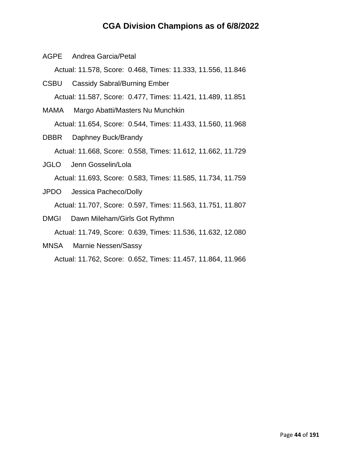AGPE Andrea Garcia/Petal

Actual: 11.578, Score: 0.468, Times: 11.333, 11.556, 11.846

- CSBU Cassidy Sabral/Burning Ember Actual: 11.587, Score: 0.477, Times: 11.421, 11.489, 11.851
- MAMA Margo Abatti/Masters Nu Munchkin Actual: 11.654, Score: 0.544, Times: 11.433, 11.560, 11.968
- DBBR Daphney Buck/Brandy Actual: 11.668, Score: 0.558, Times: 11.612, 11.662, 11.729
- JGLO Jenn Gosselin/Lola Actual: 11.693, Score: 0.583, Times: 11.585, 11.734, 11.759
- JPDO Jessica Pacheco/Dolly Actual: 11.707, Score: 0.597, Times: 11.563, 11.751, 11.807
- DMGI Dawn Mileham/Girls Got Rythmn Actual: 11.749, Score: 0.639, Times: 11.536, 11.632, 12.080
- MNSA Marnie Nessen/Sassy

Actual: 11.762, Score: 0.652, Times: 11.457, 11.864, 11.966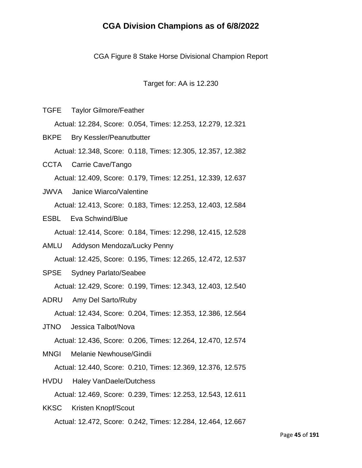CGA Figure 8 Stake Horse Divisional Champion Report

Target for: AA is 12.230

TGFE Taylor Gilmore/Feather

Actual: 12.284, Score: 0.054, Times: 12.253, 12.279, 12.321

- BKPE Bry Kessler/Peanutbutter Actual: 12.348, Score: 0.118, Times: 12.305, 12.357, 12.382
- CCTA Carrie Cave/Tango Actual: 12.409, Score: 0.179, Times: 12.251, 12.339, 12.637
- JWVA Janice Wiarco/Valentine Actual: 12.413, Score: 0.183, Times: 12.253, 12.403, 12.584
- ESBL Eva Schwind/Blue

Actual: 12.414, Score: 0.184, Times: 12.298, 12.415, 12.528

- AMLU Addyson Mendoza/Lucky Penny Actual: 12.425, Score: 0.195, Times: 12.265, 12.472, 12.537
- SPSE Sydney Parlato/Seabee

Actual: 12.429, Score: 0.199, Times: 12.343, 12.403, 12.540

- ADRU Amy Del Sarto/Ruby Actual: 12.434, Score: 0.204, Times: 12.353, 12.386, 12.564
- JTNO Jessica Talbot/Nova

Actual: 12.436, Score: 0.206, Times: 12.264, 12.470, 12.574

MNGI Melanie Newhouse/Gindii

Actual: 12.440, Score: 0.210, Times: 12.369, 12.376, 12.575

- HVDU Haley VanDaele/Dutchess Actual: 12.469, Score: 0.239, Times: 12.253, 12.543, 12.611
- KKSC Kristen Knopf/Scout Actual: 12.472, Score: 0.242, Times: 12.284, 12.464, 12.667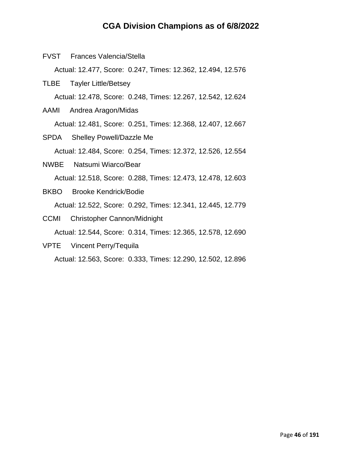- FVST Frances Valencia/Stella Actual: 12.477, Score: 0.247, Times: 12.362, 12.494, 12.576 TLBE Tayler Little/Betsey Actual: 12.478, Score: 0.248, Times: 12.267, 12.542, 12.624 AAMI Andrea Aragon/Midas Actual: 12.481, Score: 0.251, Times: 12.368, 12.407, 12.667 SPDA Shelley Powell/Dazzle Me Actual: 12.484, Score: 0.254, Times: 12.372, 12.526, 12.554 NWBE Natsumi Wiarco/Bear Actual: 12.518, Score: 0.288, Times: 12.473, 12.478, 12.603 BKBO Brooke Kendrick/Bodie Actual: 12.522, Score: 0.292, Times: 12.341, 12.445, 12.779
- CCMI Christopher Cannon/Midnight Actual: 12.544, Score: 0.314, Times: 12.365, 12.578, 12.690
- VPTE Vincent Perry/Tequila Actual: 12.563, Score: 0.333, Times: 12.290, 12.502, 12.896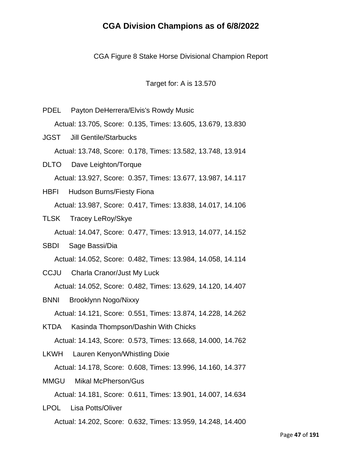CGA Figure 8 Stake Horse Divisional Champion Report

Target for: A is 13.570

PDEL Payton DeHerrera/Elvis's Rowdy Music Actual: 13.705, Score: 0.135, Times: 13.605, 13.679, 13.830 JGST Jill Gentile/Starbucks Actual: 13.748, Score: 0.178, Times: 13.582, 13.748, 13.914 DLTO Dave Leighton/Torque Actual: 13.927, Score: 0.357, Times: 13.677, 13.987, 14.117 HBFI Hudson Burns/Fiesty Fiona Actual: 13.987, Score: 0.417, Times: 13.838, 14.017, 14.106 TLSK Tracey LeRoy/Skye Actual: 14.047, Score: 0.477, Times: 13.913, 14.077, 14.152 SBDI Sage Bassi/Dia Actual: 14.052, Score: 0.482, Times: 13.984, 14.058, 14.114 CCJU Charla Cranor/Just My Luck Actual: 14.052, Score: 0.482, Times: 13.629, 14.120, 14.407 BNNI Brooklynn Nogo/Nixxy Actual: 14.121, Score: 0.551, Times: 13.874, 14.228, 14.262 KTDA Kasinda Thompson/Dashin With Chicks Actual: 14.143, Score: 0.573, Times: 13.668, 14.000, 14.762 LKWH Lauren Kenyon/Whistling Dixie Actual: 14.178, Score: 0.608, Times: 13.996, 14.160, 14.377 MMGU Mikal McPherson/Gus Actual: 14.181, Score: 0.611, Times: 13.901, 14.007, 14.634 LPOL Lisa Potts/Oliver

Actual: 14.202, Score: 0.632, Times: 13.959, 14.248, 14.400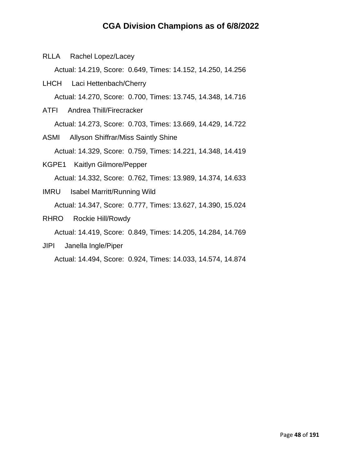RLLA Rachel Lopez/Lacey

Actual: 14.219, Score: 0.649, Times: 14.152, 14.250, 14.256

- LHCH Laci Hettenbach/Cherry Actual: 14.270, Score: 0.700, Times: 13.745, 14.348, 14.716
- ATFI Andrea Thill/Firecracker Actual: 14.273, Score: 0.703, Times: 13.669, 14.429, 14.722
- ASMI Allyson Shiffrar/Miss Saintly Shine Actual: 14.329, Score: 0.759, Times: 14.221, 14.348, 14.419
- KGPE1 Kaitlyn Gilmore/Pepper Actual: 14.332, Score: 0.762, Times: 13.989, 14.374, 14.633
- IMRU Isabel Marritt/Running Wild Actual: 14.347, Score: 0.777, Times: 13.627, 14.390, 15.024
- RHRO Rockie Hill/Rowdy

Actual: 14.419, Score: 0.849, Times: 14.205, 14.284, 14.769

JIPI Janella Ingle/Piper

Actual: 14.494, Score: 0.924, Times: 14.033, 14.574, 14.874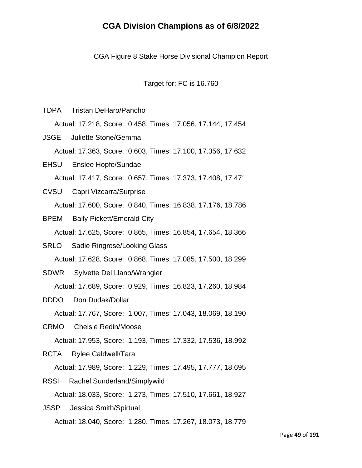CGA Figure 8 Stake Horse Divisional Champion Report

Target for: FC is 16.760

TDPA Tristan DeHaro/Pancho

Actual: 17.218, Score: 0.458, Times: 17.056, 17.144, 17.454

- JSGE Juliette Stone/Gemma Actual: 17.363, Score: 0.603, Times: 17.100, 17.356, 17.632
- EHSU Enslee Hopfe/Sundae Actual: 17.417, Score: 0.657, Times: 17.373, 17.408, 17.471
- CVSU Capri Vizcarra/Surprise Actual: 17.600, Score: 0.840, Times: 16.838, 17.176, 18.786
- BPEM Baily Pickett/Emerald City Actual: 17.625, Score: 0.865, Times: 16.854, 17.654, 18.366
- SRLO Sadie Ringrose/Looking Glass Actual: 17.628, Score: 0.868, Times: 17.085, 17.500, 18.299
- SDWR Sylvette Del Llano/Wrangler

Actual: 17.689, Score: 0.929, Times: 16.823, 17.260, 18.984

DDDO Don Dudak/Dollar

Actual: 17.767, Score: 1.007, Times: 17.043, 18.069, 18.190

CRMO Chelsie Redin/Moose

Actual: 17.953, Score: 1.193, Times: 17.332, 17.536, 18.992

RCTA Rylee Caldwell/Tara

Actual: 17.989, Score: 1.229, Times: 17.495, 17.777, 18.695

- RSSI Rachel Sunderland/Simplywild Actual: 18.033, Score: 1.273, Times: 17.510, 17.661, 18.927
- JSSP Jessica Smith/Spirtual Actual: 18.040, Score: 1.280, Times: 17.267, 18.073, 18.779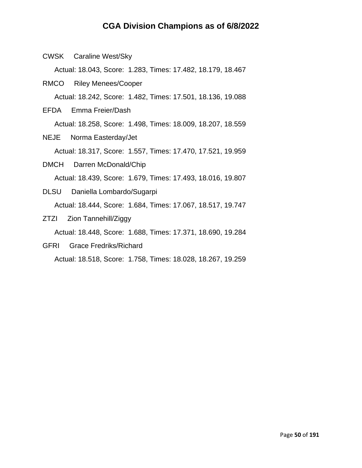CWSK Caraline West/Sky

Actual: 18.043, Score: 1.283, Times: 17.482, 18.179, 18.467

RMCO Riley Menees/Cooper

Actual: 18.242, Score: 1.482, Times: 17.501, 18.136, 19.088

EFDA Emma Freier/Dash

Actual: 18.258, Score: 1.498, Times: 18.009, 18.207, 18.559

- NEJE Norma Easterday/Jet Actual: 18.317, Score: 1.557, Times: 17.470, 17.521, 19.959
- DMCH Darren McDonald/Chip Actual: 18.439, Score: 1.679, Times: 17.493, 18.016, 19.807
- DLSU Daniella Lombardo/Sugarpi Actual: 18.444, Score: 1.684, Times: 17.067, 18.517, 19.747
- ZTZI Zion Tannehill/Ziggy

Actual: 18.448, Score: 1.688, Times: 17.371, 18.690, 19.284

GFRI Grace Fredriks/Richard

Actual: 18.518, Score: 1.758, Times: 18.028, 18.267, 19.259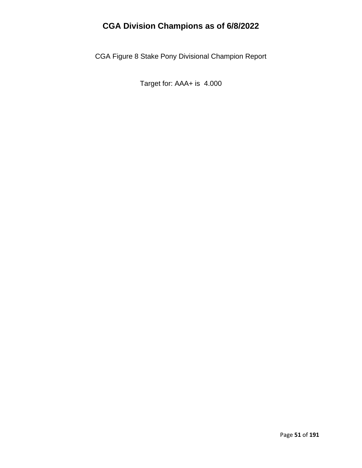CGA Figure 8 Stake Pony Divisional Champion Report

Target for: AAA+ is 4.000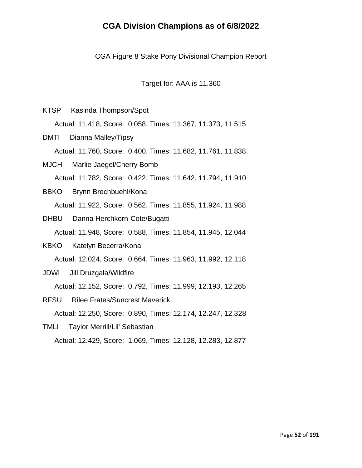CGA Figure 8 Stake Pony Divisional Champion Report

Target for: AAA is 11.360

- KTSP Kasinda Thompson/Spot Actual: 11.418, Score: 0.058, Times: 11.367, 11.373, 11.515
- DMTI Dianna Malley/Tipsy Actual: 11.760, Score: 0.400, Times: 11.682, 11.761, 11.838
- MJCH Marlie Jaegel/Cherry Bomb Actual: 11.782, Score: 0.422, Times: 11.642, 11.794, 11.910
- BBKO Brynn Brechbuehl/Kona Actual: 11.922, Score: 0.562, Times: 11.855, 11.924, 11.988
- DHBU Danna Herchkorn-Cote/Bugatti Actual: 11.948, Score: 0.588, Times: 11.854, 11.945, 12.044
- KBKO Katelyn Becerra/Kona Actual: 12.024, Score: 0.664, Times: 11.963, 11.992, 12.118
- JDWI Jill Druzgala/Wildfire

Actual: 12.152, Score: 0.792, Times: 11.999, 12.193, 12.265

- RFSU Rilee Frates/Suncrest Maverick Actual: 12.250, Score: 0.890, Times: 12.174, 12.247, 12.328
- TMLI Taylor Merrill/Lil' Sebastian Actual: 12.429, Score: 1.069, Times: 12.128, 12.283, 12.877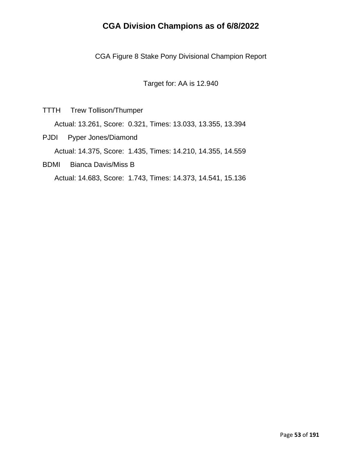CGA Figure 8 Stake Pony Divisional Champion Report

Target for: AA is 12.940

TTTH Trew Tollison/Thumper

Actual: 13.261, Score: 0.321, Times: 13.033, 13.355, 13.394

- PJDI Pyper Jones/Diamond Actual: 14.375, Score: 1.435, Times: 14.210, 14.355, 14.559
- BDMI Bianca Davis/Miss B

Actual: 14.683, Score: 1.743, Times: 14.373, 14.541, 15.136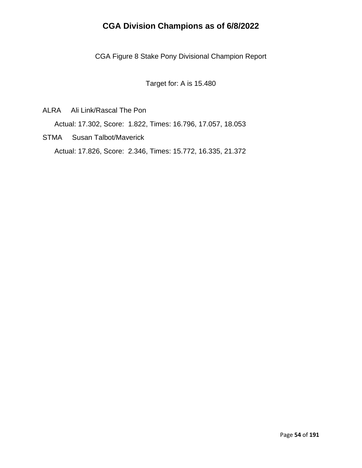CGA Figure 8 Stake Pony Divisional Champion Report

Target for: A is 15.480

ALRA Ali Link/Rascal The Pon

Actual: 17.302, Score: 1.822, Times: 16.796, 17.057, 18.053

STMA Susan Talbot/Maverick Actual: 17.826, Score: 2.346, Times: 15.772, 16.335, 21.372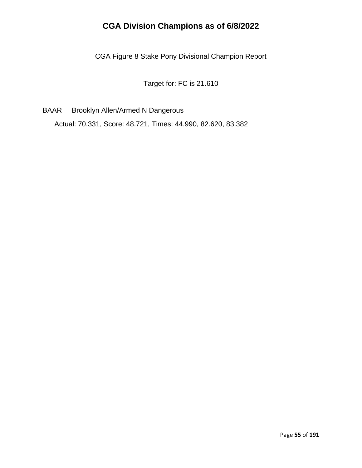CGA Figure 8 Stake Pony Divisional Champion Report

Target for: FC is 21.610

BAAR Brooklyn Allen/Armed N Dangerous

Actual: 70.331, Score: 48.721, Times: 44.990, 82.620, 83.382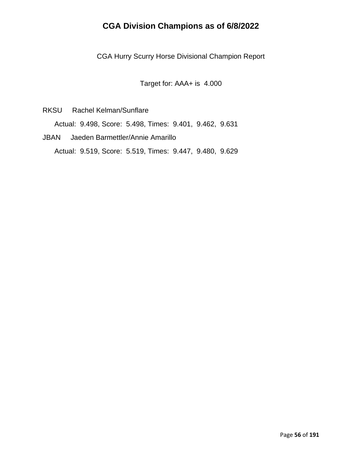CGA Hurry Scurry Horse Divisional Champion Report

Target for: AAA+ is 4.000

RKSU Rachel Kelman/Sunflare

Actual: 9.498, Score: 5.498, Times: 9.401, 9.462, 9.631

JBAN Jaeden Barmettler/Annie Amarillo Actual: 9.519, Score: 5.519, Times: 9.447, 9.480, 9.629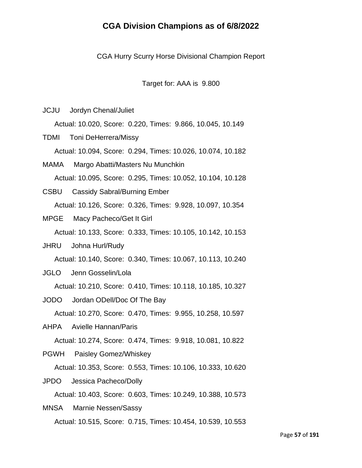CGA Hurry Scurry Horse Divisional Champion Report

Target for: AAA is 9.800

JCJU Jordyn Chenal/Juliet

Actual: 10.020, Score: 0.220, Times: 9.866, 10.045, 10.149

TDMI Toni DeHerrera/Missy Actual: 10.094, Score: 0.294, Times: 10.026, 10.074, 10.182

- MAMA Margo Abatti/Masters Nu Munchkin Actual: 10.095, Score: 0.295, Times: 10.052, 10.104, 10.128
- CSBU Cassidy Sabral/Burning Ember Actual: 10.126, Score: 0.326, Times: 9.928, 10.097, 10.354
- MPGE Macy Pacheco/Get It Girl

Actual: 10.133, Score: 0.333, Times: 10.105, 10.142, 10.153

- JHRU Johna Hurl/Rudy Actual: 10.140, Score: 0.340, Times: 10.067, 10.113, 10.240
- JGLO Jenn Gosselin/Lola

Actual: 10.210, Score: 0.410, Times: 10.118, 10.185, 10.327

- JODO Jordan ODell/Doc Of The Bay Actual: 10.270, Score: 0.470, Times: 9.955, 10.258, 10.597
- AHPA Avielle Hannan/Paris

Actual: 10.274, Score: 0.474, Times: 9.918, 10.081, 10.822

PGWH Paisley Gomez/Whiskey

Actual: 10.353, Score: 0.553, Times: 10.106, 10.333, 10.620

JPDO Jessica Pacheco/Dolly

Actual: 10.403, Score: 0.603, Times: 10.249, 10.388, 10.573

MNSA Marnie Nessen/Sassy Actual: 10.515, Score: 0.715, Times: 10.454, 10.539, 10.553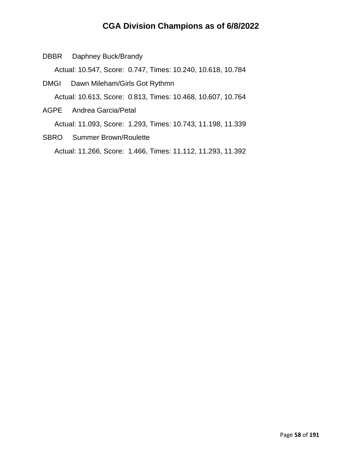DBBR Daphney Buck/Brandy

Actual: 10.547, Score: 0.747, Times: 10.240, 10.618, 10.784

- DMGI Dawn Mileham/Girls Got Rythmn Actual: 10.613, Score: 0.813, Times: 10.468, 10.607, 10.764
- AGPE Andrea Garcia/Petal

Actual: 11.093, Score: 1.293, Times: 10.743, 11.198, 11.339

SBRO Summer Brown/Roulette Actual: 11.266, Score: 1.466, Times: 11.112, 11.293, 11.392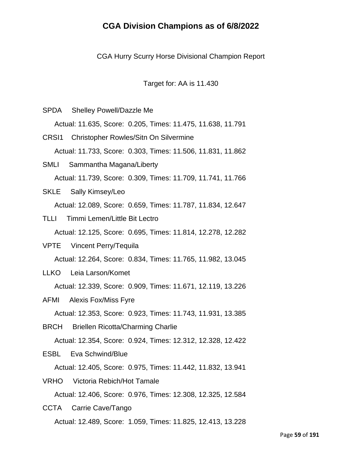CGA Hurry Scurry Horse Divisional Champion Report

Target for: AA is 11.430

- SPDA Shelley Powell/Dazzle Me Actual: 11.635, Score: 0.205, Times: 11.475, 11.638, 11.791 CRSI1 Christopher Rowles/Sitn On Silvermine
- Actual: 11.733, Score: 0.303, Times: 11.506, 11.831, 11.862
- SMLI Sammantha Magana/Liberty Actual: 11.739, Score: 0.309, Times: 11.709, 11.741, 11.766
- SKLE Sally Kimsey/Leo Actual: 12.089, Score: 0.659, Times: 11.787, 11.834, 12.647
- TLLI Timmi Lemen/Little Bit Lectro Actual: 12.125, Score: 0.695, Times: 11.814, 12.278, 12.282
- VPTE Vincent Perry/Tequila Actual: 12.264, Score: 0.834, Times: 11.765, 11.982, 13.045
- LLKO Leia Larson/Komet

Actual: 12.339, Score: 0.909, Times: 11.671, 12.119, 13.226

- AFMI Alexis Fox/Miss Fyre Actual: 12.353, Score: 0.923, Times: 11.743, 11.931, 13.385
- BRCH Briellen Ricotta/Charming Charlie

Actual: 12.354, Score: 0.924, Times: 12.312, 12.328, 12.422

ESBL Eva Schwind/Blue

Actual: 12.405, Score: 0.975, Times: 11.442, 11.832, 13.941

VRHO Victoria Rebich/Hot Tamale Actual: 12.406, Score: 0.976, Times: 12.308, 12.325, 12.584

CCTA Carrie Cave/Tango Actual: 12.489, Score: 1.059, Times: 11.825, 12.413, 13.228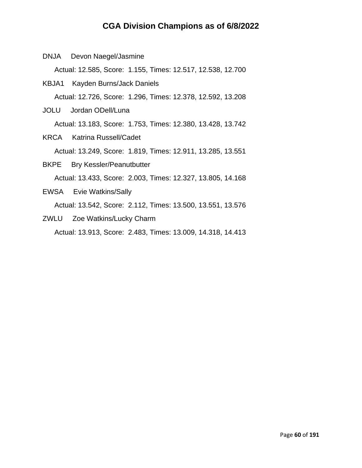DNJA Devon Naegel/Jasmine

Actual: 12.585, Score: 1.155, Times: 12.517, 12.538, 12.700

- KBJA1 Kayden Burns/Jack Daniels Actual: 12.726, Score: 1.296, Times: 12.378, 12.592, 13.208
- JOLU Jordan ODell/Luna Actual: 13.183, Score: 1.753, Times: 12.380, 13.428, 13.742
- KRCA Katrina Russell/Cadet Actual: 13.249, Score: 1.819, Times: 12.911, 13.285, 13.551 BKPE Bry Kessler/Peanutbutter

Actual: 13.433, Score: 2.003, Times: 12.327, 13.805, 14.168

- EWSA Evie Watkins/Sally Actual: 13.542, Score: 2.112, Times: 13.500, 13.551, 13.576
- ZWLU Zoe Watkins/Lucky Charm Actual: 13.913, Score: 2.483, Times: 13.009, 14.318, 14.413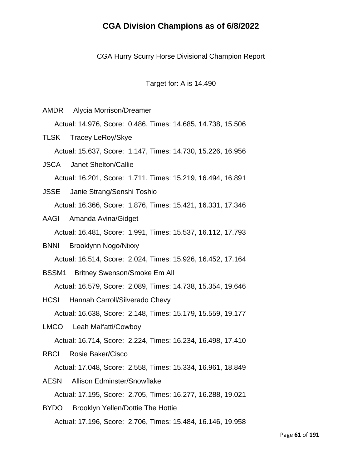CGA Hurry Scurry Horse Divisional Champion Report

Target for: A is 14.490

AMDR Alycia Morrison/Dreamer Actual: 14.976, Score: 0.486, Times: 14.685, 14.738, 15.506 TLSK Tracey LeRoy/Skye Actual: 15.637, Score: 1.147, Times: 14.730, 15.226, 16.956 JSCA Janet Shelton/Callie

Actual: 16.201, Score: 1.711, Times: 15.219, 16.494, 16.891

- JSSE Janie Strang/Senshi Toshio Actual: 16.366, Score: 1.876, Times: 15.421, 16.331, 17.346
- AAGI Amanda Avina/Gidget

Actual: 16.481, Score: 1.991, Times: 15.537, 16.112, 17.793

- BNNI Brooklynn Nogo/Nixxy Actual: 16.514, Score: 2.024, Times: 15.926, 16.452, 17.164
- BSSM1 Britney Swenson/Smoke Em All

Actual: 16.579, Score: 2.089, Times: 14.738, 15.354, 19.646

- HCSI Hannah Carroll/Silverado Chevy Actual: 16.638, Score: 2.148, Times: 15.179, 15.559, 19.177
- LMCO Leah Malfatti/Cowboy Actual: 16.714, Score: 2.224, Times: 16.234, 16.498, 17.410

RBCI Rosie Baker/Cisco

Actual: 17.048, Score: 2.558, Times: 15.334, 16.961, 18.849

- AESN Allison Edminster/Snowflake Actual: 17.195, Score: 2.705, Times: 16.277, 16.288, 19.021
- BYDO Brooklyn Yellen/Dottie The Hottie Actual: 17.196, Score: 2.706, Times: 15.484, 16.146, 19.958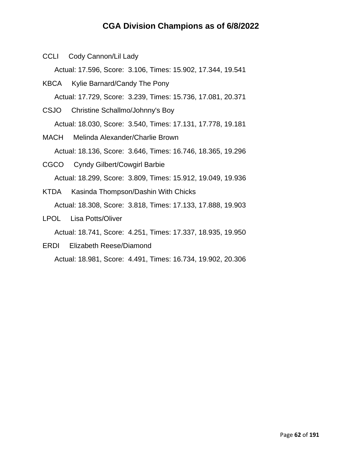CCLI Cody Cannon/Lil Lady

Actual: 17.596, Score: 3.106, Times: 15.902, 17.344, 19.541

- KBCA Kylie Barnard/Candy The Pony Actual: 17.729, Score: 3.239, Times: 15.736, 17.081, 20.371
- CSJO Christine Schallmo/Johnny's Boy Actual: 18.030, Score: 3.540, Times: 17.131, 17.778, 19.181
- MACH Melinda Alexander/Charlie Brown Actual: 18.136, Score: 3.646, Times: 16.746, 18.365, 19.296
- CGCO Cyndy Gilbert/Cowgirl Barbie Actual: 18.299, Score: 3.809, Times: 15.912, 19.049, 19.936
- KTDA Kasinda Thompson/Dashin With Chicks Actual: 18.308, Score: 3.818, Times: 17.133, 17.888, 19.903
- LPOL Lisa Potts/Oliver

Actual: 18.741, Score: 4.251, Times: 17.337, 18.935, 19.950

ERDI Elizabeth Reese/Diamond

Actual: 18.981, Score: 4.491, Times: 16.734, 19.902, 20.306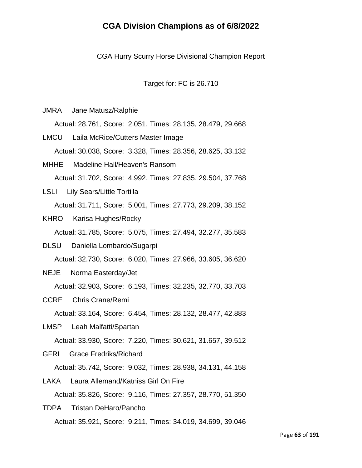CGA Hurry Scurry Horse Divisional Champion Report

Target for: FC is 26.710

JMRA Jane Matusz/Ralphie

Actual: 28.761, Score: 2.051, Times: 28.135, 28.479, 29.668

LMCU Laila McRice/Cutters Master Image Actual: 30.038, Score: 3.328, Times: 28.356, 28.625, 33.132

- MHHE Madeline Hall/Heaven's Ransom Actual: 31.702, Score: 4.992, Times: 27.835, 29.504, 37.768
- LSLI Lily Sears/Little Tortilla Actual: 31.711, Score: 5.001, Times: 27.773, 29.209, 38.152
- KHRO Karisa Hughes/Rocky

Actual: 31.785, Score: 5.075, Times: 27.494, 32.277, 35.583

- DLSU Daniella Lombardo/Sugarpi Actual: 32.730, Score: 6.020, Times: 27.966, 33.605, 36.620
- NEJE Norma Easterday/Jet

Actual: 32.903, Score: 6.193, Times: 32.235, 32.770, 33.703

CCRE Chris Crane/Remi

Actual: 33.164, Score: 6.454, Times: 28.132, 28.477, 42.883

LMSP Leah Malfatti/Spartan

Actual: 33.930, Score: 7.220, Times: 30.621, 31.657, 39.512

- GFRI Grace Fredriks/Richard Actual: 35.742, Score: 9.032, Times: 28.938, 34.131, 44.158
- LAKA Laura Allemand/Katniss Girl On Fire Actual: 35.826, Score: 9.116, Times: 27.357, 28.770, 51.350
- TDPA Tristan DeHaro/Pancho Actual: 35.921, Score: 9.211, Times: 34.019, 34.699, 39.046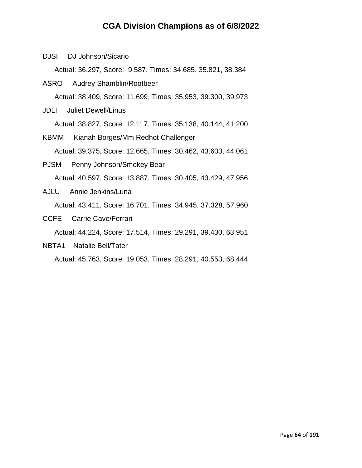DJSI DJ Johnson/Sicario

Actual: 36.297, Score: 9.587, Times: 34.685, 35.821, 38.384

ASRO Audrey Shamblin/Rootbeer Actual: 38.409, Score: 11.699, Times: 35.953, 39.300, 39.973

JDLI Juliet Dewell/Linus

Actual: 38.827, Score: 12.117, Times: 35.138, 40.144, 41.200

- KBMM Kianah Borges/Mm Redhot Challenger Actual: 39.375, Score: 12.665, Times: 30.462, 43.603, 44.061
- PJSM Penny Johnson/Smokey Bear Actual: 40.597, Score: 13.887, Times: 30.405, 43.429, 47.956
- AJLU Annie Jenkins/Luna Actual: 43.411, Score: 16.701, Times: 34.945, 37.328, 57.960
- CCFE Carrie Cave/Ferrari

Actual: 44.224, Score: 17.514, Times: 29.291, 39.430, 63.951

NBTA1 Natalie Bell/Tater

Actual: 45.763, Score: 19.053, Times: 28.291, 40.553, 68.444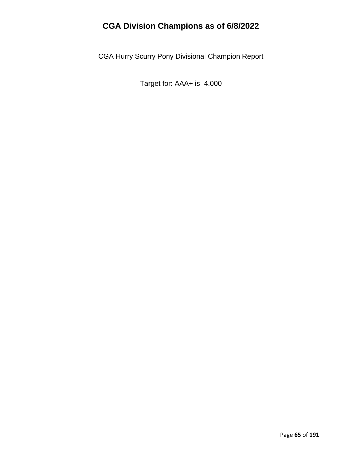CGA Hurry Scurry Pony Divisional Champion Report

Target for: AAA+ is 4.000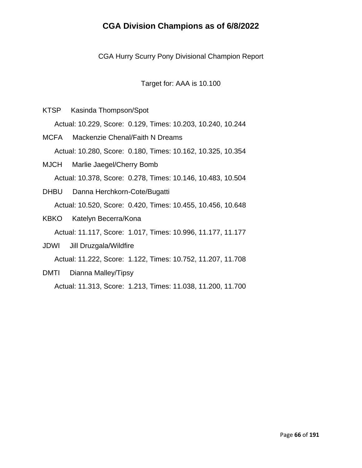CGA Hurry Scurry Pony Divisional Champion Report

Target for: AAA is 10.100

KTSP Kasinda Thompson/Spot

Actual: 10.229, Score: 0.129, Times: 10.203, 10.240, 10.244

MCFA Mackenzie Chenal/Faith N Dreams Actual: 10.280, Score: 0.180, Times: 10.162, 10.325, 10.354

- MJCH Marlie Jaegel/Cherry Bomb Actual: 10.378, Score: 0.278, Times: 10.146, 10.483, 10.504
- DHBU Danna Herchkorn-Cote/Bugatti Actual: 10.520, Score: 0.420, Times: 10.455, 10.456, 10.648
- KBKO Katelyn Becerra/Kona

Actual: 11.117, Score: 1.017, Times: 10.996, 11.177, 11.177

JDWI Jill Druzgala/Wildfire Actual: 11.222, Score: 1.122, Times: 10.752, 11.207, 11.708 DMTI Dianna Malley/Tipsy

Actual: 11.313, Score: 1.213, Times: 11.038, 11.200, 11.700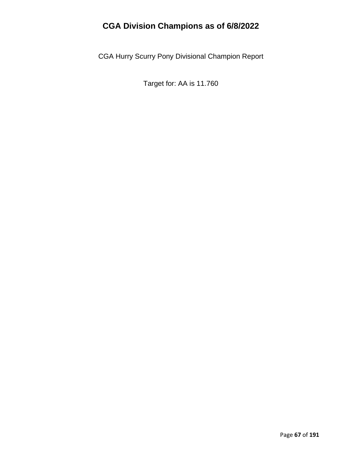CGA Hurry Scurry Pony Divisional Champion Report

Target for: AA is 11.760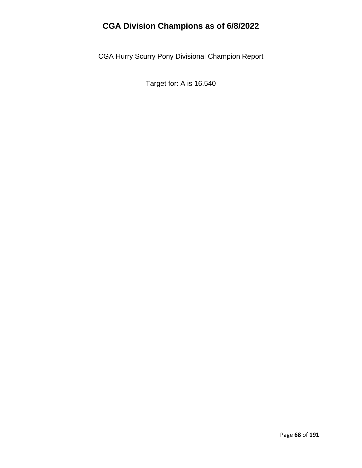CGA Hurry Scurry Pony Divisional Champion Report

Target for: A is 16.540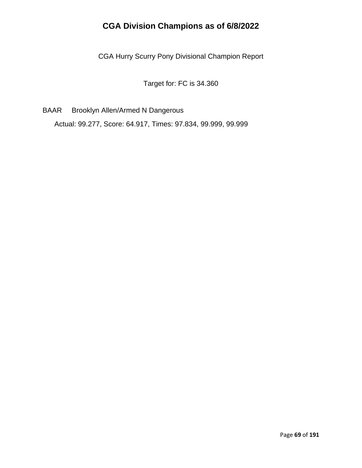CGA Hurry Scurry Pony Divisional Champion Report

Target for: FC is 34.360

BAAR Brooklyn Allen/Armed N Dangerous

Actual: 99.277, Score: 64.917, Times: 97.834, 99.999, 99.999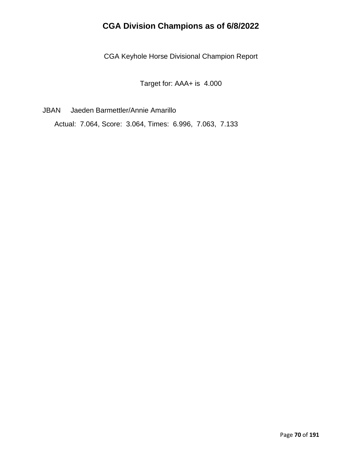CGA Keyhole Horse Divisional Champion Report

Target for: AAA+ is 4.000

JBAN Jaeden Barmettler/Annie Amarillo

Actual: 7.064, Score: 3.064, Times: 6.996, 7.063, 7.133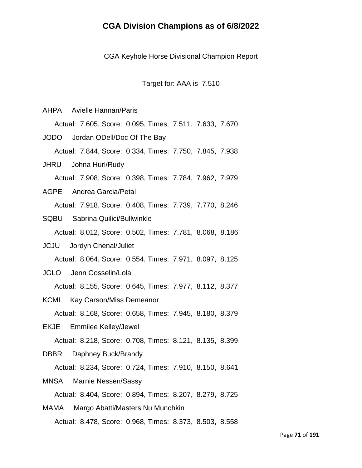CGA Keyhole Horse Divisional Champion Report

Target for: AAA is 7.510

AHPA Avielle Hannan/Paris

Actual: 7.605, Score: 0.095, Times: 7.511, 7.633, 7.670

JODO Jordan ODell/Doc Of The Bay Actual: 7.844, Score: 0.334, Times: 7.750, 7.845, 7.938

JHRU Johna Hurl/Rudy Actual: 7.908, Score: 0.398, Times: 7.784, 7.962, 7.979

- AGPE Andrea Garcia/Petal Actual: 7.918, Score: 0.408, Times: 7.739, 7.770, 8.246
- SQBU Sabrina Quilici/Bullwinkle Actual: 8.012, Score: 0.502, Times: 7.781, 8.068, 8.186
- JCJU Jordyn Chenal/Juliet Actual: 8.064, Score: 0.554, Times: 7.971, 8.097, 8.125
- JGLO Jenn Gosselin/Lola

Actual: 8.155, Score: 0.645, Times: 7.977, 8.112, 8.377

KCMI Kay Carson/Miss Demeanor

Actual: 8.168, Score: 0.658, Times: 7.945, 8.180, 8.379

EKJE Emmilee Kelley/Jewel

Actual: 8.218, Score: 0.708, Times: 8.121, 8.135, 8.399

DBBR Daphney Buck/Brandy

Actual: 8.234, Score: 0.724, Times: 7.910, 8.150, 8.641

MNSA Marnie Nessen/Sassy

Actual: 8.404, Score: 0.894, Times: 8.207, 8.279, 8.725

MAMA Margo Abatti/Masters Nu Munchkin Actual: 8.478, Score: 0.968, Times: 8.373, 8.503, 8.558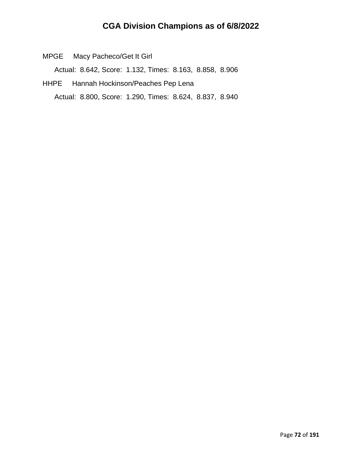MPGE Macy Pacheco/Get It Girl

Actual: 8.642, Score: 1.132, Times: 8.163, 8.858, 8.906

HHPE Hannah Hockinson/Peaches Pep Lena Actual: 8.800, Score: 1.290, Times: 8.624, 8.837, 8.940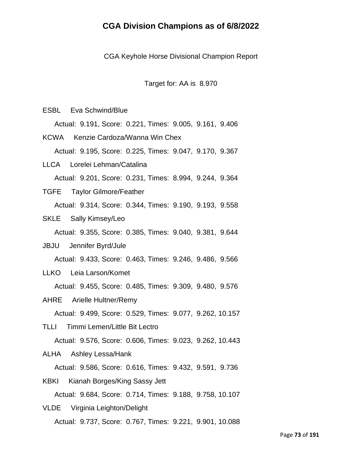CGA Keyhole Horse Divisional Champion Report

Target for: AA is 8.970

ESBL Eva Schwind/Blue

Actual: 9.191, Score: 0.221, Times: 9.005, 9.161, 9.406

KCWA Kenzie Cardoza/Wanna Win Chex Actual: 9.195, Score: 0.225, Times: 9.047, 9.170, 9.367

- LLCA Lorelei Lehman/Catalina Actual: 9.201, Score: 0.231, Times: 8.994, 9.244, 9.364
- TGFE Taylor Gilmore/Feather Actual: 9.314, Score: 0.344, Times: 9.190, 9.193, 9.558
- SKLE Sally Kimsey/Leo

Actual: 9.355, Score: 0.385, Times: 9.040, 9.381, 9.644

JBJU Jennifer Byrd/Jule

Actual: 9.433, Score: 0.463, Times: 9.246, 9.486, 9.566

LLKO Leia Larson/Komet

Actual: 9.455, Score: 0.485, Times: 9.309, 9.480, 9.576

AHRE Arielle Hultner/Remy

Actual: 9.499, Score: 0.529, Times: 9.077, 9.262, 10.157

TLLI Timmi Lemen/Little Bit Lectro

Actual: 9.576, Score: 0.606, Times: 9.023, 9.262, 10.443

ALHA Ashley Lessa/Hank

Actual: 9.586, Score: 0.616, Times: 9.432, 9.591, 9.736

- KBKI Kianah Borges/King Sassy Jett Actual: 9.684, Score: 0.714, Times: 9.188, 9.758, 10.107
- VLDE Virginia Leighton/Delight Actual: 9.737, Score: 0.767, Times: 9.221, 9.901, 10.088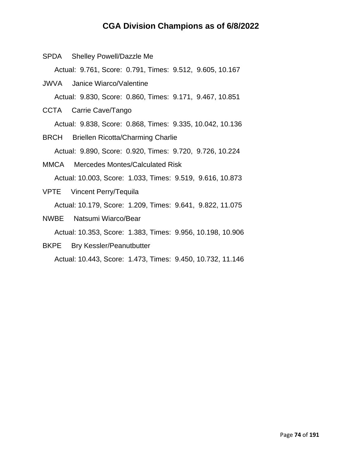- SPDA Shelley Powell/Dazzle Me Actual: 9.761, Score: 0.791, Times: 9.512, 9.605, 10.167 JWVA Janice Wiarco/Valentine Actual: 9.830, Score: 0.860, Times: 9.171, 9.467, 10.851 CCTA Carrie Cave/Tango Actual: 9.838, Score: 0.868, Times: 9.335, 10.042, 10.136 BRCH Briellen Ricotta/Charming Charlie Actual: 9.890, Score: 0.920, Times: 9.720, 9.726, 10.224 MMCA Mercedes Montes/Calculated Risk Actual: 10.003, Score: 1.033, Times: 9.519, 9.616, 10.873 VPTE Vincent Perry/Tequila Actual: 10.179, Score: 1.209, Times: 9.641, 9.822, 11.075 NWBE Natsumi Wiarco/Bear Actual: 10.353, Score: 1.383, Times: 9.956, 10.198, 10.906
- BKPE Bry Kessler/Peanutbutter Actual: 10.443, Score: 1.473, Times: 9.450, 10.732, 11.146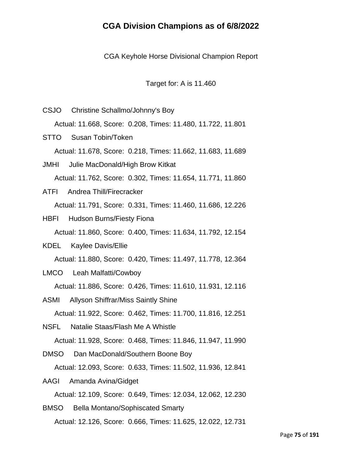CGA Keyhole Horse Divisional Champion Report

Target for: A is 11.460

- CSJO Christine Schallmo/Johnny's Boy Actual: 11.668, Score: 0.208, Times: 11.480, 11.722, 11.801 STTO Susan Tobin/Token Actual: 11.678, Score: 0.218, Times: 11.662, 11.683, 11.689 JMHI Julie MacDonald/High Brow Kitkat Actual: 11.762, Score: 0.302, Times: 11.654, 11.771, 11.860 ATFI Andrea Thill/Firecracker Actual: 11.791, Score: 0.331, Times: 11.460, 11.686, 12.226 HBFI Hudson Burns/Fiesty Fiona Actual: 11.860, Score: 0.400, Times: 11.634, 11.792, 12.154 KDEL Kaylee Davis/Ellie Actual: 11.880, Score: 0.420, Times: 11.497, 11.778, 12.364 LMCO Leah Malfatti/Cowboy Actual: 11.886, Score: 0.426, Times: 11.610, 11.931, 12.116 ASMI Allyson Shiffrar/Miss Saintly Shine Actual: 11.922, Score: 0.462, Times: 11.700, 11.816, 12.251 NSFL Natalie Staas/Flash Me A Whistle Actual: 11.928, Score: 0.468, Times: 11.846, 11.947, 11.990
- DMSO Dan MacDonald/Southern Boone Boy Actual: 12.093, Score: 0.633, Times: 11.502, 11.936, 12.841

AAGI Amanda Avina/Gidget

Actual: 12.109, Score: 0.649, Times: 12.034, 12.062, 12.230

BMSO Bella Montano/Sophiscated Smarty Actual: 12.126, Score: 0.666, Times: 11.625, 12.022, 12.731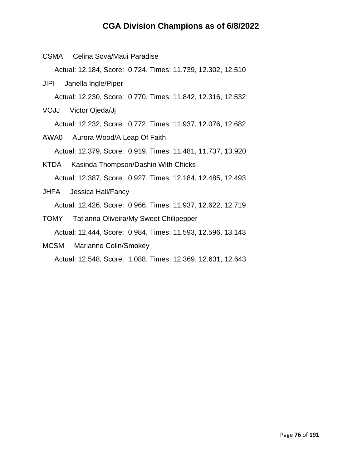CSMA Celina Sova/Maui Paradise Actual: 12.184, Score: 0.724, Times: 11.739, 12.302, 12.510 JIPI Janella Ingle/Piper

Actual: 12.230, Score: 0.770, Times: 11.842, 12.316, 12.532

VOJJ Victor Ojeda/Jj

Actual: 12.232, Score: 0.772, Times: 11.937, 12.076, 12.682

- AWA0 Aurora Wood/A Leap Of Faith Actual: 12.379, Score: 0.919, Times: 11.481, 11.737, 13.920
- KTDA Kasinda Thompson/Dashin With Chicks Actual: 12.387, Score: 0.927, Times: 12.184, 12.485, 12.493
- JHFA Jessica Hall/Fancy Actual: 12.426, Score: 0.966, Times: 11.937, 12.622, 12.719
- TOMY Tatianna Oliveira/My Sweet Chilipepper Actual: 12.444, Score: 0.984, Times: 11.593, 12.596, 13.143
- MCSM Marianne Colin/Smokey

Actual: 12.548, Score: 1.088, Times: 12.369, 12.631, 12.643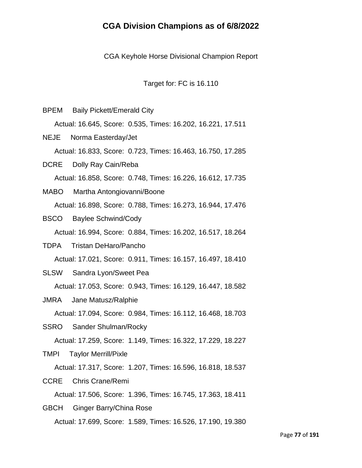CGA Keyhole Horse Divisional Champion Report

Target for: FC is 16.110

- BPEM Baily Pickett/Emerald City Actual: 16.645, Score: 0.535, Times: 16.202, 16.221, 17.511 NEJE Norma Easterday/Jet Actual: 16.833, Score: 0.723, Times: 16.463, 16.750, 17.285 DCRE Dolly Ray Cain/Reba Actual: 16.858, Score: 0.748, Times: 16.226, 16.612, 17.735
- MABO Martha Antongiovanni/Boone Actual: 16.898, Score: 0.788, Times: 16.273, 16.944, 17.476
- BSCO Baylee Schwind/Cody

Actual: 16.994, Score: 0.884, Times: 16.202, 16.517, 18.264

- TDPA Tristan DeHaro/Pancho Actual: 17.021, Score: 0.911, Times: 16.157, 16.497, 18.410
- SLSW Sandra Lyon/Sweet Pea

Actual: 17.053, Score: 0.943, Times: 16.129, 16.447, 18.582

JMRA Jane Matusz/Ralphie

Actual: 17.094, Score: 0.984, Times: 16.112, 16.468, 18.703

SSRO Sander Shulman/Rocky

Actual: 17.259, Score: 1.149, Times: 16.322, 17.229, 18.227

TMPI Taylor Merrill/Pixle

Actual: 17.317, Score: 1.207, Times: 16.596, 16.818, 18.537

CCRE Chris Crane/Remi

Actual: 17.506, Score: 1.396, Times: 16.745, 17.363, 18.411

GBCH Ginger Barry/China Rose Actual: 17.699, Score: 1.589, Times: 16.526, 17.190, 19.380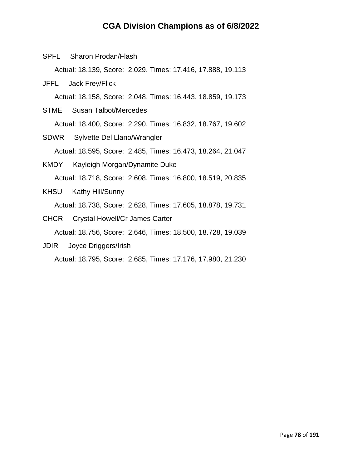SPFL Sharon Prodan/Flash

Actual: 18.139, Score: 2.029, Times: 17.416, 17.888, 19.113

JFFL Jack Frey/Flick

Actual: 18.158, Score: 2.048, Times: 16.443, 18.859, 19.173

- STME Susan Talbot/Mercedes Actual: 18.400, Score: 2.290, Times: 16.832, 18.767, 19.602
- SDWR Sylvette Del Llano/Wrangler Actual: 18.595, Score: 2.485, Times: 16.473, 18.264, 21.047
- KMDY Kayleigh Morgan/Dynamite Duke Actual: 18.718, Score: 2.608, Times: 16.800, 18.519, 20.835
- KHSU Kathy Hill/Sunny Actual: 18.738, Score: 2.628, Times: 17.605, 18.878, 19.731
- CHCR Crystal Howell/Cr James Carter Actual: 18.756, Score: 2.646, Times: 18.500, 18.728, 19.039
- JDIR Joyce Driggers/Irish

Actual: 18.795, Score: 2.685, Times: 17.176, 17.980, 21.230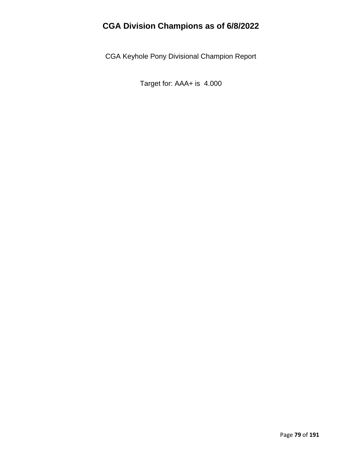CGA Keyhole Pony Divisional Champion Report

Target for: AAA+ is 4.000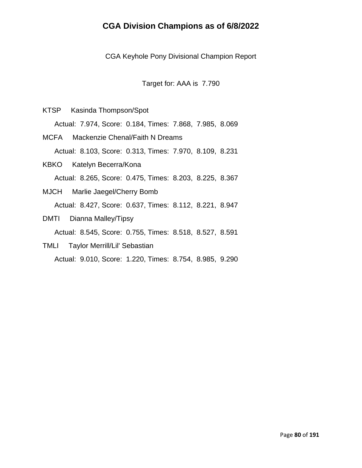CGA Keyhole Pony Divisional Champion Report

Target for: AAA is 7.790

KTSP Kasinda Thompson/Spot Actual: 7.974, Score: 0.184, Times: 7.868, 7.985, 8.069

MCFA Mackenzie Chenal/Faith N Dreams Actual: 8.103, Score: 0.313, Times: 7.970, 8.109, 8.231

- KBKO Katelyn Becerra/Kona Actual: 8.265, Score: 0.475, Times: 8.203, 8.225, 8.367
- MJCH Marlie Jaegel/Cherry Bomb Actual: 8.427, Score: 0.637, Times: 8.112, 8.221, 8.947
- DMTI Dianna Malley/Tipsy

Actual: 8.545, Score: 0.755, Times: 8.518, 8.527, 8.591

TMLI Taylor Merrill/Lil' Sebastian Actual: 9.010, Score: 1.220, Times: 8.754, 8.985, 9.290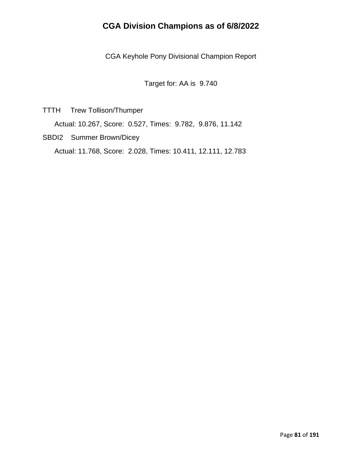CGA Keyhole Pony Divisional Champion Report

Target for: AA is 9.740

TTTH Trew Tollison/Thumper

Actual: 10.267, Score: 0.527, Times: 9.782, 9.876, 11.142

SBDI2 Summer Brown/Dicey

Actual: 11.768, Score: 2.028, Times: 10.411, 12.111, 12.783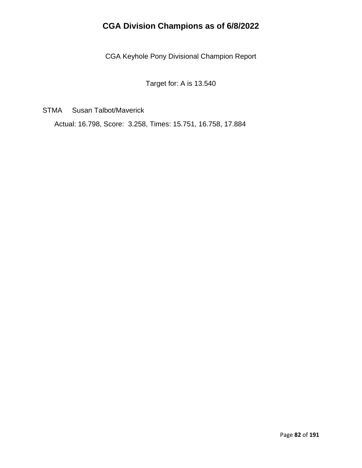CGA Keyhole Pony Divisional Champion Report

Target for: A is 13.540

STMA Susan Talbot/Maverick

Actual: 16.798, Score: 3.258, Times: 15.751, 16.758, 17.884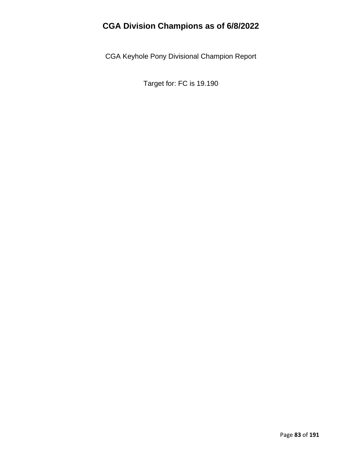CGA Keyhole Pony Divisional Champion Report

Target for: FC is 19.190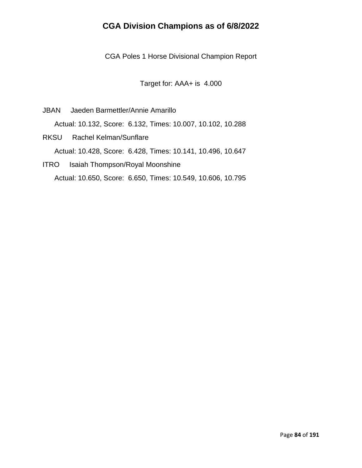CGA Poles 1 Horse Divisional Champion Report

Target for: AAA+ is 4.000

- JBAN Jaeden Barmettler/Annie Amarillo Actual: 10.132, Score: 6.132, Times: 10.007, 10.102, 10.288
- RKSU Rachel Kelman/Sunflare Actual: 10.428, Score: 6.428, Times: 10.141, 10.496, 10.647
- ITRO Isaiah Thompson/Royal Moonshine Actual: 10.650, Score: 6.650, Times: 10.549, 10.606, 10.795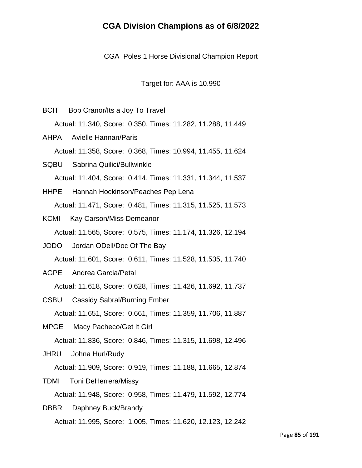CGA Poles 1 Horse Divisional Champion Report

Target for: AAA is 10.990

- BCIT Bob Cranor/Its a Joy To Travel Actual: 11.340, Score: 0.350, Times: 11.282, 11.288, 11.449
- AHPA Avielle Hannan/Paris Actual: 11.358, Score: 0.368, Times: 10.994, 11.455, 11.624
- SQBU Sabrina Quilici/Bullwinkle Actual: 11.404, Score: 0.414, Times: 11.331, 11.344, 11.537
- HHPE Hannah Hockinson/Peaches Pep Lena Actual: 11.471, Score: 0.481, Times: 11.315, 11.525, 11.573
- KCMI Kay Carson/Miss Demeanor Actual: 11.565, Score: 0.575, Times: 11.174, 11.326, 12.194
- JODO Jordan ODell/Doc Of The Bay Actual: 11.601, Score: 0.611, Times: 11.528, 11.535, 11.740
- AGPE Andrea Garcia/Petal

Actual: 11.618, Score: 0.628, Times: 11.426, 11.692, 11.737

- CSBU Cassidy Sabral/Burning Ember Actual: 11.651, Score: 0.661, Times: 11.359, 11.706, 11.887
- MPGE Macy Pacheco/Get It Girl

Actual: 11.836, Score: 0.846, Times: 11.315, 11.698, 12.496

JHRU Johna Hurl/Rudy

Actual: 11.909, Score: 0.919, Times: 11.188, 11.665, 12.874

TDMI Toni DeHerrera/Missy

Actual: 11.948, Score: 0.958, Times: 11.479, 11.592, 12.774

DBBR Daphney Buck/Brandy Actual: 11.995, Score: 1.005, Times: 11.620, 12.123, 12.242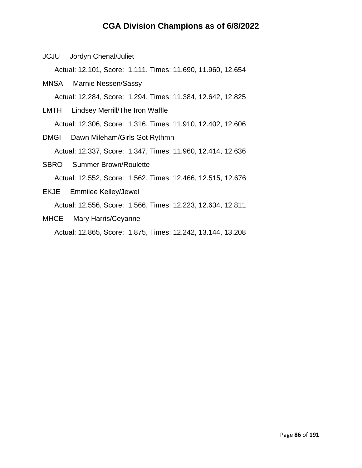JCJU Jordyn Chenal/Juliet

Actual: 12.101, Score: 1.111, Times: 11.690, 11.960, 12.654

- MNSA Marnie Nessen/Sassy Actual: 12.284, Score: 1.294, Times: 11.384, 12.642, 12.825
- LMTH Lindsey Merrill/The Iron Waffle

Actual: 12.306, Score: 1.316, Times: 11.910, 12.402, 12.606

- DMGI Dawn Mileham/Girls Got Rythmn Actual: 12.337, Score: 1.347, Times: 11.960, 12.414, 12.636
- SBRO Summer Brown/Roulette Actual: 12.552, Score: 1.562, Times: 12.466, 12.515, 12.676
- EKJE Emmilee Kelley/Jewel Actual: 12.556, Score: 1.566, Times: 12.223, 12.634, 12.811
- MHCE Mary Harris/Ceyanne

Actual: 12.865, Score: 1.875, Times: 12.242, 13.144, 13.208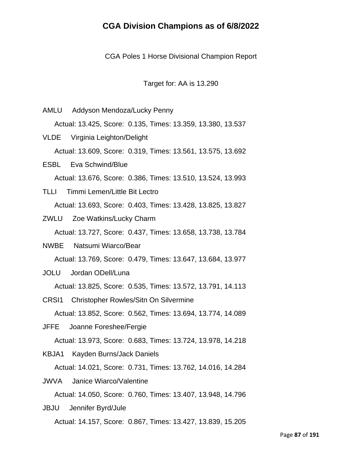CGA Poles 1 Horse Divisional Champion Report

Target for: AA is 13.290

AMLU Addyson Mendoza/Lucky Penny Actual: 13.425, Score: 0.135, Times: 13.359, 13.380, 13.537 VLDE Virginia Leighton/Delight Actual: 13.609, Score: 0.319, Times: 13.561, 13.575, 13.692 ESBL Eva Schwind/Blue Actual: 13.676, Score: 0.386, Times: 13.510, 13.524, 13.993 TLLI Timmi Lemen/Little Bit Lectro Actual: 13.693, Score: 0.403, Times: 13.428, 13.825, 13.827 ZWLU Zoe Watkins/Lucky Charm Actual: 13.727, Score: 0.437, Times: 13.658, 13.738, 13.784 NWBE Natsumi Wiarco/Bear Actual: 13.769, Score: 0.479, Times: 13.647, 13.684, 13.977 JOLU Jordan ODell/Luna Actual: 13.825, Score: 0.535, Times: 13.572, 13.791, 14.113 CRSI1 Christopher Rowles/Sitn On Silvermine Actual: 13.852, Score: 0.562, Times: 13.694, 13.774, 14.089 JFFE Joanne Foreshee/Fergie Actual: 13.973, Score: 0.683, Times: 13.724, 13.978, 14.218 KBJA1 Kayden Burns/Jack Daniels Actual: 14.021, Score: 0.731, Times: 13.762, 14.016, 14.284 JWVA Janice Wiarco/Valentine Actual: 14.050, Score: 0.760, Times: 13.407, 13.948, 14.796 JBJU Jennifer Byrd/Jule

Actual: 14.157, Score: 0.867, Times: 13.427, 13.839, 15.205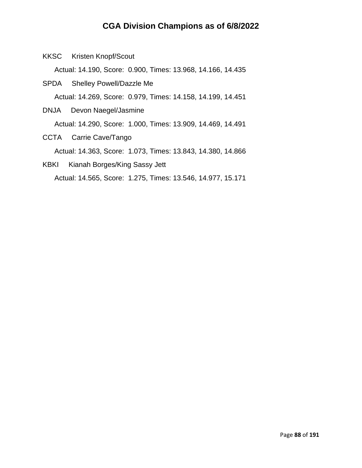KKSC Kristen Knopf/Scout

Actual: 14.190, Score: 0.900, Times: 13.968, 14.166, 14.435

- SPDA Shelley Powell/Dazzle Me Actual: 14.269, Score: 0.979, Times: 14.158, 14.199, 14.451
- DNJA Devon Naegel/Jasmine Actual: 14.290, Score: 1.000, Times: 13.909, 14.469, 14.491
- CCTA Carrie Cave/Tango

Actual: 14.363, Score: 1.073, Times: 13.843, 14.380, 14.866

KBKI Kianah Borges/King Sassy Jett Actual: 14.565, Score: 1.275, Times: 13.546, 14.977, 15.171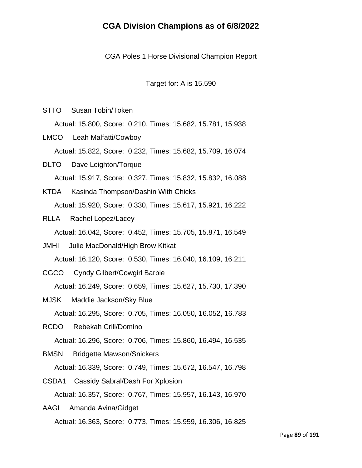CGA Poles 1 Horse Divisional Champion Report

Target for: A is 15.590

STTO Susan Tobin/Token

Actual: 15.800, Score: 0.210, Times: 15.682, 15.781, 15.938

- LMCO Leah Malfatti/Cowboy Actual: 15.822, Score: 0.232, Times: 15.682, 15.709, 16.074
- DLTO Dave Leighton/Torque Actual: 15.917, Score: 0.327, Times: 15.832, 15.832, 16.088
- KTDA Kasinda Thompson/Dashin With Chicks Actual: 15.920, Score: 0.330, Times: 15.617, 15.921, 16.222
- RLLA Rachel Lopez/Lacey

Actual: 16.042, Score: 0.452, Times: 15.705, 15.871, 16.549

JMHI Julie MacDonald/High Brow Kitkat

Actual: 16.120, Score: 0.530, Times: 16.040, 16.109, 16.211

CGCO Cyndy Gilbert/Cowgirl Barbie

Actual: 16.249, Score: 0.659, Times: 15.627, 15.730, 17.390

MJSK Maddie Jackson/Sky Blue

Actual: 16.295, Score: 0.705, Times: 16.050, 16.052, 16.783

RCDO Rebekah Crill/Domino

Actual: 16.296, Score: 0.706, Times: 15.860, 16.494, 16.535

BMSN Bridgette Mawson/Snickers

Actual: 16.339, Score: 0.749, Times: 15.672, 16.547, 16.798

CSDA1 Cassidy Sabral/Dash For Xplosion Actual: 16.357, Score: 0.767, Times: 15.957, 16.143, 16.970

AAGI Amanda Avina/Gidget Actual: 16.363, Score: 0.773, Times: 15.959, 16.306, 16.825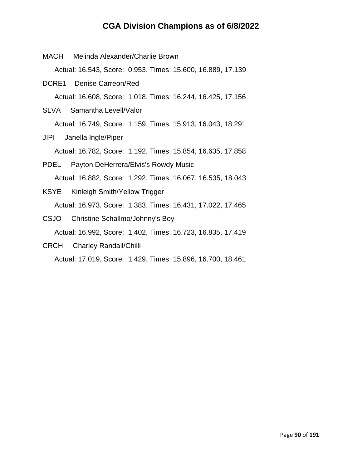- MACH Melinda Alexander/Charlie Brown Actual: 16.543, Score: 0.953, Times: 15.600, 16.889, 17.139 DCRE1 Denise Carreon/Red Actual: 16.608, Score: 1.018, Times: 16.244, 16.425, 17.156 SLVA Samantha Levell/Valor Actual: 16.749, Score: 1.159, Times: 15.913, 16.043, 18.291 JIPI Janella Ingle/Piper Actual: 16.782, Score: 1.192, Times: 15.854, 16.635, 17.858 PDEL Payton DeHerrera/Elvis's Rowdy Music Actual: 16.882, Score: 1.292, Times: 16.067, 16.535, 18.043 KSYE Kinleigh Smith/Yellow Trigger Actual: 16.973, Score: 1.383, Times: 16.431, 17.022, 17.465 CSJO Christine Schallmo/Johnny's Boy Actual: 16.992, Score: 1.402, Times: 16.723, 16.835, 17.419
- CRCH Charley Randall/Chilli

Actual: 17.019, Score: 1.429, Times: 15.896, 16.700, 18.461

Page **90** of **191**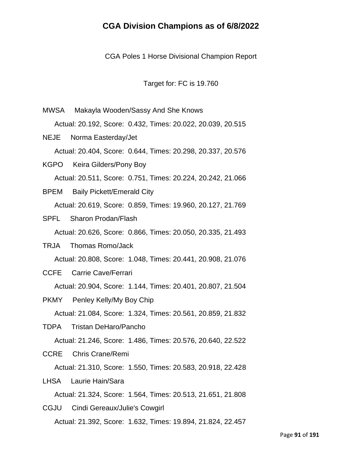CGA Poles 1 Horse Divisional Champion Report

Target for: FC is 19.760

MWSA Makayla Wooden/Sassy And She Knows Actual: 20.192, Score: 0.432, Times: 20.022, 20.039, 20.515 NEJE Norma Easterday/Jet Actual: 20.404, Score: 0.644, Times: 20.298, 20.337, 20.576 KGPO Keira Gilders/Pony Boy Actual: 20.511, Score: 0.751, Times: 20.224, 20.242, 21.066 BPEM Baily Pickett/Emerald City Actual: 20.619, Score: 0.859, Times: 19.960, 20.127, 21.769 SPFL Sharon Prodan/Flash Actual: 20.626, Score: 0.866, Times: 20.050, 20.335, 21.493 TRJA Thomas Romo/Jack Actual: 20.808, Score: 1.048, Times: 20.441, 20.908, 21.076 CCFE Carrie Cave/Ferrari Actual: 20.904, Score: 1.144, Times: 20.401, 20.807, 21.504 PKMY Penley Kelly/My Boy Chip Actual: 21.084, Score: 1.324, Times: 20.561, 20.859, 21.832 TDPA Tristan DeHaro/Pancho Actual: 21.246, Score: 1.486, Times: 20.576, 20.640, 22.522 CCRE Chris Crane/Remi Actual: 21.310, Score: 1.550, Times: 20.583, 20.918, 22.428 LHSA Laurie Hain/Sara Actual: 21.324, Score: 1.564, Times: 20.513, 21.651, 21.808 CGJU Cindi Gereaux/Julie's Cowgirl Actual: 21.392, Score: 1.632, Times: 19.894, 21.824, 22.457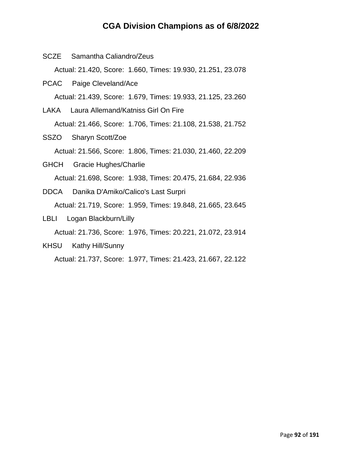| SCZE Samantha Caliandro/Zeus                                |  |
|-------------------------------------------------------------|--|
| Actual: 21.420, Score: 1.660, Times: 19.930, 21.251, 23.078 |  |
| PCAC Paige Cleveland/Ace                                    |  |
| Actual: 21.439, Score: 1.679, Times: 19.933, 21.125, 23.260 |  |
| LAKA Laura Allemand/Katniss Girl On Fire                    |  |
| Actual: 21.466, Score: 1.706, Times: 21.108, 21.538, 21.752 |  |
| SSZO Sharyn Scott/Zoe                                       |  |
| Actual: 21.566, Score: 1.806, Times: 21.030, 21.460, 22.209 |  |
| GHCH Gracie Hughes/Charlie                                  |  |
| Actual: 21.698, Score: 1.938, Times: 20.475, 21.684, 22.936 |  |
| DDCA Danika D'Amiko/Calico's Last Surpri                    |  |
| Actual: 21.719, Score: 1.959, Times: 19.848, 21.665, 23.645 |  |
| LBLI Logan Blackburn/Lilly                                  |  |
| Actual: 21.736, Score: 1.976, Times: 20.221, 21.072, 23.914 |  |
| KHSU Kathy Hill/Sunny                                       |  |
| Actual: 21.737, Score: 1.977, Times: 21.423, 21.667, 22.122 |  |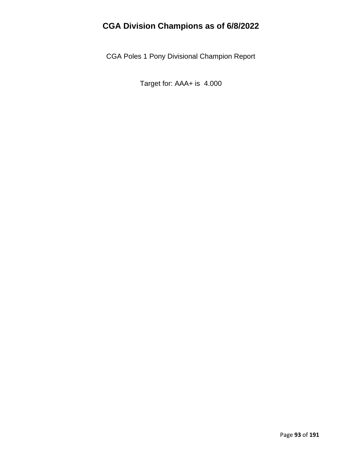CGA Poles 1 Pony Divisional Champion Report

Target for: AAA+ is 4.000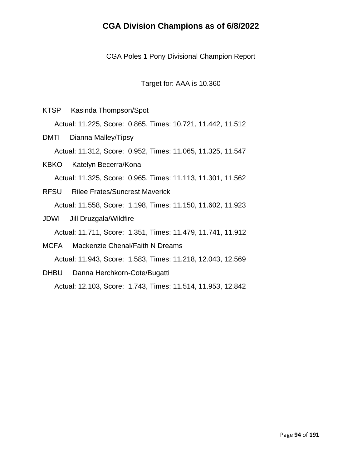CGA Poles 1 Pony Divisional Champion Report

Target for: AAA is 10.360

KTSP Kasinda Thompson/Spot

Actual: 11.225, Score: 0.865, Times: 10.721, 11.442, 11.512

- DMTI Dianna Malley/Tipsy Actual: 11.312, Score: 0.952, Times: 11.065, 11.325, 11.547
- KBKO Katelyn Becerra/Kona Actual: 11.325, Score: 0.965, Times: 11.113, 11.301, 11.562
- RFSU Rilee Frates/Suncrest Maverick Actual: 11.558, Score: 1.198, Times: 11.150, 11.602, 11.923
- JDWI Jill Druzgala/Wildfire

Actual: 11.711, Score: 1.351, Times: 11.479, 11.741, 11.912

MCFA Mackenzie Chenal/Faith N Dreams

Actual: 11.943, Score: 1.583, Times: 11.218, 12.043, 12.569

DHBU Danna Herchkorn-Cote/Bugatti

Actual: 12.103, Score: 1.743, Times: 11.514, 11.953, 12.842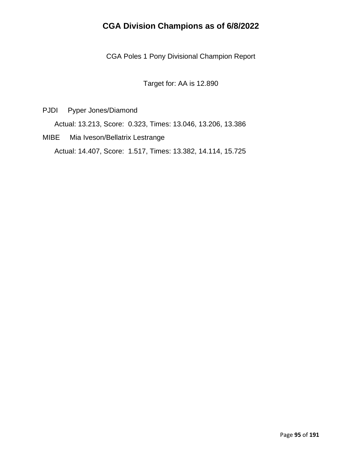CGA Poles 1 Pony Divisional Champion Report

Target for: AA is 12.890

PJDI Pyper Jones/Diamond

Actual: 13.213, Score: 0.323, Times: 13.046, 13.206, 13.386

MIBE Mia Iveson/Bellatrix Lestrange Actual: 14.407, Score: 1.517, Times: 13.382, 14.114, 15.725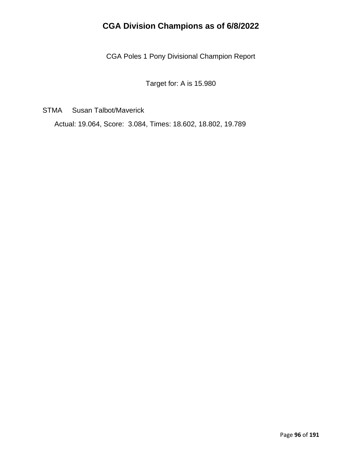CGA Poles 1 Pony Divisional Champion Report

Target for: A is 15.980

STMA Susan Talbot/Maverick

Actual: 19.064, Score: 3.084, Times: 18.602, 18.802, 19.789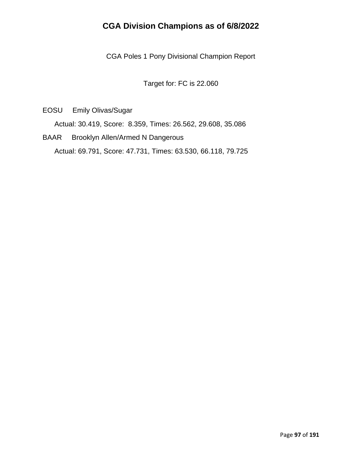CGA Poles 1 Pony Divisional Champion Report

Target for: FC is 22.060

EOSU Emily Olivas/Sugar

Actual: 30.419, Score: 8.359, Times: 26.562, 29.608, 35.086

BAAR Brooklyn Allen/Armed N Dangerous Actual: 69.791, Score: 47.731, Times: 63.530, 66.118, 79.725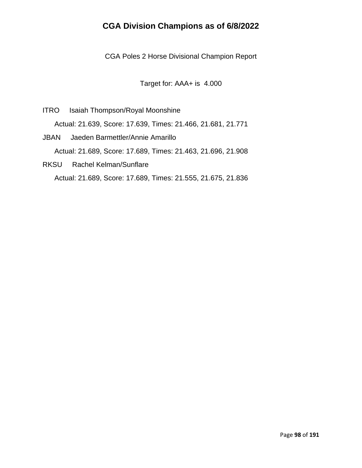CGA Poles 2 Horse Divisional Champion Report

Target for: AAA+ is 4.000

- ITRO Isaiah Thompson/Royal Moonshine Actual: 21.639, Score: 17.639, Times: 21.466, 21.681, 21.771
- JBAN Jaeden Barmettler/Annie Amarillo Actual: 21.689, Score: 17.689, Times: 21.463, 21.696, 21.908
- RKSU Rachel Kelman/Sunflare Actual: 21.689, Score: 17.689, Times: 21.555, 21.675, 21.836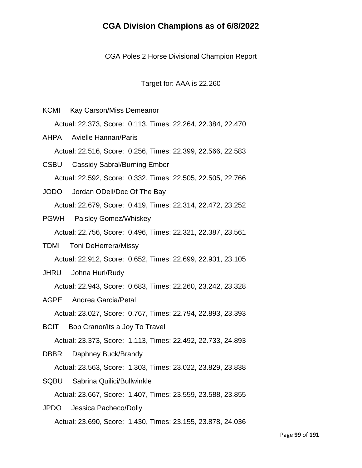CGA Poles 2 Horse Divisional Champion Report

Target for: AAA is 22.260

- KCMI Kay Carson/Miss Demeanor Actual: 22.373, Score: 0.113, Times: 22.264, 22.384, 22.470 AHPA Avielle Hannan/Paris
- Actual: 22.516, Score: 0.256, Times: 22.399, 22.566, 22.583
- CSBU Cassidy Sabral/Burning Ember Actual: 22.592, Score: 0.332, Times: 22.505, 22.505, 22.766
- JODO Jordan ODell/Doc Of The Bay Actual: 22.679, Score: 0.419, Times: 22.314, 22.472, 23.252
- PGWH Paisley Gomez/Whiskey Actual: 22.756, Score: 0.496, Times: 22.321, 22.387, 23.561
- TDMI Toni DeHerrera/Missy Actual: 22.912, Score: 0.652, Times: 22.699, 22.931, 23.105
- JHRU Johna Hurl/Rudy

Actual: 22.943, Score: 0.683, Times: 22.260, 23.242, 23.328

AGPE Andrea Garcia/Petal

Actual: 23.027, Score: 0.767, Times: 22.794, 22.893, 23.393

BCIT Bob Cranor/Its a Joy To Travel

Actual: 23.373, Score: 1.113, Times: 22.492, 22.733, 24.893

DBBR Daphney Buck/Brandy

Actual: 23.563, Score: 1.303, Times: 23.022, 23.829, 23.838

SQBU Sabrina Quilici/Bullwinkle

Actual: 23.667, Score: 1.407, Times: 23.559, 23.588, 23.855

JPDO Jessica Pacheco/Dolly Actual: 23.690, Score: 1.430, Times: 23.155, 23.878, 24.036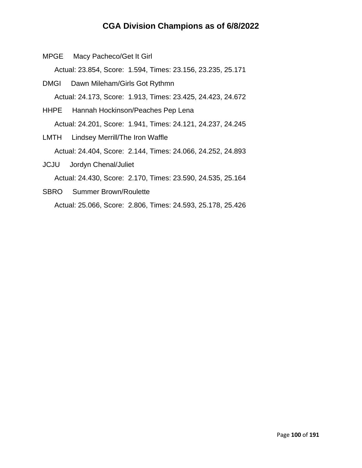MPGE Macy Pacheco/Get It Girl Actual: 23.854, Score: 1.594, Times: 23.156, 23.235, 25.171 DMGI Dawn Mileham/Girls Got Rythmn

Actual: 24.173, Score: 1.913, Times: 23.425, 24.423, 24.672

- HHPE Hannah Hockinson/Peaches Pep Lena Actual: 24.201, Score: 1.941, Times: 24.121, 24.237, 24.245
- LMTH Lindsey Merrill/The Iron Waffle Actual: 24.404, Score: 2.144, Times: 24.066, 24.252, 24.893 JCJU Jordyn Chenal/Juliet

Actual: 24.430, Score: 2.170, Times: 23.590, 24.535, 25.164

SBRO Summer Brown/Roulette Actual: 25.066, Score: 2.806, Times: 24.593, 25.178, 25.426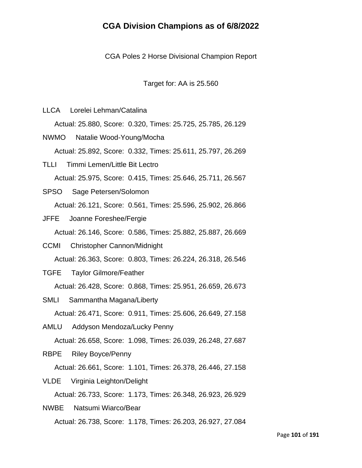CGA Poles 2 Horse Divisional Champion Report

Target for: AA is 25.560

LLCA Lorelei Lehman/Catalina

Actual: 25.880, Score: 0.320, Times: 25.725, 25.785, 26.129

- NWMO Natalie Wood-Young/Mocha Actual: 25.892, Score: 0.332, Times: 25.611, 25.797, 26.269
- TLLI Timmi Lemen/Little Bit Lectro Actual: 25.975, Score: 0.415, Times: 25.646, 25.711, 26.567
- SPSO Sage Petersen/Solomon Actual: 26.121, Score: 0.561, Times: 25.596, 25.902, 26.866
- JFFE Joanne Foreshee/Fergie

Actual: 26.146, Score: 0.586, Times: 25.882, 25.887, 26.669

- CCMI Christopher Cannon/Midnight Actual: 26.363, Score: 0.803, Times: 26.224, 26.318, 26.546
- TGFE Taylor Gilmore/Feather Actual: 26.428, Score: 0.868, Times: 25.951, 26.659, 26.673
- SMLI Sammantha Magana/Liberty Actual: 26.471, Score: 0.911, Times: 25.606, 26.649, 27.158
- AMLU Addyson Mendoza/Lucky Penny Actual: 26.658, Score: 1.098, Times: 26.039, 26.248, 27.687
- RBPE Riley Boyce/Penny

Actual: 26.661, Score: 1.101, Times: 26.378, 26.446, 27.158

VLDE Virginia Leighton/Delight

Actual: 26.733, Score: 1.173, Times: 26.348, 26.923, 26.929

NWBE Natsumi Wiarco/Bear Actual: 26.738, Score: 1.178, Times: 26.203, 26.927, 27.084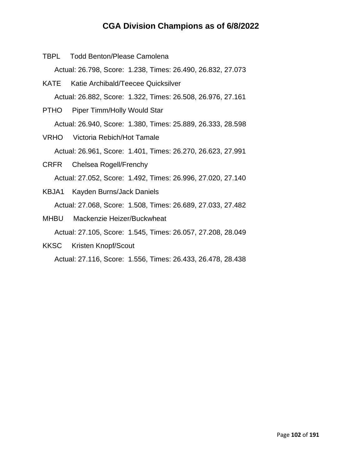- TBPL Todd Benton/Please Camolena Actual: 26.798, Score: 1.238, Times: 26.490, 26.832, 27.073
- KATE Katie Archibald/Teecee Quicksilver Actual: 26.882, Score: 1.322, Times: 26.508, 26.976, 27.161
- PTHO Piper Timm/Holly Would Star Actual: 26.940, Score: 1.380, Times: 25.889, 26.333, 28.598
- VRHO Victoria Rebich/Hot Tamale Actual: 26.961, Score: 1.401, Times: 26.270, 26.623, 27.991
- CRFR Chelsea Rogell/Frenchy Actual: 27.052, Score: 1.492, Times: 26.996, 27.020, 27.140
- KBJA1 Kayden Burns/Jack Daniels Actual: 27.068, Score: 1.508, Times: 26.689, 27.033, 27.482
- MHBU Mackenzie Heizer/Buckwheat Actual: 27.105, Score: 1.545, Times: 26.057, 27.208, 28.049
- KKSC Kristen Knopf/Scout

Actual: 27.116, Score: 1.556, Times: 26.433, 26.478, 28.438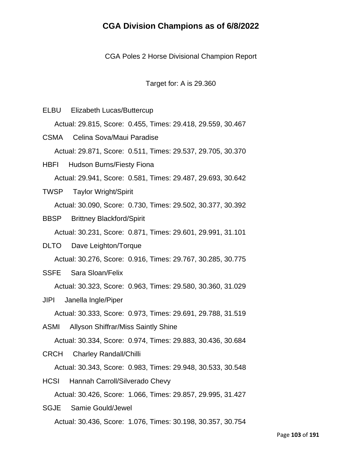CGA Poles 2 Horse Divisional Champion Report

Target for: A is 29.360

ELBU Elizabeth Lucas/Buttercup Actual: 29.815, Score: 0.455, Times: 29.418, 29.559, 30.467 CSMA Celina Sova/Maui Paradise Actual: 29.871, Score: 0.511, Times: 29.537, 29.705, 30.370 HBFI Hudson Burns/Fiesty Fiona

Actual: 29.941, Score: 0.581, Times: 29.487, 29.693, 30.642

- TWSP Taylor Wright/Spirit Actual: 30.090, Score: 0.730, Times: 29.502, 30.377, 30.392
- BBSP Brittney Blackford/Spirit

Actual: 30.231, Score: 0.871, Times: 29.601, 29.991, 31.101

DLTO Dave Leighton/Torque Actual: 30.276, Score: 0.916, Times: 29.767, 30.285, 30.775

SSFE Sara Sloan/Felix

Actual: 30.323, Score: 0.963, Times: 29.580, 30.360, 31.029

- JIPI Janella Ingle/Piper Actual: 30.333, Score: 0.973, Times: 29.691, 29.788, 31.519
- ASMI Allyson Shiffrar/Miss Saintly Shine

Actual: 30.334, Score: 0.974, Times: 29.883, 30.436, 30.684

CRCH Charley Randall/Chilli

Actual: 30.343, Score: 0.983, Times: 29.948, 30.533, 30.548

HCSI Hannah Carroll/Silverado Chevy Actual: 30.426, Score: 1.066, Times: 29.857, 29.995, 31.427

SGJE Samie Gould/Jewel Actual: 30.436, Score: 1.076, Times: 30.198, 30.357, 30.754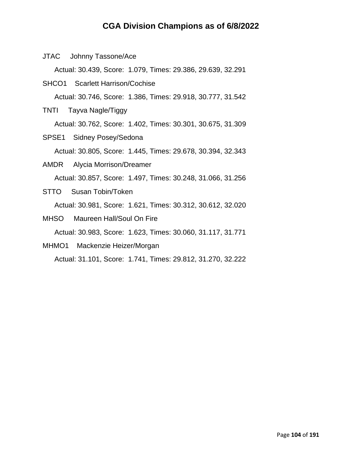JTAC Johnny Tassone/Ace

Actual: 30.439, Score: 1.079, Times: 29.386, 29.639, 32.291

SHCO1 Scarlett Harrison/Cochise

Actual: 30.746, Score: 1.386, Times: 29.918, 30.777, 31.542

TNTI Tayva Nagle/Tiggy

Actual: 30.762, Score: 1.402, Times: 30.301, 30.675, 31.309

SPSE1 Sidney Posey/Sedona

Actual: 30.805, Score: 1.445, Times: 29.678, 30.394, 32.343

- AMDR Alycia Morrison/Dreamer Actual: 30.857, Score: 1.497, Times: 30.248, 31.066, 31.256
- STTO Susan Tobin/Token Actual: 30.981, Score: 1.621, Times: 30.312, 30.612, 32.020
- MHSO Maureen Hall/Soul On Fire Actual: 30.983, Score: 1.623, Times: 30.060, 31.117, 31.771
- MHMO1 Mackenzie Heizer/Morgan

Actual: 31.101, Score: 1.741, Times: 29.812, 31.270, 32.222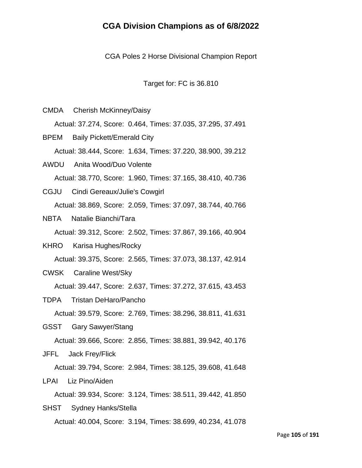CGA Poles 2 Horse Divisional Champion Report

Target for: FC is 36.810

- CMDA Cherish McKinney/Daisy Actual: 37.274, Score: 0.464, Times: 37.035, 37.295, 37.491 BPEM Baily Pickett/Emerald City Actual: 38.444, Score: 1.634, Times: 37.220, 38.900, 39.212
- AWDU Anita Wood/Duo Volente Actual: 38.770, Score: 1.960, Times: 37.165, 38.410, 40.736
- CGJU Cindi Gereaux/Julie's Cowgirl Actual: 38.869, Score: 2.059, Times: 37.097, 38.744, 40.766
- NBTA Natalie Bianchi/Tara

Actual: 39.312, Score: 2.502, Times: 37.867, 39.166, 40.904

- KHRO Karisa Hughes/Rocky Actual: 39.375, Score: 2.565, Times: 37.073, 38.137, 42.914
- CWSK Caraline West/Sky

Actual: 39.447, Score: 2.637, Times: 37.272, 37.615, 43.453

TDPA Tristan DeHaro/Pancho

Actual: 39.579, Score: 2.769, Times: 38.296, 38.811, 41.631

GSST Gary Sawyer/Stang

Actual: 39.666, Score: 2.856, Times: 38.881, 39.942, 40.176

JFFL Jack Frey/Flick

Actual: 39.794, Score: 2.984, Times: 38.125, 39.608, 41.648

LPAI Liz Pino/Aiden

Actual: 39.934, Score: 3.124, Times: 38.511, 39.442, 41.850

SHST Sydney Hanks/Stella Actual: 40.004, Score: 3.194, Times: 38.699, 40.234, 41.078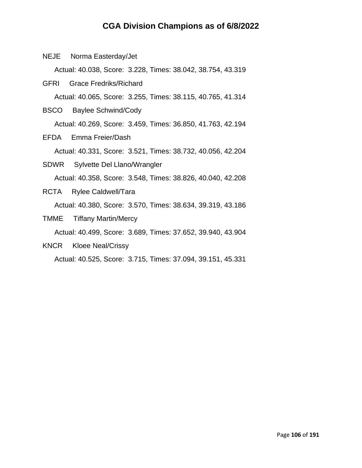NEJE Norma Easterday/Jet

Actual: 40.038, Score: 3.228, Times: 38.042, 38.754, 43.319

- GFRI Grace Fredriks/Richard Actual: 40.065, Score: 3.255, Times: 38.115, 40.765, 41.314
- BSCO Baylee Schwind/Cody Actual: 40.269, Score: 3.459, Times: 36.850, 41.763, 42.194
- EFDA Emma Freier/Dash

Actual: 40.331, Score: 3.521, Times: 38.732, 40.056, 42.204

- SDWR Sylvette Del Llano/Wrangler Actual: 40.358, Score: 3.548, Times: 38.826, 40.040, 42.208
- RCTA Rylee Caldwell/Tara Actual: 40.380, Score: 3.570, Times: 38.634, 39.319, 43.186
- TMME Tiffany Martin/Mercy

Actual: 40.499, Score: 3.689, Times: 37.652, 39.940, 43.904

KNCR Kloee Neal/Crissy

Actual: 40.525, Score: 3.715, Times: 37.094, 39.151, 45.331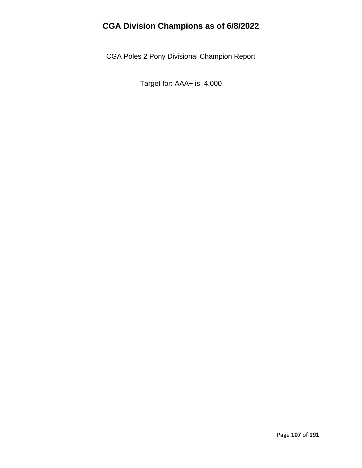CGA Poles 2 Pony Divisional Champion Report

Target for: AAA+ is 4.000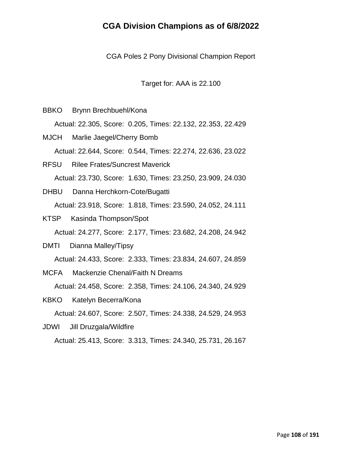CGA Poles 2 Pony Divisional Champion Report

Target for: AAA is 22.100

- BBKO Brynn Brechbuehl/Kona
	- Actual: 22.305, Score: 0.205, Times: 22.132, 22.353, 22.429
- MJCH Marlie Jaegel/Cherry Bomb Actual: 22.644, Score: 0.544, Times: 22.274, 22.636, 23.022
- RFSU Rilee Frates/Suncrest Maverick Actual: 23.730, Score: 1.630, Times: 23.250, 23.909, 24.030
- DHBU Danna Herchkorn-Cote/Bugatti Actual: 23.918, Score: 1.818, Times: 23.590, 24.052, 24.111
- KTSP Kasinda Thompson/Spot Actual: 24.277, Score: 2.177, Times: 23.682, 24.208, 24.942
- DMTI Dianna Malley/Tipsy Actual: 24.433, Score: 2.333, Times: 23.834, 24.607, 24.859
- MCFA Mackenzie Chenal/Faith N Dreams Actual: 24.458, Score: 2.358, Times: 24.106, 24.340, 24.929
- KBKO Katelyn Becerra/Kona Actual: 24.607, Score: 2.507, Times: 24.338, 24.529, 24.953
- JDWI Jill Druzgala/Wildfire Actual: 25.413, Score: 3.313, Times: 24.340, 25.731, 26.167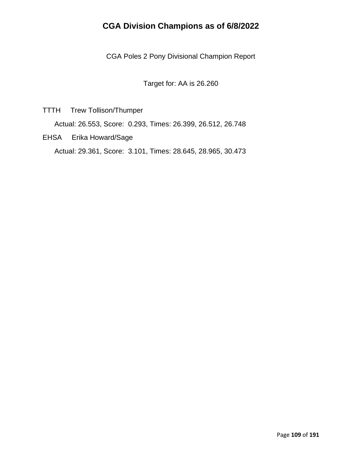CGA Poles 2 Pony Divisional Champion Report

Target for: AA is 26.260

TTTH Trew Tollison/Thumper

Actual: 26.553, Score: 0.293, Times: 26.399, 26.512, 26.748

EHSA Erika Howard/Sage

Actual: 29.361, Score: 3.101, Times: 28.645, 28.965, 30.473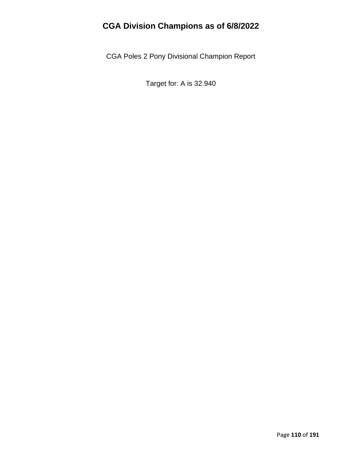CGA Poles 2 Pony Divisional Champion Report

Target for: A is 32.940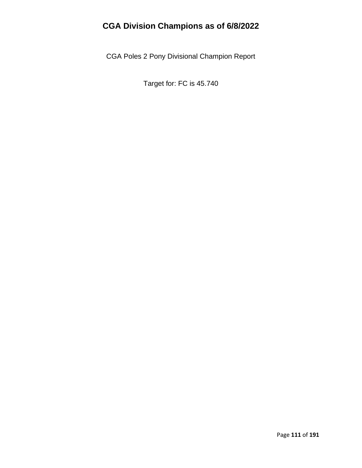CGA Poles 2 Pony Divisional Champion Report

Target for: FC is 45.740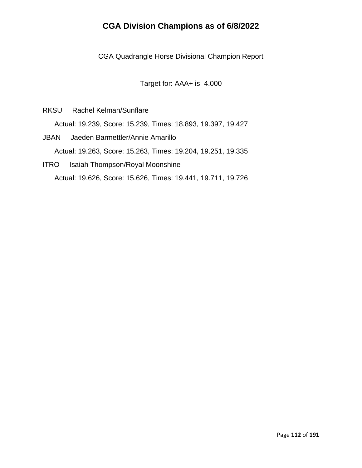CGA Quadrangle Horse Divisional Champion Report

Target for: AAA+ is 4.000

RKSU Rachel Kelman/Sunflare

Actual: 19.239, Score: 15.239, Times: 18.893, 19.397, 19.427

- JBAN Jaeden Barmettler/Annie Amarillo Actual: 19.263, Score: 15.263, Times: 19.204, 19.251, 19.335
- ITRO Isaiah Thompson/Royal Moonshine Actual: 19.626, Score: 15.626, Times: 19.441, 19.711, 19.726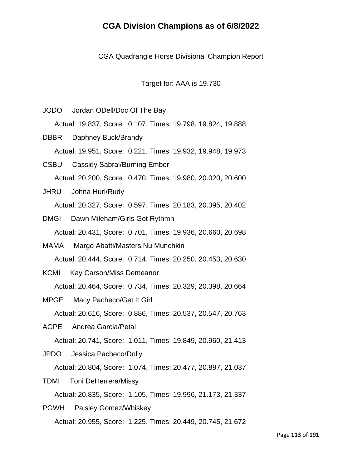CGA Quadrangle Horse Divisional Champion Report

Target for: AAA is 19.730

JODO Jordan ODell/Doc Of The Bay

Actual: 19.837, Score: 0.107, Times: 19.798, 19.824, 19.888

DBBR Daphney Buck/Brandy Actual: 19.951, Score: 0.221, Times: 19.932, 19.948, 19.973

CSBU Cassidy Sabral/Burning Ember Actual: 20.200, Score: 0.470, Times: 19.980, 20.020, 20.600

- JHRU Johna Hurl/Rudy Actual: 20.327, Score: 0.597, Times: 20.183, 20.395, 20.402
- DMGI Dawn Mileham/Girls Got Rythmn Actual: 20.431, Score: 0.701, Times: 19.936, 20.660, 20.698
- MAMA Margo Abatti/Masters Nu Munchkin Actual: 20.444, Score: 0.714, Times: 20.250, 20.453, 20.630
- KCMI Kay Carson/Miss Demeanor

Actual: 20.464, Score: 0.734, Times: 20.329, 20.398, 20.664

MPGE Macy Pacheco/Get It Girl

Actual: 20.616, Score: 0.886, Times: 20.537, 20.547, 20.763

AGPE Andrea Garcia/Petal

Actual: 20.741, Score: 1.011, Times: 19.849, 20.960, 21.413

JPDO Jessica Pacheco/Dolly

Actual: 20.804, Score: 1.074, Times: 20.477, 20.897, 21.037

TDMI Toni DeHerrera/Missy

Actual: 20.835, Score: 1.105, Times: 19.996, 21.173, 21.337

PGWH Paisley Gomez/Whiskey Actual: 20.955, Score: 1.225, Times: 20.449, 20.745, 21.672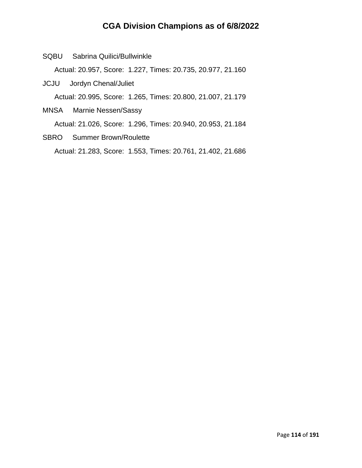SQBU Sabrina Quilici/Bullwinkle

Actual: 20.957, Score: 1.227, Times: 20.735, 20.977, 21.160

- JCJU Jordyn Chenal/Juliet Actual: 20.995, Score: 1.265, Times: 20.800, 21.007, 21.179
- MNSA Marnie Nessen/Sassy Actual: 21.026, Score: 1.296, Times: 20.940, 20.953, 21.184
- SBRO Summer Brown/Roulette Actual: 21.283, Score: 1.553, Times: 20.761, 21.402, 21.686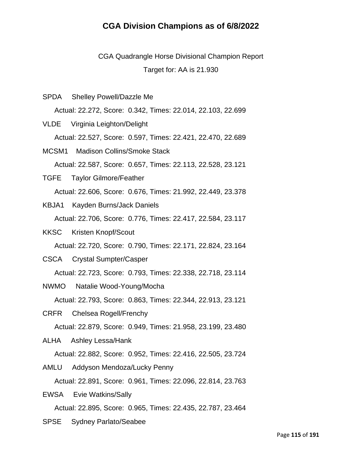CGA Quadrangle Horse Divisional Champion Report Target for: AA is 21.930

SPDA Shelley Powell/Dazzle Me

Actual: 22.272, Score: 0.342, Times: 22.014, 22.103, 22.699

VLDE Virginia Leighton/Delight

Actual: 22.527, Score: 0.597, Times: 22.421, 22.470, 22.689

MCSM1 Madison Collins/Smoke Stack

Actual: 22.587, Score: 0.657, Times: 22.113, 22.528, 23.121

TGFE Taylor Gilmore/Feather Actual: 22.606, Score: 0.676, Times: 21.992, 22.449, 23.378

- KBJA1 Kayden Burns/Jack Daniels Actual: 22.706, Score: 0.776, Times: 22.417, 22.584, 23.117
- KKSC Kristen Knopf/Scout Actual: 22.720, Score: 0.790, Times: 22.171, 22.824, 23.164
- CSCA Crystal Sumpter/Casper Actual: 22.723, Score: 0.793, Times: 22.338, 22.718, 23.114
- NWMO Natalie Wood-Young/Mocha Actual: 22.793, Score: 0.863, Times: 22.344, 22.913, 23.121
- CRFR Chelsea Rogell/Frenchy Actual: 22.879, Score: 0.949, Times: 21.958, 23.199, 23.480

ALHA Ashley Lessa/Hank

Actual: 22.882, Score: 0.952, Times: 22.416, 22.505, 23.724

AMLU Addyson Mendoza/Lucky Penny Actual: 22.891, Score: 0.961, Times: 22.096, 22.814, 23.763

EWSA Evie Watkins/Sally

Actual: 22.895, Score: 0.965, Times: 22.435, 22.787, 23.464

SPSE Sydney Parlato/Seabee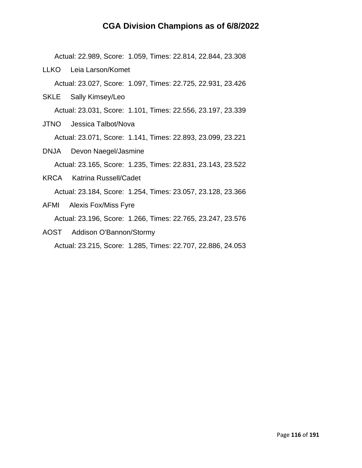Actual: 22.989, Score: 1.059, Times: 22.814, 22.844, 23.308

LLKO Leia Larson/Komet

Actual: 23.027, Score: 1.097, Times: 22.725, 22.931, 23.426

SKLE Sally Kimsey/Leo

Actual: 23.031, Score: 1.101, Times: 22.556, 23.197, 23.339

JTNO Jessica Talbot/Nova

Actual: 23.071, Score: 1.141, Times: 22.893, 23.099, 23.221

DNJA Devon Naegel/Jasmine

Actual: 23.165, Score: 1.235, Times: 22.831, 23.143, 23.522

KRCA Katrina Russell/Cadet

Actual: 23.184, Score: 1.254, Times: 23.057, 23.128, 23.366

- AFMI Alexis Fox/Miss Fyre Actual: 23.196, Score: 1.266, Times: 22.765, 23.247, 23.576
- AOST Addison O'Bannon/Stormy Actual: 23.215, Score: 1.285, Times: 22.707, 22.886, 24.053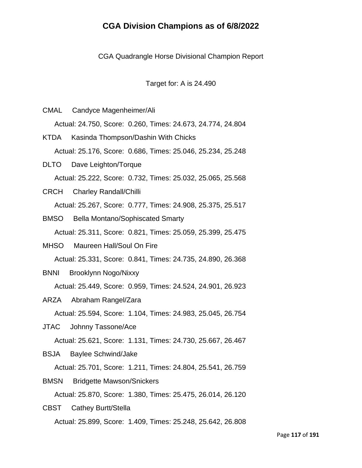CGA Quadrangle Horse Divisional Champion Report

Target for: A is 24.490

- CMAL Candyce Magenheimer/Ali Actual: 24.750, Score: 0.260, Times: 24.673, 24.774, 24.804
- KTDA Kasinda Thompson/Dashin With Chicks Actual: 25.176, Score: 0.686, Times: 25.046, 25.234, 25.248
- DLTO Dave Leighton/Torque Actual: 25.222, Score: 0.732, Times: 25.032, 25.065, 25.568
- CRCH Charley Randall/Chilli Actual: 25.267, Score: 0.777, Times: 24.908, 25.375, 25.517
- BMSO Bella Montano/Sophiscated Smarty Actual: 25.311, Score: 0.821, Times: 25.059, 25.399, 25.475
- MHSO Maureen Hall/Soul On Fire Actual: 25.331, Score: 0.841, Times: 24.735, 24.890, 26.368
- BNNI Brooklynn Nogo/Nixxy

Actual: 25.449, Score: 0.959, Times: 24.524, 24.901, 26.923

ARZA Abraham Rangel/Zara

Actual: 25.594, Score: 1.104, Times: 24.983, 25.045, 26.754

JTAC Johnny Tassone/Ace

Actual: 25.621, Score: 1.131, Times: 24.730, 25.667, 26.467

BSJA Baylee Schwind/Jake

Actual: 25.701, Score: 1.211, Times: 24.804, 25.541, 26.759

BMSN Bridgette Mawson/Snickers

Actual: 25.870, Score: 1.380, Times: 25.475, 26.014, 26.120

CBST Cathey Burtt/Stella Actual: 25.899, Score: 1.409, Times: 25.248, 25.642, 26.808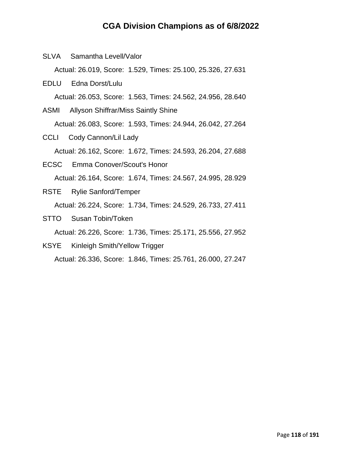SLVA Samantha Levell/Valor

Actual: 26.019, Score: 1.529, Times: 25.100, 25.326, 27.631

- EDLU Edna Dorst/Lulu Actual: 26.053, Score: 1.563, Times: 24.562, 24.956, 28.640
- ASMI Allyson Shiffrar/Miss Saintly Shine Actual: 26.083, Score: 1.593, Times: 24.944, 26.042, 27.264
- CCLI Cody Cannon/Lil Lady Actual: 26.162, Score: 1.672, Times: 24.593, 26.204, 27.688
- ECSC Emma Conover/Scout's Honor Actual: 26.164, Score: 1.674, Times: 24.567, 24.995, 28.929
- RSTE Rylie Sanford/Temper Actual: 26.224, Score: 1.734, Times: 24.529, 26.733, 27.411
- STTO Susan Tobin/Token

Actual: 26.226, Score: 1.736, Times: 25.171, 25.556, 27.952

KSYE Kinleigh Smith/Yellow Trigger

Actual: 26.336, Score: 1.846, Times: 25.761, 26.000, 27.247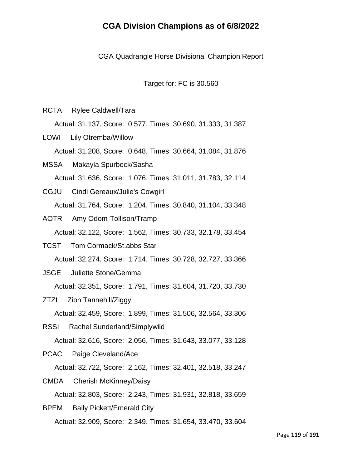CGA Quadrangle Horse Divisional Champion Report

Target for: FC is 30.560

RCTA Rylee Caldwell/Tara

Actual: 31.137, Score: 0.577, Times: 30.690, 31.333, 31.387

LOWI Lily Otremba/Willow Actual: 31.208, Score: 0.648, Times: 30.664, 31.084, 31.876

- MSSA Makayla Spurbeck/Sasha Actual: 31.636, Score: 1.076, Times: 31.011, 31.783, 32.114
- CGJU Cindi Gereaux/Julie's Cowgirl Actual: 31.764, Score: 1.204, Times: 30.840, 31.104, 33.348
- AOTR Amy Odom-Tollison/Tramp Actual: 32.122, Score: 1.562, Times: 30.733, 32.178, 33.454
- TCST Tom Cormack/St.abbs Star Actual: 32.274, Score: 1.714, Times: 30.728, 32.727, 33.366
- JSGE Juliette Stone/Gemma

Actual: 32.351, Score: 1.791, Times: 31.604, 31.720, 33.730

- ZTZI Zion Tannehill/Ziggy Actual: 32.459, Score: 1.899, Times: 31.506, 32.564, 33.306
- RSSI Rachel Sunderland/Simplywild

Actual: 32.616, Score: 2.056, Times: 31.643, 33.077, 33.128

PCAC Paige Cleveland/Ace

Actual: 32.722, Score: 2.162, Times: 32.401, 32.518, 33.247

CMDA Cherish McKinney/Daisy

Actual: 32.803, Score: 2.243, Times: 31.931, 32.818, 33.659

BPEM Baily Pickett/Emerald City Actual: 32.909, Score: 2.349, Times: 31.654, 33.470, 33.604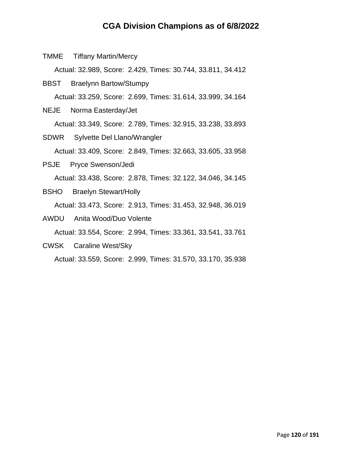TMME Tiffany Martin/Mercy

Actual: 32.989, Score: 2.429, Times: 30.744, 33.811, 34.412

- BBST Braelynn Bartow/Stumpy Actual: 33.259, Score: 2.699, Times: 31.614, 33.999, 34.164
- NEJE Norma Easterday/Jet Actual: 33.349, Score: 2.789, Times: 32.915, 33.238, 33.893
- SDWR Sylvette Del Llano/Wrangler Actual: 33.409, Score: 2.849, Times: 32.663, 33.605, 33.958
- PSJE Pryce Swenson/Jedi Actual: 33.438, Score: 2.878, Times: 32.122, 34.046, 34.145
- BSHO Braelyn Stewart/Holly Actual: 33.473, Score: 2.913, Times: 31.453, 32.948, 36.019
- AWDU Anita Wood/Duo Volente Actual: 33.554, Score: 2.994, Times: 33.361, 33.541, 33.761
- CWSK Caraline West/Sky

Actual: 33.559, Score: 2.999, Times: 31.570, 33.170, 35.938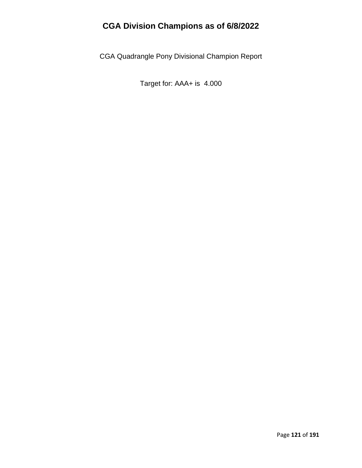CGA Quadrangle Pony Divisional Champion Report

Target for: AAA+ is 4.000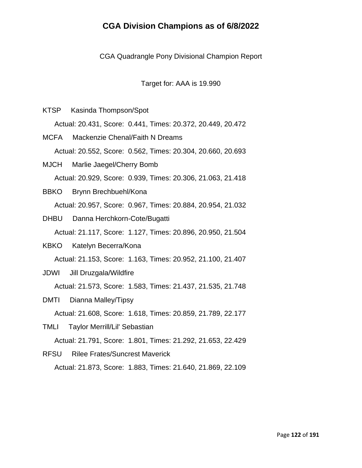CGA Quadrangle Pony Divisional Champion Report

Target for: AAA is 19.990

KTSP Kasinda Thompson/Spot Actual: 20.431, Score: 0.441, Times: 20.372, 20.449, 20.472

MCFA Mackenzie Chenal/Faith N Dreams Actual: 20.552, Score: 0.562, Times: 20.304, 20.660, 20.693

- MJCH Marlie Jaegel/Cherry Bomb Actual: 20.929, Score: 0.939, Times: 20.306, 21.063, 21.418
- BBKO Brynn Brechbuehl/Kona Actual: 20.957, Score: 0.967, Times: 20.884, 20.954, 21.032
- DHBU Danna Herchkorn-Cote/Bugatti Actual: 21.117, Score: 1.127, Times: 20.896, 20.950, 21.504
- KBKO Katelyn Becerra/Kona Actual: 21.153, Score: 1.163, Times: 20.952, 21.100, 21.407
- JDWI Jill Druzgala/Wildfire

Actual: 21.573, Score: 1.583, Times: 21.437, 21.535, 21.748

- DMTI Dianna Malley/Tipsy Actual: 21.608, Score: 1.618, Times: 20.859, 21.789, 22.177
- TMLI Taylor Merrill/Lil' Sebastian

Actual: 21.791, Score: 1.801, Times: 21.292, 21.653, 22.429

RFSU Rilee Frates/Suncrest Maverick Actual: 21.873, Score: 1.883, Times: 21.640, 21.869, 22.109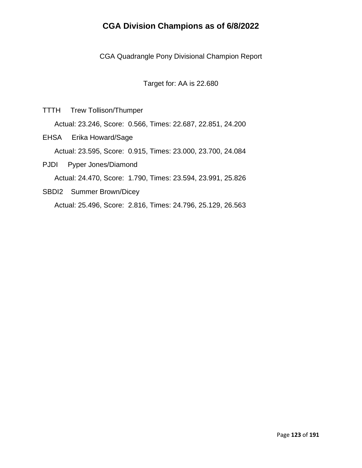CGA Quadrangle Pony Divisional Champion Report

Target for: AA is 22.680

TTTH Trew Tollison/Thumper

Actual: 23.246, Score: 0.566, Times: 22.687, 22.851, 24.200

EHSA Erika Howard/Sage

Actual: 23.595, Score: 0.915, Times: 23.000, 23.700, 24.084

PJDI Pyper Jones/Diamond

Actual: 24.470, Score: 1.790, Times: 23.594, 23.991, 25.826

SBDI2 Summer Brown/Dicey Actual: 25.496, Score: 2.816, Times: 24.796, 25.129, 26.563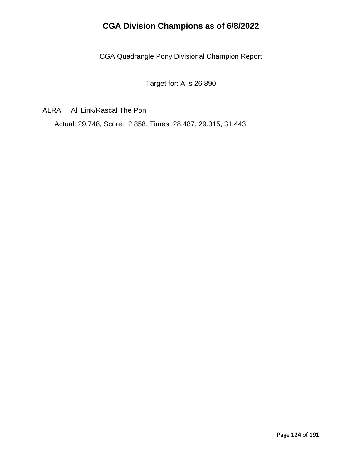CGA Quadrangle Pony Divisional Champion Report

Target for: A is 26.890

ALRA Ali Link/Rascal The Pon

Actual: 29.748, Score: 2.858, Times: 28.487, 29.315, 31.443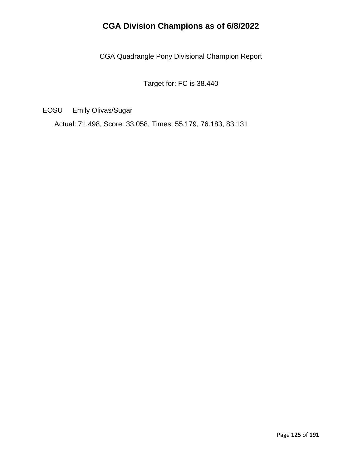CGA Quadrangle Pony Divisional Champion Report

Target for: FC is 38.440

EOSU Emily Olivas/Sugar

Actual: 71.498, Score: 33.058, Times: 55.179, 76.183, 83.131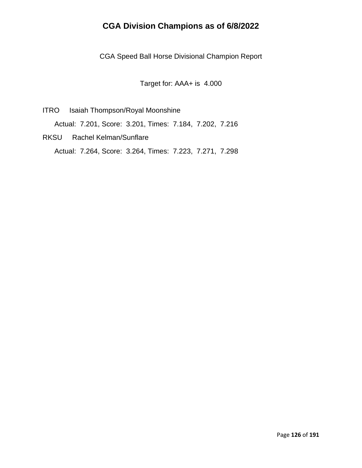CGA Speed Ball Horse Divisional Champion Report

Target for: AAA+ is 4.000

- ITRO Isaiah Thompson/Royal Moonshine Actual: 7.201, Score: 3.201, Times: 7.184, 7.202, 7.216
- RKSU Rachel Kelman/Sunflare Actual: 7.264, Score: 3.264, Times: 7.223, 7.271, 7.298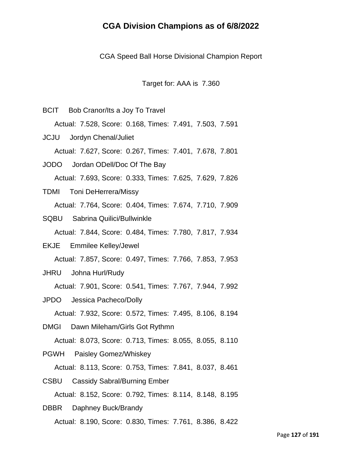CGA Speed Ball Horse Divisional Champion Report

Target for: AAA is 7.360

BCIT Bob Cranor/Its a Joy To Travel Actual: 7.528, Score: 0.168, Times: 7.491, 7.503, 7.591 JCJU Jordyn Chenal/Juliet Actual: 7.627, Score: 0.267, Times: 7.401, 7.678, 7.801 JODO Jordan ODell/Doc Of The Bay Actual: 7.693, Score: 0.333, Times: 7.625, 7.629, 7.826 TDMI Toni DeHerrera/Missy Actual: 7.764, Score: 0.404, Times: 7.674, 7.710, 7.909 SQBU Sabrina Quilici/Bullwinkle Actual: 7.844, Score: 0.484, Times: 7.780, 7.817, 7.934 EKJE Emmilee Kelley/Jewel Actual: 7.857, Score: 0.497, Times: 7.766, 7.853, 7.953 JHRU Johna Hurl/Rudy Actual: 7.901, Score: 0.541, Times: 7.767, 7.944, 7.992 JPDO Jessica Pacheco/Dolly Actual: 7.932, Score: 0.572, Times: 7.495, 8.106, 8.194 DMGI Dawn Mileham/Girls Got Rythmn Actual: 8.073, Score: 0.713, Times: 8.055, 8.055, 8.110 PGWH Paisley Gomez/Whiskey Actual: 8.113, Score: 0.753, Times: 7.841, 8.037, 8.461 CSBU Cassidy Sabral/Burning Ember Actual: 8.152, Score: 0.792, Times: 8.114, 8.148, 8.195 DBBR Daphney Buck/Brandy

Actual: 8.190, Score: 0.830, Times: 7.761, 8.386, 8.422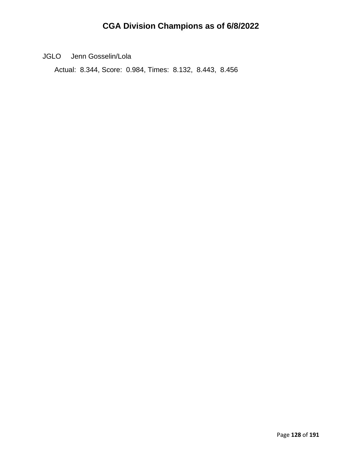JGLO Jenn Gosselin/Lola

Actual: 8.344, Score: 0.984, Times: 8.132, 8.443, 8.456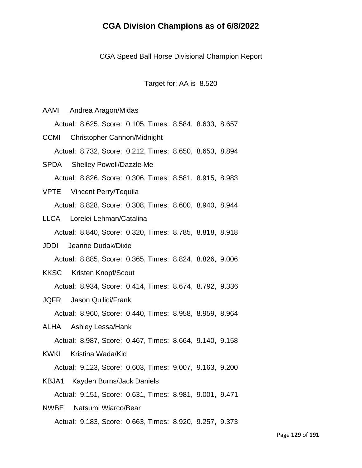CGA Speed Ball Horse Divisional Champion Report

Target for: AA is 8.520

AAMI Andrea Aragon/Midas

Actual: 8.625, Score: 0.105, Times: 8.584, 8.633, 8.657

CCMI Christopher Cannon/Midnight Actual: 8.732, Score: 0.212, Times: 8.650, 8.653, 8.894

- SPDA Shelley Powell/Dazzle Me Actual: 8.826, Score: 0.306, Times: 8.581, 8.915, 8.983
- VPTE Vincent Perry/Tequila Actual: 8.828, Score: 0.308, Times: 8.600, 8.940, 8.944
- LLCA Lorelei Lehman/Catalina

Actual: 8.840, Score: 0.320, Times: 8.785, 8.818, 8.918

- JDDI Jeanne Dudak/Dixie Actual: 8.885, Score: 0.365, Times: 8.824, 8.826, 9.006
- KKSC Kristen Knopf/Scout

Actual: 8.934, Score: 0.414, Times: 8.674, 8.792, 9.336

JQFR Jason Quilici/Frank

Actual: 8.960, Score: 0.440, Times: 8.958, 8.959, 8.964

ALHA Ashley Lessa/Hank

Actual: 8.987, Score: 0.467, Times: 8.664, 9.140, 9.158

KWKI Kristina Wada/Kid

Actual: 9.123, Score: 0.603, Times: 9.007, 9.163, 9.200

KBJA1 Kayden Burns/Jack Daniels

Actual: 9.151, Score: 0.631, Times: 8.981, 9.001, 9.471

NWBE Natsumi Wiarco/Bear Actual: 9.183, Score: 0.663, Times: 8.920, 9.257, 9.373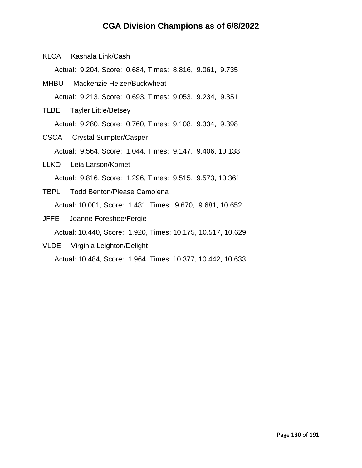KLCA Kashala Link/Cash

Actual: 9.204, Score: 0.684, Times: 8.816, 9.061, 9.735

- MHBU Mackenzie Heizer/Buckwheat Actual: 9.213, Score: 0.693, Times: 9.053, 9.234, 9.351
- TLBE Tayler Little/Betsey
	- Actual: 9.280, Score: 0.760, Times: 9.108, 9.334, 9.398
- CSCA Crystal Sumpter/Casper Actual: 9.564, Score: 1.044, Times: 9.147, 9.406, 10.138
- LLKO Leia Larson/Komet Actual: 9.816, Score: 1.296, Times: 9.515, 9.573, 10.361
- TBPL Todd Benton/Please Camolena Actual: 10.001, Score: 1.481, Times: 9.670, 9.681, 10.652
- JFFE Joanne Foreshee/Fergie Actual: 10.440, Score: 1.920, Times: 10.175, 10.517, 10.629
- VLDE Virginia Leighton/Delight Actual: 10.484, Score: 1.964, Times: 10.377, 10.442, 10.633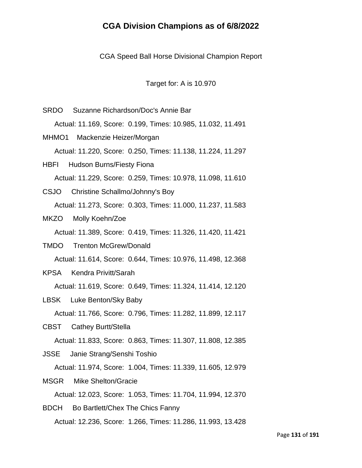CGA Speed Ball Horse Divisional Champion Report

Target for: A is 10.970

SRDO Suzanne Richardson/Doc's Annie Bar Actual: 11.169, Score: 0.199, Times: 10.985, 11.032, 11.491 MHMO1 Mackenzie Heizer/Morgan Actual: 11.220, Score: 0.250, Times: 11.138, 11.224, 11.297 HBFI Hudson Burns/Fiesty Fiona Actual: 11.229, Score: 0.259, Times: 10.978, 11.098, 11.610 CSJO Christine Schallmo/Johnny's Boy Actual: 11.273, Score: 0.303, Times: 11.000, 11.237, 11.583 MKZO Molly Koehn/Zoe Actual: 11.389, Score: 0.419, Times: 11.326, 11.420, 11.421 TMDO Trenton McGrew/Donald Actual: 11.614, Score: 0.644, Times: 10.976, 11.498, 12.368 KPSA Kendra Privitt/Sarah Actual: 11.619, Score: 0.649, Times: 11.324, 11.414, 12.120 LBSK Luke Benton/Sky Baby Actual: 11.766, Score: 0.796, Times: 11.282, 11.899, 12.117 CBST Cathey Burtt/Stella Actual: 11.833, Score: 0.863, Times: 11.307, 11.808, 12.385 JSSE Janie Strang/Senshi Toshio Actual: 11.974, Score: 1.004, Times: 11.339, 11.605, 12.979 MSGR Mike Shelton/Gracie Actual: 12.023, Score: 1.053, Times: 11.704, 11.994, 12.370 BDCH Bo Bartlett/Chex The Chics Fanny Actual: 12.236, Score: 1.266, Times: 11.286, 11.993, 13.428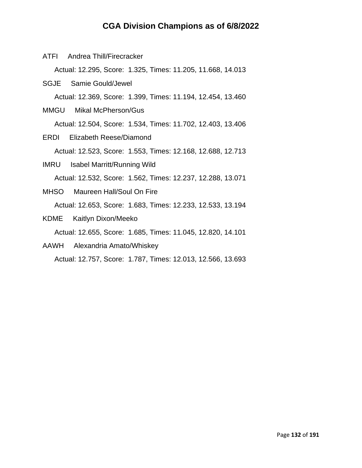ATFI Andrea Thill/Firecracker

Actual: 12.295, Score: 1.325, Times: 11.205, 11.668, 14.013

- SGJE Samie Gould/Jewel
	- Actual: 12.369, Score: 1.399, Times: 11.194, 12.454, 13.460
- MMGU Mikal McPherson/Gus Actual: 12.504, Score: 1.534, Times: 11.702, 12.403, 13.406
- ERDI Elizabeth Reese/Diamond Actual: 12.523, Score: 1.553, Times: 12.168, 12.688, 12.713
- IMRU Isabel Marritt/Running Wild Actual: 12.532, Score: 1.562, Times: 12.237, 12.288, 13.071
- MHSO Maureen Hall/Soul On Fire Actual: 12.653, Score: 1.683, Times: 12.233, 12.533, 13.194
- KDME Kaitlyn Dixon/Meeko

Actual: 12.655, Score: 1.685, Times: 11.045, 12.820, 14.101

AAWH Alexandria Amato/Whiskey

Actual: 12.757, Score: 1.787, Times: 12.013, 12.566, 13.693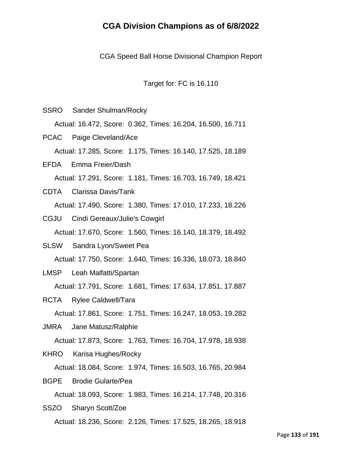CGA Speed Ball Horse Divisional Champion Report

Target for: FC is 16.110

- SSRO Sander Shulman/Rocky Actual: 16.472, Score: 0.362, Times: 16.204, 16.500, 16.711 PCAC Paige Cleveland/Ace Actual: 17.285, Score: 1.175, Times: 16.140, 17.525, 18.189
- EFDA Emma Freier/Dash Actual: 17.291, Score: 1.181, Times: 16.703, 16.749, 18.421
- CDTA Clarissa Davis/Tank Actual: 17.490, Score: 1.380, Times: 17.010, 17.233, 18.226
- CGJU Cindi Gereaux/Julie's Cowgirl Actual: 17.670, Score: 1.560, Times: 16.140, 18.379, 18.492
- SLSW Sandra Lyon/Sweet Pea Actual: 17.750, Score: 1.640, Times: 16.336, 18.073, 18.840
- LMSP Leah Malfatti/Spartan

Actual: 17.791, Score: 1.681, Times: 17.634, 17.851, 17.887

RCTA Rylee Caldwell/Tara

Actual: 17.861, Score: 1.751, Times: 16.247, 18.053, 19.282

JMRA Jane Matusz/Ralphie

Actual: 17.873, Score: 1.763, Times: 16.704, 17.978, 18.938

KHRO Karisa Hughes/Rocky

Actual: 18.084, Score: 1.974, Times: 16.503, 16.765, 20.984

BGPE Brodie Gularte/Pea

Actual: 18.093, Score: 1.983, Times: 16.214, 17.748, 20.316

SSZO Sharyn Scott/Zoe Actual: 18.236, Score: 2.126, Times: 17.525, 18.265, 18.918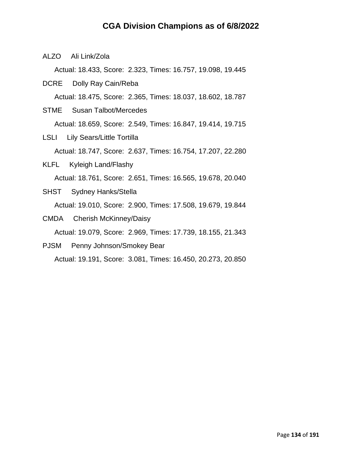ALZO Ali Link/Zola

Actual: 18.433, Score: 2.323, Times: 16.757, 19.098, 19.445

- DCRE Dolly Ray Cain/Reba Actual: 18.475, Score: 2.365, Times: 18.037, 18.602, 18.787
- STME Susan Talbot/Mercedes Actual: 18.659, Score: 2.549, Times: 16.847, 19.414, 19.715
- LSLI Lily Sears/Little Tortilla Actual: 18.747, Score: 2.637, Times: 16.754, 17.207, 22.280
- KLFL Kyleigh Land/Flashy Actual: 18.761, Score: 2.651, Times: 16.565, 19.678, 20.040
- SHST Sydney Hanks/Stella Actual: 19.010, Score: 2.900, Times: 17.508, 19.679, 19.844
- CMDA Cherish McKinney/Daisy Actual: 19.079, Score: 2.969, Times: 17.739, 18.155, 21.343
- PJSM Penny Johnson/Smokey Bear Actual: 19.191, Score: 3.081, Times: 16.450, 20.273, 20.850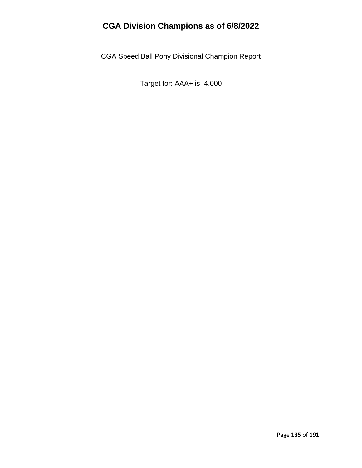CGA Speed Ball Pony Divisional Champion Report

Target for: AAA+ is 4.000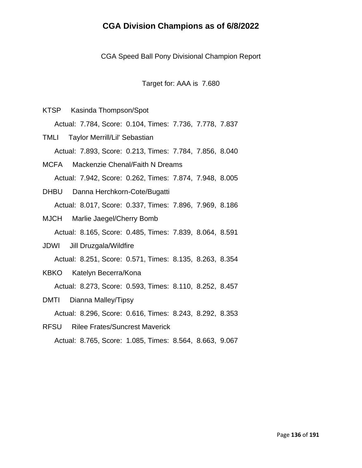CGA Speed Ball Pony Divisional Champion Report

Target for: AAA is 7.680

KTSP Kasinda Thompson/Spot

Actual: 7.784, Score: 0.104, Times: 7.736, 7.778, 7.837

TMLI Taylor Merrill/Lil' Sebastian Actual: 7.893, Score: 0.213, Times: 7.784, 7.856, 8.040

- MCFA Mackenzie Chenal/Faith N Dreams Actual: 7.942, Score: 0.262, Times: 7.874, 7.948, 8.005
- DHBU Danna Herchkorn-Cote/Bugatti Actual: 8.017, Score: 0.337, Times: 7.896, 7.969, 8.186
- MJCH Marlie Jaegel/Cherry Bomb

Actual: 8.165, Score: 0.485, Times: 7.839, 8.064, 8.591

- JDWI Jill Druzgala/Wildfire Actual: 8.251, Score: 0.571, Times: 8.135, 8.263, 8.354
- KBKO Katelyn Becerra/Kona

Actual: 8.273, Score: 0.593, Times: 8.110, 8.252, 8.457

DMTI Dianna Malley/Tipsy

Actual: 8.296, Score: 0.616, Times: 8.243, 8.292, 8.353

RFSU Rilee Frates/Suncrest Maverick

Actual: 8.765, Score: 1.085, Times: 8.564, 8.663, 9.067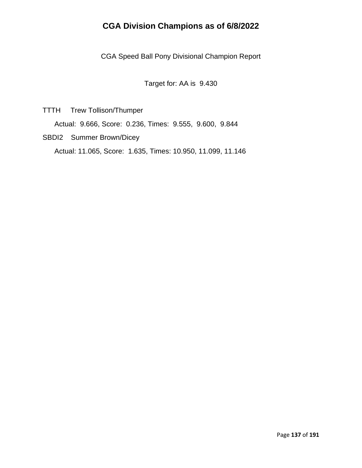CGA Speed Ball Pony Divisional Champion Report

Target for: AA is 9.430

TTTH Trew Tollison/Thumper

Actual: 9.666, Score: 0.236, Times: 9.555, 9.600, 9.844

SBDI2 Summer Brown/Dicey

Actual: 11.065, Score: 1.635, Times: 10.950, 11.099, 11.146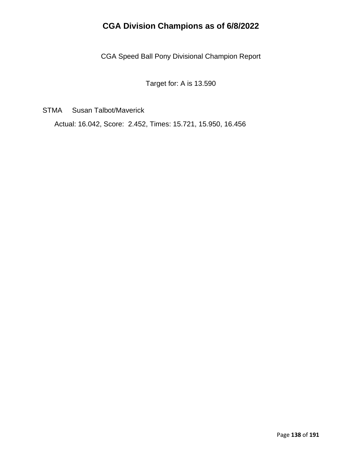CGA Speed Ball Pony Divisional Champion Report

Target for: A is 13.590

STMA Susan Talbot/Maverick

Actual: 16.042, Score: 2.452, Times: 15.721, 15.950, 16.456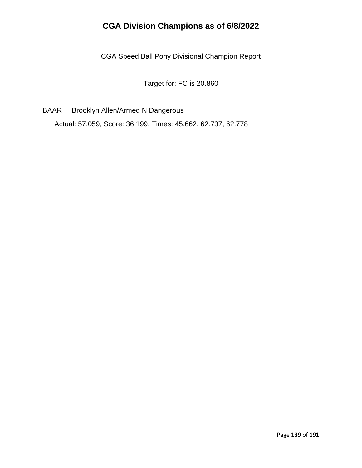CGA Speed Ball Pony Divisional Champion Report

Target for: FC is 20.860

BAAR Brooklyn Allen/Armed N Dangerous

Actual: 57.059, Score: 36.199, Times: 45.662, 62.737, 62.778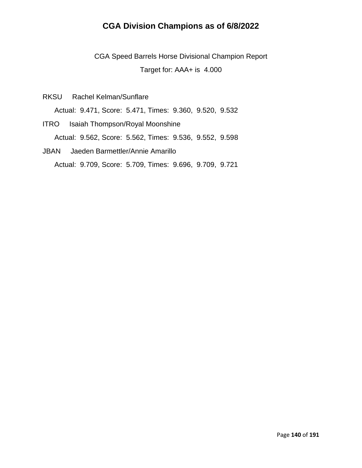CGA Speed Barrels Horse Divisional Champion Report Target for: AAA+ is 4.000

RKSU Rachel Kelman/Sunflare

Actual: 9.471, Score: 5.471, Times: 9.360, 9.520, 9.532

ITRO Isaiah Thompson/Royal Moonshine Actual: 9.562, Score: 5.562, Times: 9.536, 9.552, 9.598

## JBAN Jaeden Barmettler/Annie Amarillo Actual: 9.709, Score: 5.709, Times: 9.696, 9.709, 9.721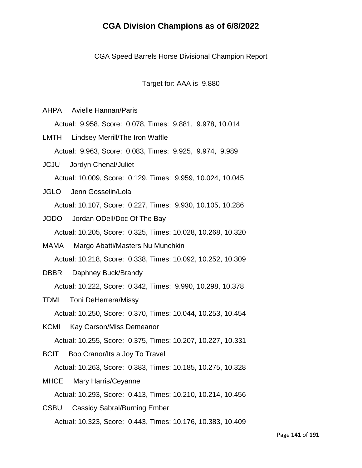CGA Speed Barrels Horse Divisional Champion Report

Target for: AAA is 9.880

AHPA Avielle Hannan/Paris

Actual: 9.958, Score: 0.078, Times: 9.881, 9.978, 10.014

LMTH Lindsey Merrill/The Iron Waffle Actual: 9.963, Score: 0.083, Times: 9.925, 9.974, 9.989

- JCJU Jordyn Chenal/Juliet Actual: 10.009, Score: 0.129, Times: 9.959, 10.024, 10.045
- JGLO Jenn Gosselin/Lola Actual: 10.107, Score: 0.227, Times: 9.930, 10.105, 10.286
- JODO Jordan ODell/Doc Of The Bay Actual: 10.205, Score: 0.325, Times: 10.028, 10.268, 10.320
- MAMA Margo Abatti/Masters Nu Munchkin Actual: 10.218, Score: 0.338, Times: 10.092, 10.252, 10.309
- DBBR Daphney Buck/Brandy

Actual: 10.222, Score: 0.342, Times: 9.990, 10.298, 10.378

- TDMI Toni DeHerrera/Missy Actual: 10.250, Score: 0.370, Times: 10.044, 10.253, 10.454
- KCMI Kay Carson/Miss Demeanor

Actual: 10.255, Score: 0.375, Times: 10.207, 10.227, 10.331

BCIT Bob Cranor/Its a Joy To Travel

Actual: 10.263, Score: 0.383, Times: 10.185, 10.275, 10.328

MHCE Mary Harris/Ceyanne

Actual: 10.293, Score: 0.413, Times: 10.210, 10.214, 10.456

CSBU Cassidy Sabral/Burning Ember Actual: 10.323, Score: 0.443, Times: 10.176, 10.383, 10.409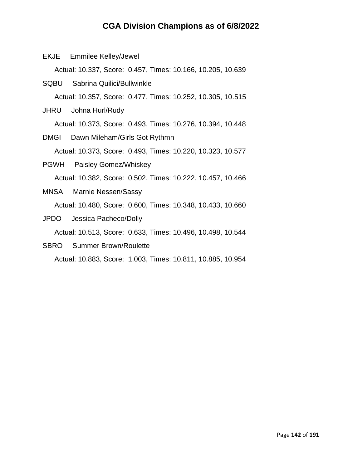EKJE Emmilee Kelley/Jewel

Actual: 10.337, Score: 0.457, Times: 10.166, 10.205, 10.639

SQBU Sabrina Quilici/Bullwinkle Actual: 10.357, Score: 0.477, Times: 10.252, 10.305, 10.515

JHRU Johna Hurl/Rudy

Actual: 10.373, Score: 0.493, Times: 10.276, 10.394, 10.448

- DMGI Dawn Mileham/Girls Got Rythmn Actual: 10.373, Score: 0.493, Times: 10.220, 10.323, 10.577
- PGWH Paisley Gomez/Whiskey Actual: 10.382, Score: 0.502, Times: 10.222, 10.457, 10.466
- MNSA Marnie Nessen/Sassy Actual: 10.480, Score: 0.600, Times: 10.348, 10.433, 10.660
- JPDO Jessica Pacheco/Dolly

Actual: 10.513, Score: 0.633, Times: 10.496, 10.498, 10.544

SBRO Summer Brown/Roulette

Actual: 10.883, Score: 1.003, Times: 10.811, 10.885, 10.954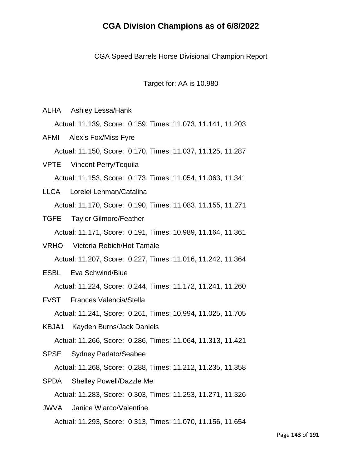CGA Speed Barrels Horse Divisional Champion Report

Target for: AA is 10.980

ALHA Ashley Lessa/Hank

Actual: 11.139, Score: 0.159, Times: 11.073, 11.141, 11.203

AFMI Alexis Fox/Miss Fyre Actual: 11.150, Score: 0.170, Times: 11.037, 11.125, 11.287

VPTE Vincent Perry/Tequila Actual: 11.153, Score: 0.173, Times: 11.054, 11.063, 11.341

- LLCA Lorelei Lehman/Catalina Actual: 11.170, Score: 0.190, Times: 11.083, 11.155, 11.271
- TGFE Taylor Gilmore/Feather Actual: 11.171, Score: 0.191, Times: 10.989, 11.164, 11.361
- VRHO Victoria Rebich/Hot Tamale Actual: 11.207, Score: 0.227, Times: 11.016, 11.242, 11.364
- ESBL Eva Schwind/Blue

Actual: 11.224, Score: 0.244, Times: 11.172, 11.241, 11.260

- FVST Frances Valencia/Stella Actual: 11.241, Score: 0.261, Times: 10.994, 11.025, 11.705
- KBJA1 Kayden Burns/Jack Daniels

Actual: 11.266, Score: 0.286, Times: 11.064, 11.313, 11.421

SPSE Sydney Parlato/Seabee

Actual: 11.268, Score: 0.288, Times: 11.212, 11.235, 11.358

SPDA Shelley Powell/Dazzle Me

Actual: 11.283, Score: 0.303, Times: 11.253, 11.271, 11.326

JWVA Janice Wiarco/Valentine Actual: 11.293, Score: 0.313, Times: 11.070, 11.156, 11.654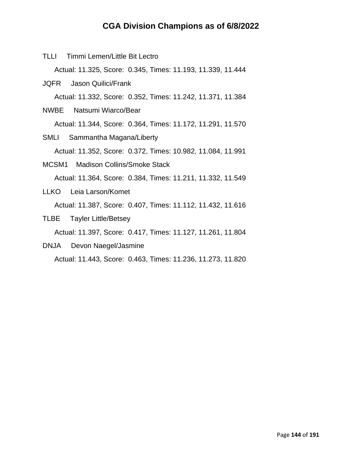TLLI Timmi Lemen/Little Bit Lectro

Actual: 11.325, Score: 0.345, Times: 11.193, 11.339, 11.444

- JQFR Jason Quilici/Frank Actual: 11.332, Score: 0.352, Times: 11.242, 11.371, 11.384
- NWBE Natsumi Wiarco/Bear Actual: 11.344, Score: 0.364, Times: 11.172, 11.291, 11.570
- SMLI Sammantha Magana/Liberty Actual: 11.352, Score: 0.372, Times: 10.982, 11.084, 11.991
- MCSM1 Madison Collins/Smoke Stack Actual: 11.364, Score: 0.384, Times: 11.211, 11.332, 11.549
- LLKO Leia Larson/Komet Actual: 11.387, Score: 0.407, Times: 11.112, 11.432, 11.616
- TLBE Tayler Little/Betsey

Actual: 11.397, Score: 0.417, Times: 11.127, 11.261, 11.804

DNJA Devon Naegel/Jasmine

Actual: 11.443, Score: 0.463, Times: 11.236, 11.273, 11.820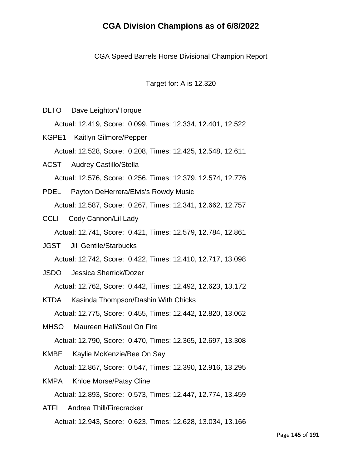CGA Speed Barrels Horse Divisional Champion Report

Target for: A is 12.320

DLTO Dave Leighton/Torque

Actual: 12.419, Score: 0.099, Times: 12.334, 12.401, 12.522

- KGPE1 Kaitlyn Gilmore/Pepper Actual: 12.528, Score: 0.208, Times: 12.425, 12.548, 12.611
- ACST Audrey Castillo/Stella Actual: 12.576, Score: 0.256, Times: 12.379, 12.574, 12.776
- PDEL Payton DeHerrera/Elvis's Rowdy Music Actual: 12.587, Score: 0.267, Times: 12.341, 12.662, 12.757
- CCLI Cody Cannon/Lil Lady

Actual: 12.741, Score: 0.421, Times: 12.579, 12.784, 12.861

- JGST Jill Gentile/Starbucks Actual: 12.742, Score: 0.422, Times: 12.410, 12.717, 13.098
- JSDO Jessica Sherrick/Dozer Actual: 12.762, Score: 0.442, Times: 12.492, 12.623, 13.172
- KTDA Kasinda Thompson/Dashin With Chicks Actual: 12.775, Score: 0.455, Times: 12.442, 12.820, 13.062
- MHSO Maureen Hall/Soul On Fire

Actual: 12.790, Score: 0.470, Times: 12.365, 12.697, 13.308

KMBE Kaylie McKenzie/Bee On Say

Actual: 12.867, Score: 0.547, Times: 12.390, 12.916, 13.295

- KMPA Khloe Morse/Patsy Cline Actual: 12.893, Score: 0.573, Times: 12.447, 12.774, 13.459
- ATFI Andrea Thill/Firecracker Actual: 12.943, Score: 0.623, Times: 12.628, 13.034, 13.166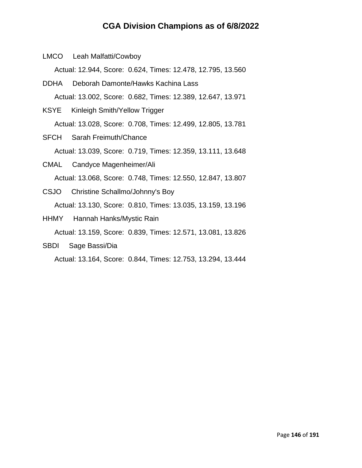LMCO Leah Malfatti/Cowboy

Actual: 12.944, Score: 0.624, Times: 12.478, 12.795, 13.560

- DDHA Deborah Damonte/Hawks Kachina Lass Actual: 13.002, Score: 0.682, Times: 12.389, 12.647, 13.971
- KSYE Kinleigh Smith/Yellow Trigger Actual: 13.028, Score: 0.708, Times: 12.499, 12.805, 13.781
- SFCH Sarah Freimuth/Chance Actual: 13.039, Score: 0.719, Times: 12.359, 13.111, 13.648
- CMAL Candyce Magenheimer/Ali Actual: 13.068, Score: 0.748, Times: 12.550, 12.847, 13.807
- CSJO Christine Schallmo/Johnny's Boy Actual: 13.130, Score: 0.810, Times: 13.035, 13.159, 13.196
- HHMY Hannah Hanks/Mystic Rain Actual: 13.159, Score: 0.839, Times: 12.571, 13.081, 13.826
- SBDI Sage Bassi/Dia

Actual: 13.164, Score: 0.844, Times: 12.753, 13.294, 13.444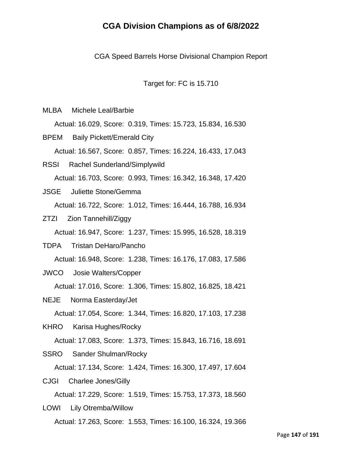CGA Speed Barrels Horse Divisional Champion Report

Target for: FC is 15.710

MLBA Michele Leal/Barbie

Actual: 16.029, Score: 0.319, Times: 15.723, 15.834, 16.530

BPEM Baily Pickett/Emerald City Actual: 16.567, Score: 0.857, Times: 16.224, 16.433, 17.043

- RSSI Rachel Sunderland/Simplywild Actual: 16.703, Score: 0.993, Times: 16.342, 16.348, 17.420
- JSGE Juliette Stone/Gemma Actual: 16.722, Score: 1.012, Times: 16.444, 16.788, 16.934
- ZTZI Zion Tannehill/Ziggy

Actual: 16.947, Score: 1.237, Times: 15.995, 16.528, 18.319

TDPA Tristan DeHaro/Pancho

Actual: 16.948, Score: 1.238, Times: 16.176, 17.083, 17.586

JWCO Josie Walters/Copper

Actual: 17.016, Score: 1.306, Times: 15.802, 16.825, 18.421

NEJE Norma Easterday/Jet

Actual: 17.054, Score: 1.344, Times: 16.820, 17.103, 17.238

KHRO Karisa Hughes/Rocky

Actual: 17.083, Score: 1.373, Times: 15.843, 16.716, 18.691

SSRO Sander Shulman/Rocky

Actual: 17.134, Score: 1.424, Times: 16.300, 17.497, 17.604

CJGI Charlee Jones/Gilly

Actual: 17.229, Score: 1.519, Times: 15.753, 17.373, 18.560

LOWI Lily Otremba/Willow Actual: 17.263, Score: 1.553, Times: 16.100, 16.324, 19.366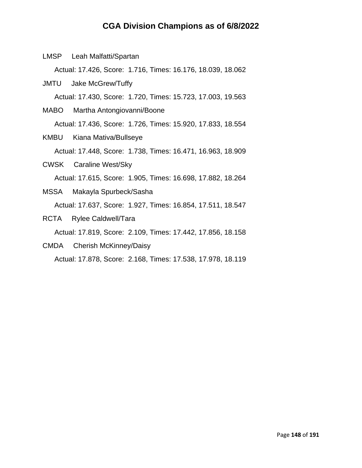LMSP Leah Malfatti/Spartan

Actual: 17.426, Score: 1.716, Times: 16.176, 18.039, 18.062

- JMTU Jake McGrew/Tuffy Actual: 17.430, Score: 1.720, Times: 15.723, 17.003, 19.563
- MABO Martha Antongiovanni/Boone Actual: 17.436, Score: 1.726, Times: 15.920, 17.833, 18.554
- KMBU Kiana Mativa/Bullseye Actual: 17.448, Score: 1.738, Times: 16.471, 16.963, 18.909
- CWSK Caraline West/Sky Actual: 17.615, Score: 1.905, Times: 16.698, 17.882, 18.264
- MSSA Makayla Spurbeck/Sasha Actual: 17.637, Score: 1.927, Times: 16.854, 17.511, 18.547
- RCTA Rylee Caldwell/Tara

Actual: 17.819, Score: 2.109, Times: 17.442, 17.856, 18.158

CMDA Cherish McKinney/Daisy

Actual: 17.878, Score: 2.168, Times: 17.538, 17.978, 18.119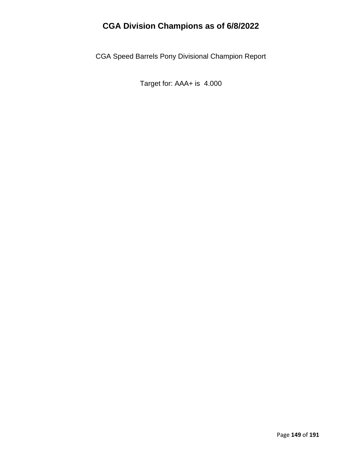CGA Speed Barrels Pony Divisional Champion Report

Target for: AAA+ is 4.000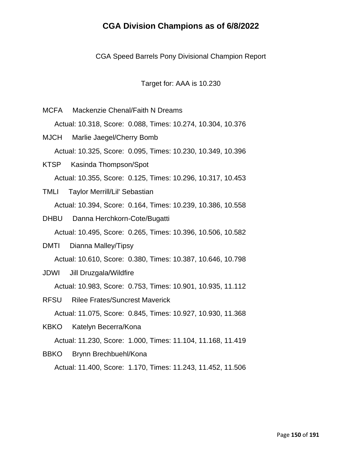CGA Speed Barrels Pony Divisional Champion Report

Target for: AAA is 10.230

- MCFA Mackenzie Chenal/Faith N Dreams Actual: 10.318, Score: 0.088, Times: 10.274, 10.304, 10.376 MJCH Marlie Jaegel/Cherry Bomb
- Actual: 10.325, Score: 0.095, Times: 10.230, 10.349, 10.396
- KTSP Kasinda Thompson/Spot Actual: 10.355, Score: 0.125, Times: 10.296, 10.317, 10.453
- TMLI Taylor Merrill/Lil' Sebastian Actual: 10.394, Score: 0.164, Times: 10.239, 10.386, 10.558
- DHBU Danna Herchkorn-Cote/Bugatti Actual: 10.495, Score: 0.265, Times: 10.396, 10.506, 10.582
- DMTI Dianna Malley/Tipsy Actual: 10.610, Score: 0.380, Times: 10.387, 10.646, 10.798
- JDWI Jill Druzgala/Wildfire

Actual: 10.983, Score: 0.753, Times: 10.901, 10.935, 11.112

- RFSU Rilee Frates/Suncrest Maverick Actual: 11.075, Score: 0.845, Times: 10.927, 10.930, 11.368
- KBKO Katelyn Becerra/Kona

Actual: 11.230, Score: 1.000, Times: 11.104, 11.168, 11.419

BBKO Brynn Brechbuehl/Kona

Actual: 11.400, Score: 1.170, Times: 11.243, 11.452, 11.506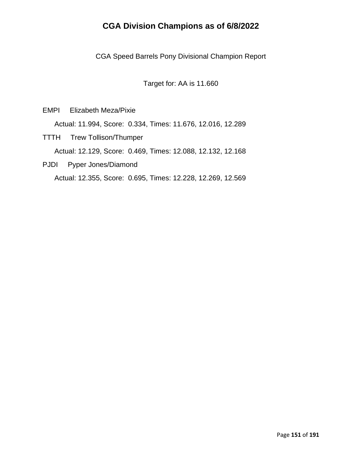CGA Speed Barrels Pony Divisional Champion Report

Target for: AA is 11.660

EMPI Elizabeth Meza/Pixie

Actual: 11.994, Score: 0.334, Times: 11.676, 12.016, 12.289

- TTTH Trew Tollison/Thumper Actual: 12.129, Score: 0.469, Times: 12.088, 12.132, 12.168
- PJDI Pyper Jones/Diamond

Actual: 12.355, Score: 0.695, Times: 12.228, 12.269, 12.569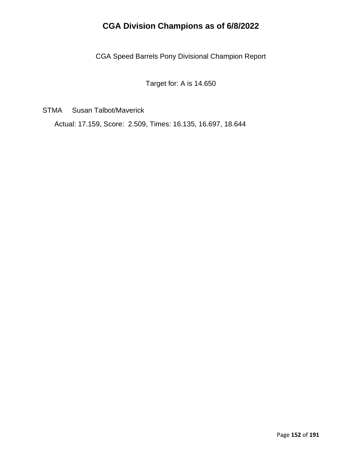CGA Speed Barrels Pony Divisional Champion Report

Target for: A is 14.650

STMA Susan Talbot/Maverick

Actual: 17.159, Score: 2.509, Times: 16.135, 16.697, 18.644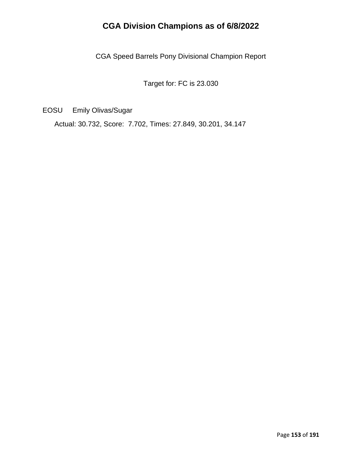CGA Speed Barrels Pony Divisional Champion Report

Target for: FC is 23.030

EOSU Emily Olivas/Sugar

Actual: 30.732, Score: 7.702, Times: 27.849, 30.201, 34.147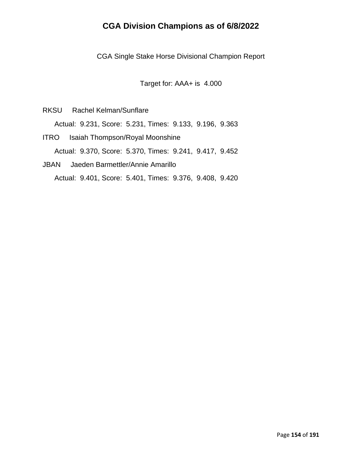CGA Single Stake Horse Divisional Champion Report

Target for: AAA+ is 4.000

RKSU Rachel Kelman/Sunflare Actual: 9.231, Score: 5.231, Times: 9.133, 9.196, 9.363

- ITRO Isaiah Thompson/Royal Moonshine Actual: 9.370, Score: 5.370, Times: 9.241, 9.417, 9.452
- JBAN Jaeden Barmettler/Annie Amarillo Actual: 9.401, Score: 5.401, Times: 9.376, 9.408, 9.420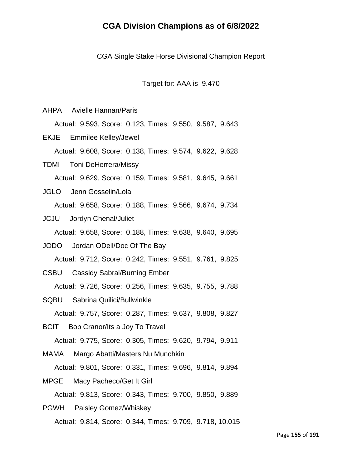CGA Single Stake Horse Divisional Champion Report

Target for: AAA is 9.470

AHPA Avielle Hannan/Paris Actual: 9.593, Score: 0.123, Times: 9.550, 9.587, 9.643

EKJE Emmilee Kelley/Jewel Actual: 9.608, Score: 0.138, Times: 9.574, 9.622, 9.628

TDMI Toni DeHerrera/Missy Actual: 9.629, Score: 0.159, Times: 9.581, 9.645, 9.661

JGLO Jenn Gosselin/Lola

Actual: 9.658, Score: 0.188, Times: 9.566, 9.674, 9.734

JCJU Jordyn Chenal/Juliet

Actual: 9.658, Score: 0.188, Times: 9.638, 9.640, 9.695

JODO Jordan ODell/Doc Of The Bay

Actual: 9.712, Score: 0.242, Times: 9.551, 9.761, 9.825

CSBU Cassidy Sabral/Burning Ember

Actual: 9.726, Score: 0.256, Times: 9.635, 9.755, 9.788

SQBU Sabrina Quilici/Bullwinkle

Actual: 9.757, Score: 0.287, Times: 9.637, 9.808, 9.827

BCIT Bob Cranor/Its a Joy To Travel

Actual: 9.775, Score: 0.305, Times: 9.620, 9.794, 9.911

MAMA Margo Abatti/Masters Nu Munchkin

Actual: 9.801, Score: 0.331, Times: 9.696, 9.814, 9.894

MPGE Macy Pacheco/Get It Girl

Actual: 9.813, Score: 0.343, Times: 9.700, 9.850, 9.889

PGWH Paisley Gomez/Whiskey Actual: 9.814, Score: 0.344, Times: 9.709, 9.718, 10.015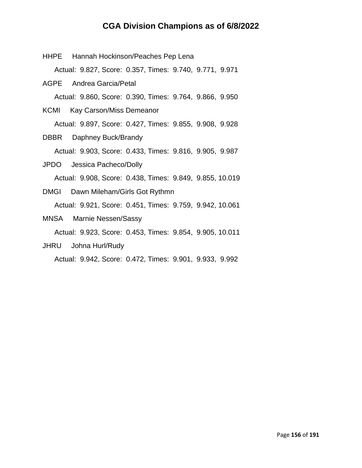| HHPE Hannah Hockinson/Peaches Pep Lena                   |  |
|----------------------------------------------------------|--|
| Actual: 9.827, Score: 0.357, Times: 9.740, 9.771, 9.971  |  |
| <b>AGPE</b> Andrea Garcia/Petal                          |  |
| Actual: 9.860, Score: 0.390, Times: 9.764, 9.866, 9.950  |  |
| KCMI Kay Carson/Miss Demeanor                            |  |
| Actual: 9.897, Score: 0.427, Times: 9.855, 9.908, 9.928  |  |
| <b>DBBR</b> Daphney Buck/Brandy                          |  |
| Actual: 9.903, Score: 0.433, Times: 9.816, 9.905, 9.987  |  |
| JPDO Jessica Pacheco/Dolly                               |  |
| Actual: 9.908, Score: 0.438, Times: 9.849, 9.855, 10.019 |  |
| DMGI Dawn Mileham/Girls Got Rythmn                       |  |
| Actual: 9.921, Score: 0.451, Times: 9.759, 9.942, 10.061 |  |
| MNSA Marnie Nessen/Sassy                                 |  |
| Actual: 9.923, Score: 0.453, Times: 9.854, 9.905, 10.011 |  |
| JHRU Johna Hurl/Rudy                                     |  |

Actual: 9.942, Score: 0.472, Times: 9.901, 9.933, 9.992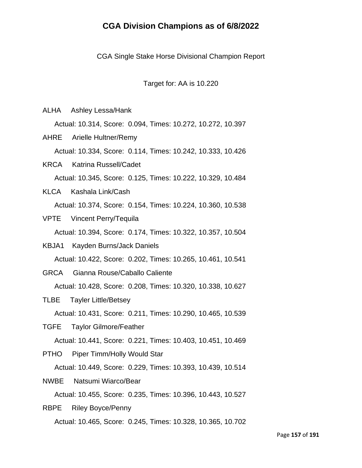CGA Single Stake Horse Divisional Champion Report

Target for: AA is 10.220

ALHA Ashley Lessa/Hank

Actual: 10.314, Score: 0.094, Times: 10.272, 10.272, 10.397

AHRE Arielle Hultner/Remy Actual: 10.334, Score: 0.114, Times: 10.242, 10.333, 10.426

KRCA Katrina Russell/Cadet Actual: 10.345, Score: 0.125, Times: 10.222, 10.329, 10.484

- KLCA Kashala Link/Cash Actual: 10.374, Score: 0.154, Times: 10.224, 10.360, 10.538
- VPTE Vincent Perry/Tequila

Actual: 10.394, Score: 0.174, Times: 10.322, 10.357, 10.504

- KBJA1 Kayden Burns/Jack Daniels Actual: 10.422, Score: 0.202, Times: 10.265, 10.461, 10.541
- GRCA Gianna Rouse/Caballo Caliente

Actual: 10.428, Score: 0.208, Times: 10.320, 10.338, 10.627

- TLBE Tayler Little/Betsey Actual: 10.431, Score: 0.211, Times: 10.290, 10.465, 10.539
- TGFE Taylor Gilmore/Feather

Actual: 10.441, Score: 0.221, Times: 10.403, 10.451, 10.469

PTHO Piper Timm/Holly Would Star Actual: 10.449, Score: 0.229, Times: 10.393, 10.439, 10.514

NWBE Natsumi Wiarco/Bear

Actual: 10.455, Score: 0.235, Times: 10.396, 10.443, 10.527

RBPE Riley Boyce/Penny Actual: 10.465, Score: 0.245, Times: 10.328, 10.365, 10.702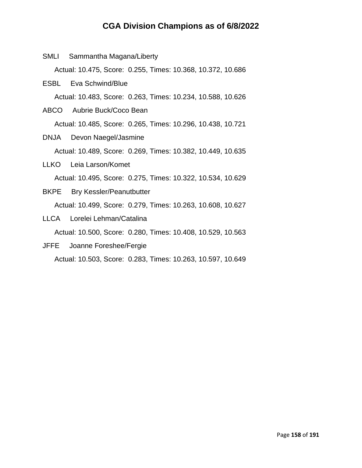SMLI Sammantha Magana/Liberty

Actual: 10.475, Score: 0.255, Times: 10.368, 10.372, 10.686

- ESBL Eva Schwind/Blue Actual: 10.483, Score: 0.263, Times: 10.234, 10.588, 10.626
- ABCO Aubrie Buck/Coco Bean Actual: 10.485, Score: 0.265, Times: 10.296, 10.438, 10.721
- DNJA Devon Naegel/Jasmine Actual: 10.489, Score: 0.269, Times: 10.382, 10.449, 10.635
- LLKO Leia Larson/Komet Actual: 10.495, Score: 0.275, Times: 10.322, 10.534, 10.629
- BKPE Bry Kessler/Peanutbutter Actual: 10.499, Score: 0.279, Times: 10.263, 10.608, 10.627
- LLCA Lorelei Lehman/Catalina Actual: 10.500, Score: 0.280, Times: 10.408, 10.529, 10.563
- JFFE Joanne Foreshee/Fergie

Actual: 10.503, Score: 0.283, Times: 10.263, 10.597, 10.649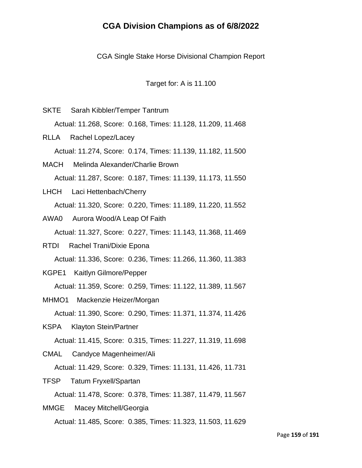CGA Single Stake Horse Divisional Champion Report

Target for: A is 11.100

- SKTE Sarah Kibbler/Temper Tantrum Actual: 11.268, Score: 0.168, Times: 11.128, 11.209, 11.468 RLLA Rachel Lopez/Lacey Actual: 11.274, Score: 0.174, Times: 11.139, 11.182, 11.500 MACH Melinda Alexander/Charlie Brown Actual: 11.287, Score: 0.187, Times: 11.139, 11.173, 11.550 LHCH Laci Hettenbach/Cherry Actual: 11.320, Score: 0.220, Times: 11.189, 11.220, 11.552 AWA0 Aurora Wood/A Leap Of Faith Actual: 11.327, Score: 0.227, Times: 11.143, 11.368, 11.469 RTDI Rachel Trani/Dixie Epona Actual: 11.336, Score: 0.236, Times: 11.266, 11.360, 11.383
- KGPE1 Kaitlyn Gilmore/Pepper

Actual: 11.359, Score: 0.259, Times: 11.122, 11.389, 11.567

MHMO1 Mackenzie Heizer/Morgan

Actual: 11.390, Score: 0.290, Times: 11.371, 11.374, 11.426

KSPA Klayton Stein/Partner

Actual: 11.415, Score: 0.315, Times: 11.227, 11.319, 11.698

CMAL Candyce Magenheimer/Ali

Actual: 11.429, Score: 0.329, Times: 11.131, 11.426, 11.731

TFSP Tatum Fryxell/Spartan

Actual: 11.478, Score: 0.378, Times: 11.387, 11.479, 11.567

MMGE Macey Mitchell/Georgia Actual: 11.485, Score: 0.385, Times: 11.323, 11.503, 11.629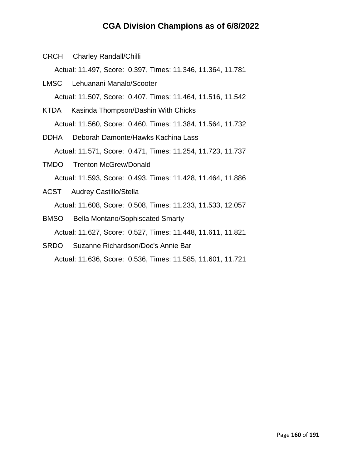CRCH Charley Randall/Chilli

Actual: 11.497, Score: 0.397, Times: 11.346, 11.364, 11.781

- LMSC Lehuanani Manalo/Scooter Actual: 11.507, Score: 0.407, Times: 11.464, 11.516, 11.542
- KTDA Kasinda Thompson/Dashin With Chicks Actual: 11.560, Score: 0.460, Times: 11.384, 11.564, 11.732
- DDHA Deborah Damonte/Hawks Kachina Lass Actual: 11.571, Score: 0.471, Times: 11.254, 11.723, 11.737
- TMDO Trenton McGrew/Donald Actual: 11.593, Score: 0.493, Times: 11.428, 11.464, 11.886
- ACST Audrey Castillo/Stella Actual: 11.608, Score: 0.508, Times: 11.233, 11.533, 12.057
- BMSO Bella Montano/Sophiscated Smarty Actual: 11.627, Score: 0.527, Times: 11.448, 11.611, 11.821
- SRDO Suzanne Richardson/Doc's Annie Bar Actual: 11.636, Score: 0.536, Times: 11.585, 11.601, 11.721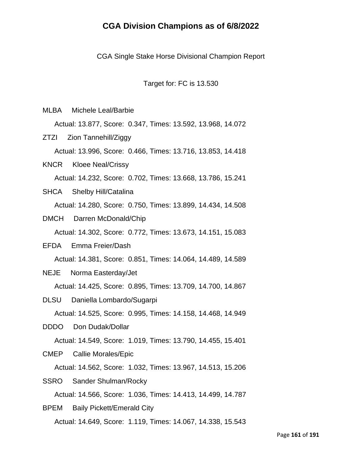CGA Single Stake Horse Divisional Champion Report

Target for: FC is 13.530

MLBA Michele Leal/Barbie

Actual: 13.877, Score: 0.347, Times: 13.592, 13.968, 14.072

ZTZI Zion Tannehill/Ziggy

Actual: 13.996, Score: 0.466, Times: 13.716, 13.853, 14.418

KNCR Kloee Neal/Crissy Actual: 14.232, Score: 0.702, Times: 13.668, 13.786, 15.241

- SHCA Shelby Hill/Catalina Actual: 14.280, Score: 0.750, Times: 13.899, 14.434, 14.508
- DMCH Darren McDonald/Chip

Actual: 14.302, Score: 0.772, Times: 13.673, 14.151, 15.083

- EFDA Emma Freier/Dash Actual: 14.381, Score: 0.851, Times: 14.064, 14.489, 14.589
- NEJE Norma Easterday/Jet

Actual: 14.425, Score: 0.895, Times: 13.709, 14.700, 14.867

- DLSU Daniella Lombardo/Sugarpi Actual: 14.525, Score: 0.995, Times: 14.158, 14.468, 14.949
- DDDO Don Dudak/Dollar Actual: 14.549, Score: 1.019, Times: 13.790, 14.455, 15.401
- CMEP Callie Morales/Epic

Actual: 14.562, Score: 1.032, Times: 13.967, 14.513, 15.206

SSRO Sander Shulman/Rocky

Actual: 14.566, Score: 1.036, Times: 14.413, 14.499, 14.787

BPEM Baily Pickett/Emerald City Actual: 14.649, Score: 1.119, Times: 14.067, 14.338, 15.543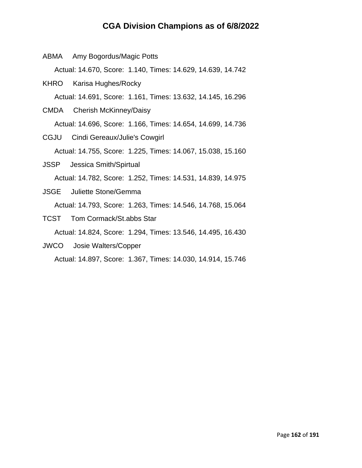|  | ABMA Amy Bogordus/Magic Potts                               |
|--|-------------------------------------------------------------|
|  | Actual: 14.670, Score: 1.140, Times: 14.629, 14.639, 14.742 |
|  | KHRO Karisa Hughes/Rocky                                    |
|  | Actual: 14.691, Score: 1.161, Times: 13.632, 14.145, 16.296 |
|  | CMDA Cherish McKinney/Daisy                                 |
|  | Actual: 14.696, Score: 1.166, Times: 14.654, 14.699, 14.736 |
|  | CGJU Cindi Gereaux/Julie's Cowgirl                          |
|  | Actual: 14.755, Score: 1.225, Times: 14.067, 15.038, 15.160 |
|  | <b>JSSP</b> Jessica Smith/Spirtual                          |
|  | Actual: 14.782, Score: 1.252, Times: 14.531, 14.839, 14.975 |
|  | <b>JSGE</b> Juliette Stone/Gemma                            |
|  | Actual: 14.793, Score: 1.263, Times: 14.546, 14.768, 15.064 |
|  | <b>TCST</b> Tom Cormack/St.abbs Star                        |
|  |                                                             |

Actual: 14.824, Score: 1.294, Times: 13.546, 14.495, 16.430

JWCO Josie Walters/Copper

Actual: 14.897, Score: 1.367, Times: 14.030, 14.914, 15.746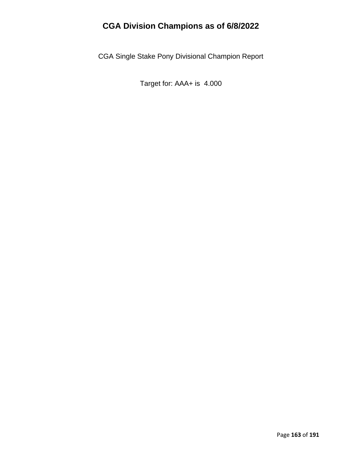CGA Single Stake Pony Divisional Champion Report

Target for: AAA+ is 4.000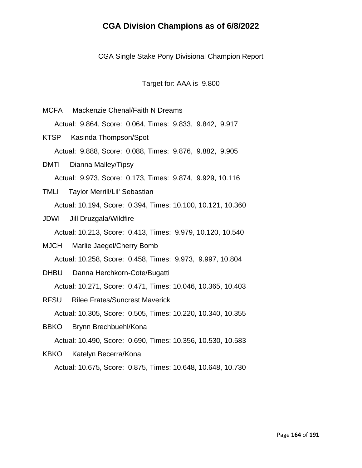CGA Single Stake Pony Divisional Champion Report

Target for: AAA is 9.800

- MCFA Mackenzie Chenal/Faith N Dreams Actual: 9.864, Score: 0.064, Times: 9.833, 9.842, 9.917 KTSP Kasinda Thompson/Spot Actual: 9.888, Score: 0.088, Times: 9.876, 9.882, 9.905
- DMTI Dianna Malley/Tipsy Actual: 9.973, Score: 0.173, Times: 9.874, 9.929, 10.116
- TMLI Taylor Merrill/Lil' Sebastian Actual: 10.194, Score: 0.394, Times: 10.100, 10.121, 10.360
- JDWI Jill Druzgala/Wildfire

Actual: 10.213, Score: 0.413, Times: 9.979, 10.120, 10.540

MJCH Marlie Jaegel/Cherry Bomb

Actual: 10.258, Score: 0.458, Times: 9.973, 9.997, 10.804

DHBU Danna Herchkorn-Cote/Bugatti

Actual: 10.271, Score: 0.471, Times: 10.046, 10.365, 10.403

- RFSU Rilee Frates/Suncrest Maverick Actual: 10.305, Score: 0.505, Times: 10.220, 10.340, 10.355
- BBKO Brynn Brechbuehl/Kona

Actual: 10.490, Score: 0.690, Times: 10.356, 10.530, 10.583

KBKO Katelyn Becerra/Kona

Actual: 10.675, Score: 0.875, Times: 10.648, 10.648, 10.730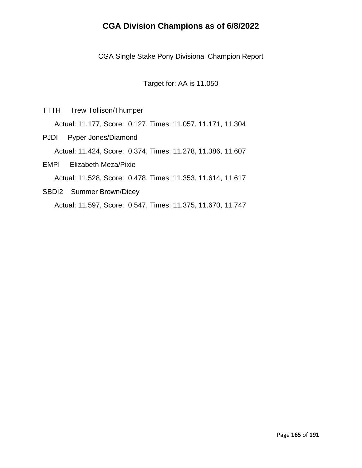CGA Single Stake Pony Divisional Champion Report

Target for: AA is 11.050

TTTH Trew Tollison/Thumper

Actual: 11.177, Score: 0.127, Times: 11.057, 11.171, 11.304

PJDI Pyper Jones/Diamond Actual: 11.424, Score: 0.374, Times: 11.278, 11.386, 11.607 EMPI Elizabeth Meza/Pixie

Actual: 11.528, Score: 0.478, Times: 11.353, 11.614, 11.617

SBDI2 Summer Brown/Dicey Actual: 11.597, Score: 0.547, Times: 11.375, 11.670, 11.747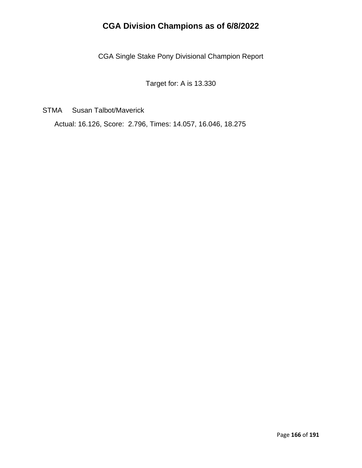CGA Single Stake Pony Divisional Champion Report

Target for: A is 13.330

STMA Susan Talbot/Maverick

Actual: 16.126, Score: 2.796, Times: 14.057, 16.046, 18.275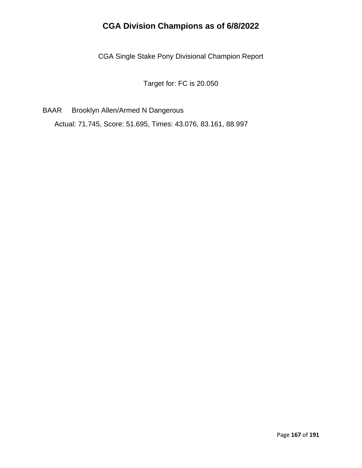CGA Single Stake Pony Divisional Champion Report

Target for: FC is 20.050

BAAR Brooklyn Allen/Armed N Dangerous

Actual: 71.745, Score: 51.695, Times: 43.076, 83.161, 88.997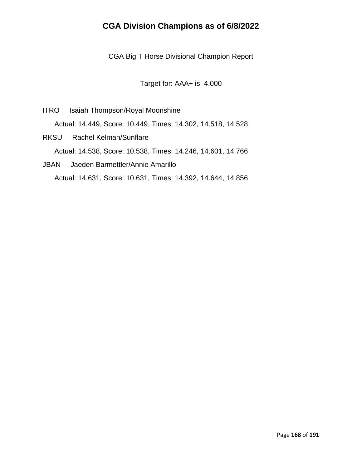CGA Big T Horse Divisional Champion Report

Target for: AAA+ is 4.000

- ITRO Isaiah Thompson/Royal Moonshine Actual: 14.449, Score: 10.449, Times: 14.302, 14.518, 14.528
- RKSU Rachel Kelman/Sunflare Actual: 14.538, Score: 10.538, Times: 14.246, 14.601, 14.766
- JBAN Jaeden Barmettler/Annie Amarillo Actual: 14.631, Score: 10.631, Times: 14.392, 14.644, 14.856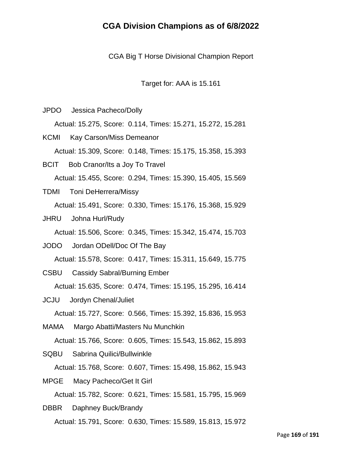CGA Big T Horse Divisional Champion Report

Target for: AAA is 15.161

JPDO Jessica Pacheco/Dolly

Actual: 15.275, Score: 0.114, Times: 15.271, 15.272, 15.281

KCMI Kay Carson/Miss Demeanor Actual: 15.309, Score: 0.148, Times: 15.175, 15.358, 15.393

BCIT Bob Cranor/Its a Joy To Travel Actual: 15.455, Score: 0.294, Times: 15.390, 15.405, 15.569

- TDMI Toni DeHerrera/Missy Actual: 15.491, Score: 0.330, Times: 15.176, 15.368, 15.929
- JHRU Johna Hurl/Rudy

Actual: 15.506, Score: 0.345, Times: 15.342, 15.474, 15.703

JODO Jordan ODell/Doc Of The Bay

Actual: 15.578, Score: 0.417, Times: 15.311, 15.649, 15.775

CSBU Cassidy Sabral/Burning Ember

Actual: 15.635, Score: 0.474, Times: 15.195, 15.295, 16.414

JCJU Jordyn Chenal/Juliet

Actual: 15.727, Score: 0.566, Times: 15.392, 15.836, 15.953

MAMA Margo Abatti/Masters Nu Munchkin

Actual: 15.766, Score: 0.605, Times: 15.543, 15.862, 15.893

SQBU Sabrina Quilici/Bullwinkle

Actual: 15.768, Score: 0.607, Times: 15.498, 15.862, 15.943

MPGE Macy Pacheco/Get It Girl

Actual: 15.782, Score: 0.621, Times: 15.581, 15.795, 15.969

DBBR Daphney Buck/Brandy Actual: 15.791, Score: 0.630, Times: 15.589, 15.813, 15.972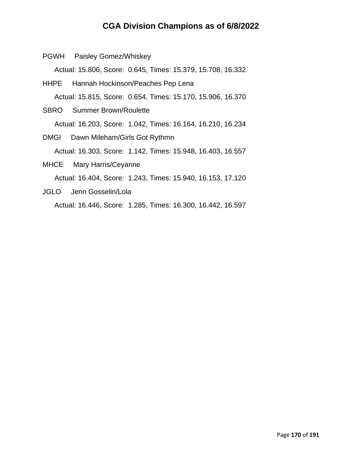PGWH Paisley Gomez/Whiskey

Actual: 15.806, Score: 0.645, Times: 15.379, 15.708, 16.332

- HHPE Hannah Hockinson/Peaches Pep Lena Actual: 15.815, Score: 0.654, Times: 15.170, 15.906, 16.370
- SBRO Summer Brown/Roulette Actual: 16.203, Score: 1.042, Times: 16.164, 16.210, 16.234
- DMGI Dawn Mileham/Girls Got Rythmn Actual: 16.303, Score: 1.142, Times: 15.948, 16.403, 16.557 MHCE Mary Harris/Ceyanne

Actual: 16.404, Score: 1.243, Times: 15.940, 16.153, 17.120

JGLO Jenn Gosselin/Lola Actual: 16.446, Score: 1.285, Times: 16.300, 16.442, 16.597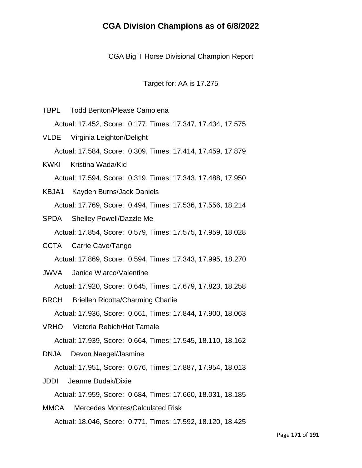CGA Big T Horse Divisional Champion Report

Target for: AA is 17.275

- TBPL Todd Benton/Please Camolena Actual: 17.452, Score: 0.177, Times: 17.347, 17.434, 17.575 VLDE Virginia Leighton/Delight Actual: 17.584, Score: 0.309, Times: 17.414, 17.459, 17.879
- KWKI Kristina Wada/Kid Actual: 17.594, Score: 0.319, Times: 17.343, 17.488, 17.950
- KBJA1 Kayden Burns/Jack Daniels Actual: 17.769, Score: 0.494, Times: 17.536, 17.556, 18.214
- SPDA Shelley Powell/Dazzle Me Actual: 17.854, Score: 0.579, Times: 17.575, 17.959, 18.028
- CCTA Carrie Cave/Tango Actual: 17.869, Score: 0.594, Times: 17.343, 17.995, 18.270
- JWVA Janice Wiarco/Valentine Actual: 17.920, Score: 0.645, Times: 17.679, 17.823, 18.258
- BRCH Briellen Ricotta/Charming Charlie Actual: 17.936, Score: 0.661, Times: 17.844, 17.900, 18.063
- VRHO Victoria Rebich/Hot Tamale Actual: 17.939, Score: 0.664, Times: 17.545, 18.110, 18.162
- DNJA Devon Naegel/Jasmine

Actual: 17.951, Score: 0.676, Times: 17.887, 17.954, 18.013

JDDI Jeanne Dudak/Dixie

Actual: 17.959, Score: 0.684, Times: 17.660, 18.031, 18.185

MMCA Mercedes Montes/Calculated Risk Actual: 18.046, Score: 0.771, Times: 17.592, 18.120, 18.425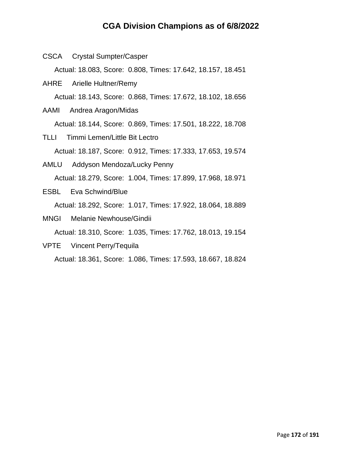CSCA Crystal Sumpter/Casper

Actual: 18.083, Score: 0.808, Times: 17.642, 18.157, 18.451

- AHRE Arielle Hultner/Remy Actual: 18.143, Score: 0.868, Times: 17.672, 18.102, 18.656
- AAMI Andrea Aragon/Midas Actual: 18.144, Score: 0.869, Times: 17.501, 18.222, 18.708
- TLLI Timmi Lemen/Little Bit Lectro Actual: 18.187, Score: 0.912, Times: 17.333, 17.653, 19.574
- AMLU Addyson Mendoza/Lucky Penny Actual: 18.279, Score: 1.004, Times: 17.899, 17.968, 18.971
- ESBL Eva Schwind/Blue Actual: 18.292, Score: 1.017, Times: 17.922, 18.064, 18.889
- MNGI Melanie Newhouse/Gindii Actual: 18.310, Score: 1.035, Times: 17.762, 18.013, 19.154
- VPTE Vincent Perry/Tequila

Actual: 18.361, Score: 1.086, Times: 17.593, 18.667, 18.824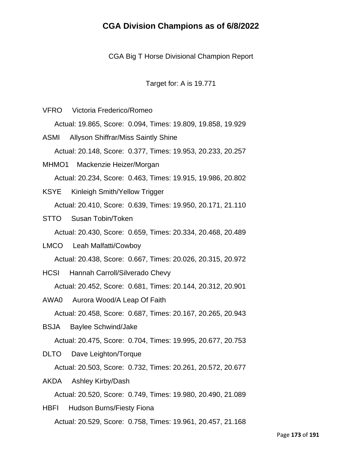CGA Big T Horse Divisional Champion Report

Target for: A is 19.771

- VFRO Victoria Frederico/Romeo Actual: 19.865, Score: 0.094, Times: 19.809, 19.858, 19.929 ASMI Allyson Shiffrar/Miss Saintly Shine Actual: 20.148, Score: 0.377, Times: 19.953, 20.233, 20.257 MHMO1 Mackenzie Heizer/Morgan Actual: 20.234, Score: 0.463, Times: 19.915, 19.986, 20.802
- KSYE Kinleigh Smith/Yellow Trigger Actual: 20.410, Score: 0.639, Times: 19.950, 20.171, 21.110
- STTO Susan Tobin/Token

Actual: 20.430, Score: 0.659, Times: 20.334, 20.468, 20.489

- LMCO Leah Malfatti/Cowboy Actual: 20.438, Score: 0.667, Times: 20.026, 20.315, 20.972
- HCSI Hannah Carroll/Silverado Chevy Actual: 20.452, Score: 0.681, Times: 20.144, 20.312, 20.901
- AWA0 Aurora Wood/A Leap Of Faith Actual: 20.458, Score: 0.687, Times: 20.167, 20.265, 20.943
- BSJA Baylee Schwind/Jake Actual: 20.475, Score: 0.704, Times: 19.995, 20.677, 20.753
- DLTO Dave Leighton/Torque

Actual: 20.503, Score: 0.732, Times: 20.261, 20.572, 20.677

AKDA Ashley Kirby/Dash

Actual: 20.520, Score: 0.749, Times: 19.980, 20.490, 21.089

HBFI Hudson Burns/Fiesty Fiona Actual: 20.529, Score: 0.758, Times: 19.961, 20.457, 21.168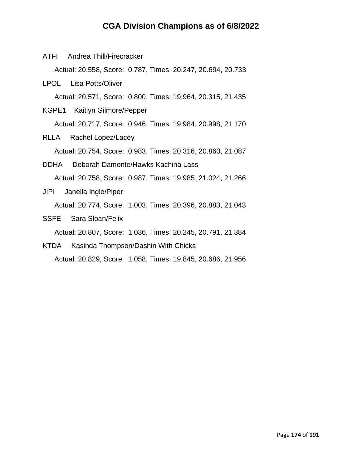ATFI Andrea Thill/Firecracker

Actual: 20.558, Score: 0.787, Times: 20.247, 20.694, 20.733

- LPOL Lisa Potts/Oliver Actual: 20.571, Score: 0.800, Times: 19.964, 20.315, 21.435
- KGPE1 Kaitlyn Gilmore/Pepper Actual: 20.717, Score: 0.946, Times: 19.984, 20.998, 21.170
- RLLA Rachel Lopez/Lacey Actual: 20.754, Score: 0.983, Times: 20.316, 20.860, 21.087
- DDHA Deborah Damonte/Hawks Kachina Lass Actual: 20.758, Score: 0.987, Times: 19.985, 21.024, 21.266

JIPI Janella Ingle/Piper

Actual: 20.774, Score: 1.003, Times: 20.396, 20.883, 21.043

SSFE Sara Sloan/Felix

Actual: 20.807, Score: 1.036, Times: 20.245, 20.791, 21.384

KTDA Kasinda Thompson/Dashin With Chicks

Actual: 20.829, Score: 1.058, Times: 19.845, 20.686, 21.956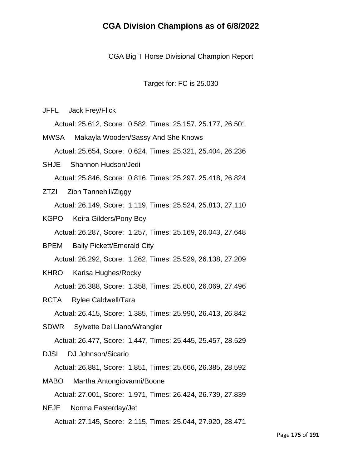CGA Big T Horse Divisional Champion Report

Target for: FC is 25.030

JFFL Jack Frey/Flick

Actual: 25.612, Score: 0.582, Times: 25.157, 25.177, 26.501

MWSA Makayla Wooden/Sassy And She Knows Actual: 25.654, Score: 0.624, Times: 25.321, 25.404, 26.236

SHJE Shannon Hudson/Jedi Actual: 25.846, Score: 0.816, Times: 25.297, 25.418, 26.824

- ZTZI Zion Tannehill/Ziggy Actual: 26.149, Score: 1.119, Times: 25.524, 25.813, 27.110
- KGPO Keira Gilders/Pony Boy

Actual: 26.287, Score: 1.257, Times: 25.169, 26.043, 27.648

- BPEM Baily Pickett/Emerald City Actual: 26.292, Score: 1.262, Times: 25.529, 26.138, 27.209
- KHRO Karisa Hughes/Rocky

Actual: 26.388, Score: 1.358, Times: 25.600, 26.069, 27.496

RCTA Rylee Caldwell/Tara

Actual: 26.415, Score: 1.385, Times: 25.990, 26.413, 26.842

SDWR Sylvette Del Llano/Wrangler

Actual: 26.477, Score: 1.447, Times: 25.445, 25.457, 28.529

DJSI DJ Johnson/Sicario

Actual: 26.881, Score: 1.851, Times: 25.666, 26.385, 28.592

MABO Martha Antongiovanni/Boone Actual: 27.001, Score: 1.971, Times: 26.424, 26.739, 27.839

NEJE Norma Easterday/Jet Actual: 27.145, Score: 2.115, Times: 25.044, 27.920, 28.471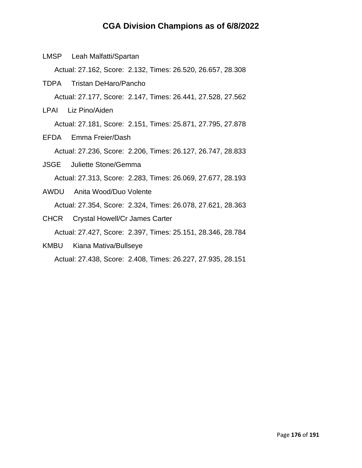Actual: 27.162, Score: 2.132, Times: 26.520, 26.657, 28.308 TDPA Tristan DeHaro/Pancho Actual: 27.177, Score: 2.147, Times: 26.441, 27.528, 27.562 LPAI Liz Pino/Aiden Actual: 27.181, Score: 2.151, Times: 25.871, 27.795, 27.878 EFDA Emma Freier/Dash Actual: 27.236, Score: 2.206, Times: 26.127, 26.747, 28.833 JSGE Juliette Stone/Gemma Actual: 27.313, Score: 2.283, Times: 26.069, 27.677, 28.193 AWDU Anita Wood/Duo Volente Actual: 27.354, Score: 2.324, Times: 26.078, 27.621, 28.363

LMSP Leah Malfatti/Spartan

- CHCR Crystal Howell/Cr James Carter Actual: 27.427, Score: 2.397, Times: 25.151, 28.346, 28.784
- KMBU Kiana Mativa/Bullseye Actual: 27.438, Score: 2.408, Times: 26.227, 27.935, 28.151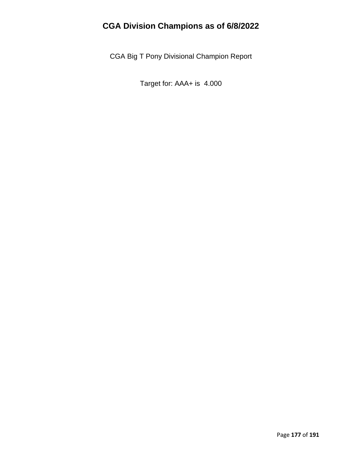CGA Big T Pony Divisional Champion Report

Target for: AAA+ is 4.000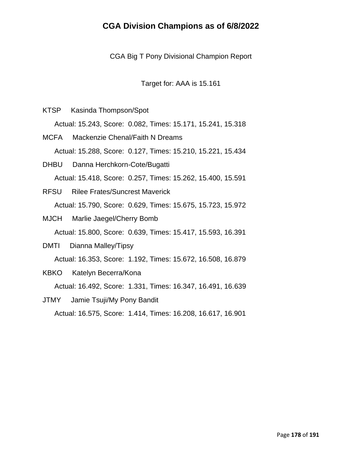CGA Big T Pony Divisional Champion Report

Target for: AAA is 15.161

KTSP Kasinda Thompson/Spot

Actual: 15.243, Score: 0.082, Times: 15.171, 15.241, 15.318

- MCFA Mackenzie Chenal/Faith N Dreams Actual: 15.288, Score: 0.127, Times: 15.210, 15.221, 15.434
- DHBU Danna Herchkorn-Cote/Bugatti Actual: 15.418, Score: 0.257, Times: 15.262, 15.400, 15.591
- RFSU Rilee Frates/Suncrest Maverick Actual: 15.790, Score: 0.629, Times: 15.675, 15.723, 15.972
- MJCH Marlie Jaegel/Cherry Bomb Actual: 15.800, Score: 0.639, Times: 15.417, 15.593, 16.391
- DMTI Dianna Malley/Tipsy Actual: 16.353, Score: 1.192, Times: 15.672, 16.508, 16.879 KBKO Katelyn Becerra/Kona

Actual: 16.492, Score: 1.331, Times: 16.347, 16.491, 16.639

JTMY Jamie Tsuji/My Pony Bandit Actual: 16.575, Score: 1.414, Times: 16.208, 16.617, 16.901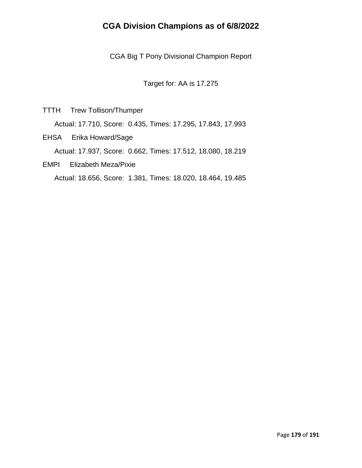CGA Big T Pony Divisional Champion Report

Target for: AA is 17.275

TTTH Trew Tollison/Thumper

Actual: 17.710, Score: 0.435, Times: 17.295, 17.843, 17.993

EHSA Erika Howard/Sage

Actual: 17.937, Score: 0.662, Times: 17.512, 18.080, 18.219

EMPI Elizabeth Meza/Pixie

Actual: 18.656, Score: 1.381, Times: 18.020, 18.464, 19.485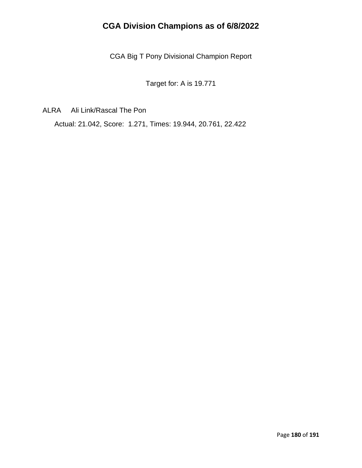CGA Big T Pony Divisional Champion Report

Target for: A is 19.771

ALRA Ali Link/Rascal The Pon

Actual: 21.042, Score: 1.271, Times: 19.944, 20.761, 22.422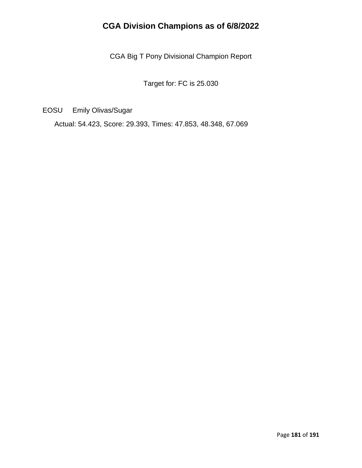CGA Big T Pony Divisional Champion Report

Target for: FC is 25.030

EOSU Emily Olivas/Sugar

Actual: 54.423, Score: 29.393, Times: 47.853, 48.348, 67.069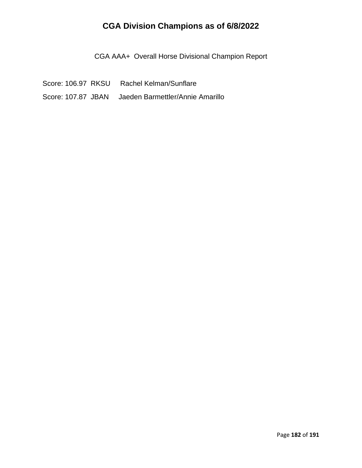CGA AAA+ Overall Horse Divisional Champion Report

Score: 106.97 RKSU Rachel Kelman/Sunflare Score: 107.87 JBAN Jaeden Barmettler/Annie Amarillo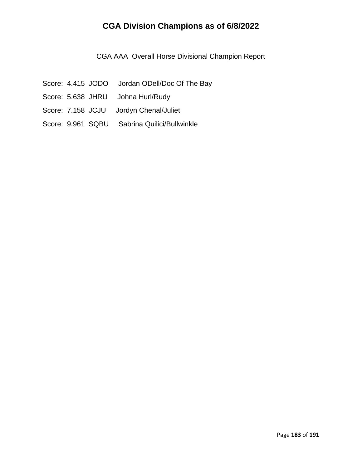CGA AAA Overall Horse Divisional Champion Report

- Score: 4.415 JODO Jordan ODell/Doc Of The Bay
- Score: 5.638 JHRU Johna Hurl/Rudy
- Score: 7.158 JCJU Jordyn Chenal/Juliet
- Score: 9.961 SQBU Sabrina Quilici/Bullwinkle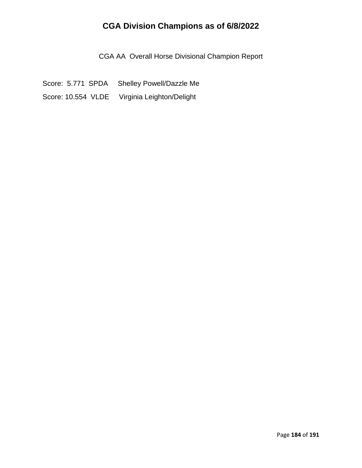CGA AA Overall Horse Divisional Champion Report

Score: 5.771 SPDA Shelley Powell/Dazzle Me Score: 10.554 VLDE Virginia Leighton/Delight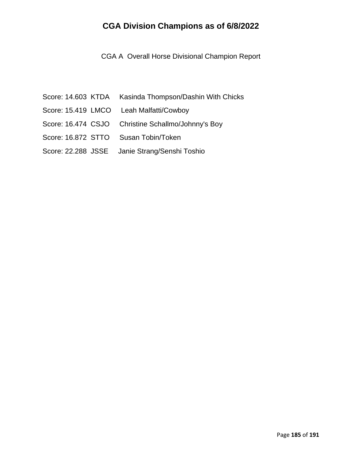CGA A Overall Horse Divisional Champion Report

- Score: 14.603 KTDA Kasinda Thompson/Dashin With Chicks
- Score: 15.419 LMCO Leah Malfatti/Cowboy
- Score: 16.474 CSJO Christine Schallmo/Johnny's Boy
- Score: 16.872 STTO Susan Tobin/Token
- Score: 22.288 JSSE Janie Strang/Senshi Toshio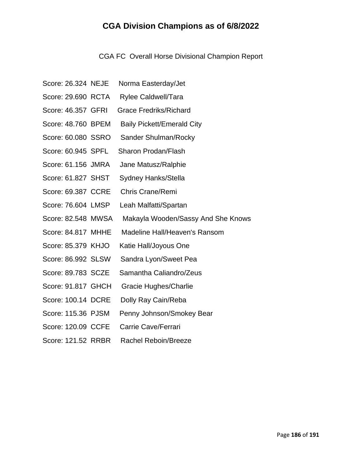CGA FC Overall Horse Divisional Champion Report

- Score: 26.324 NEJE Norma Easterday/Jet
- Score: 29.690 RCTA Rylee Caldwell/Tara
- Score: 46.357 GFRI Grace Fredriks/Richard
- Score: 48.760 BPEM Baily Pickett/Emerald City
- Score: 60.080 SSRO Sander Shulman/Rocky
- Score: 60.945 SPFL Sharon Prodan/Flash
- Score: 61.156 JMRA Jane Matusz/Ralphie
- Score: 61.827 SHST Sydney Hanks/Stella
- Score: 69.387 CCRE Chris Crane/Remi
- Score: 76.604 LMSP Leah Malfatti/Spartan
- Score: 82.548 MWSA Makayla Wooden/Sassy And She Knows
- Score: 84.817 MHHE Madeline Hall/Heaven's Ransom
- Score: 85.379 KHJO Katie Hall/Joyous One
- Score: 86.992 SLSW Sandra Lyon/Sweet Pea
- Score: 89.783 SCZE Samantha Caliandro/Zeus
- Score: 91.817 GHCH Gracie Hughes/Charlie
- Score: 100.14 DCRE Dolly Ray Cain/Reba
- Score: 115.36 PJSM Penny Johnson/Smokey Bear
- Score: 120.09 CCFE Carrie Cave/Ferrari
- Score: 121.52 RRBR Rachel Reboin/Breeze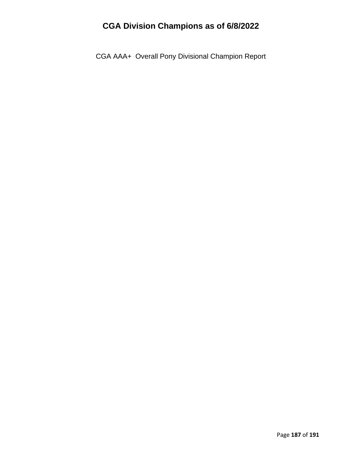CGA AAA+ Overall Pony Divisional Champion Report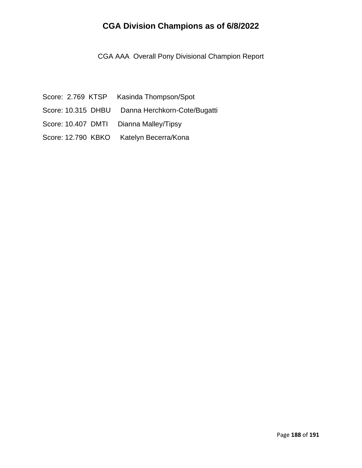CGA AAA Overall Pony Divisional Champion Report

- Score: 2.769 KTSP Kasinda Thompson/Spot Score: 10.315 DHBU Danna Herchkorn-Cote/Bugatti
- Score: 10.407 DMTI Dianna Malley/Tipsy
- Score: 12.790 KBKO Katelyn Becerra/Kona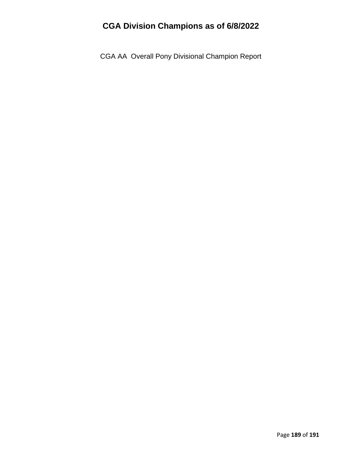CGA AA Overall Pony Divisional Champion Report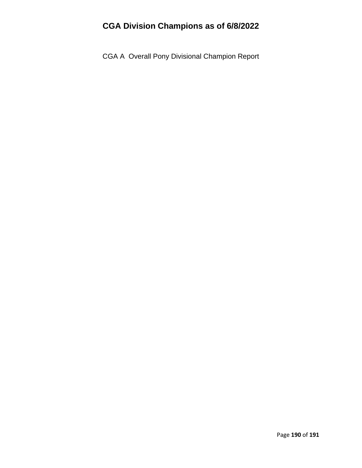CGA A Overall Pony Divisional Champion Report